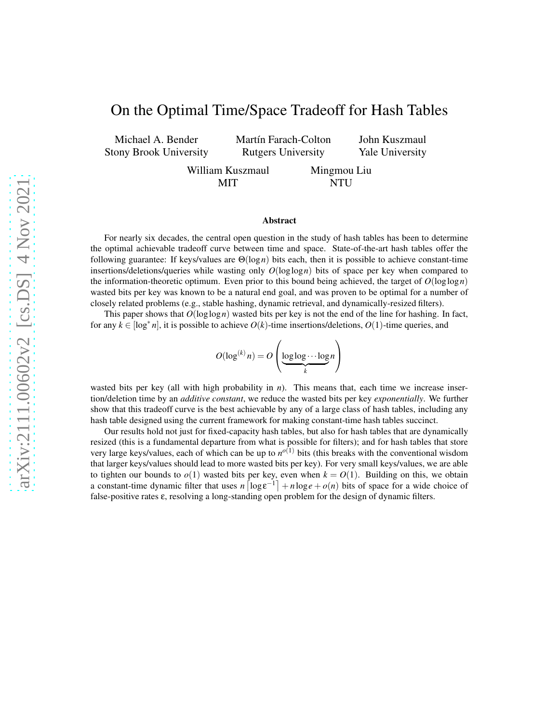# On the Optimal Time/Space Tradeoff for Hash Tables

Michael A. Bender Stony Brook University Martín Farach-Colton Rutgers University

Yale University

John Kuszmaul

William Kuszmaul MIT

Mingmou Liu NTU

#### Abstract

For nearly six decades, the central open question in the study of hash tables has been to determine the optimal achievable tradeoff curve between time and space. State-of-the-art hash tables offer the following guarantee: If keys/values are Θ(log*n*) bits each, then it is possible to achieve constant-time insertions/deletions/queries while wasting only *O*(loglog*n*) bits of space per key when compared to the information-theoretic optimum. Even prior to this bound being achieved, the target of  $O(\log \log n)$ wasted bits per key was known to be a natural end goal, and was proven to be optimal for a number of closely related problems (e.g., stable hashing, dynamic retrieval, and dynamically-resized filters).

This paper shows that  $O(\log \log n)$  wasted bits per key is not the end of the line for hashing. In fact, for any  $k \in [\log^* n]$ , it is possible to achieve  $O(k)$ -time insertions/deletions,  $O(1)$ -time queries, and

$$
O(\log^{(k)} n) = O\left(\underbrace{\log \log \cdots \log n}_{k} n\right)
$$

wasted bits per key (all with high probability in *n*). This means that, each time we increase insertion/deletion time by an *additive constant*, we reduce the wasted bits per key *exponentially*. We further show that this tradeoff curve is the best achievable by any of a large class of hash tables, including any hash table designed using the current framework for making constant-time hash tables succinct.

Our results hold not just for fixed-capacity hash tables, but also for hash tables that are dynamically resized (this is a fundamental departure from what is possible for filters); and for hash tables that store very large keys/values, each of which can be up to  $n^{o(1)}$  bits (this breaks with the conventional wisdom that larger keys/values should lead to more wasted bits per key). For very small keys/values, we are able to tighten our bounds to  $o(1)$  wasted bits per key, even when  $k = O(1)$ . Building on this, we obtain a constant-time dynamic filter that uses  $n \left[ \log \varepsilon^{-1} \right] + n \log e + o(n)$  bits of space for a wide choice of false-positive rates ε, resolving a long-standing open problem for the design of dynamic filters.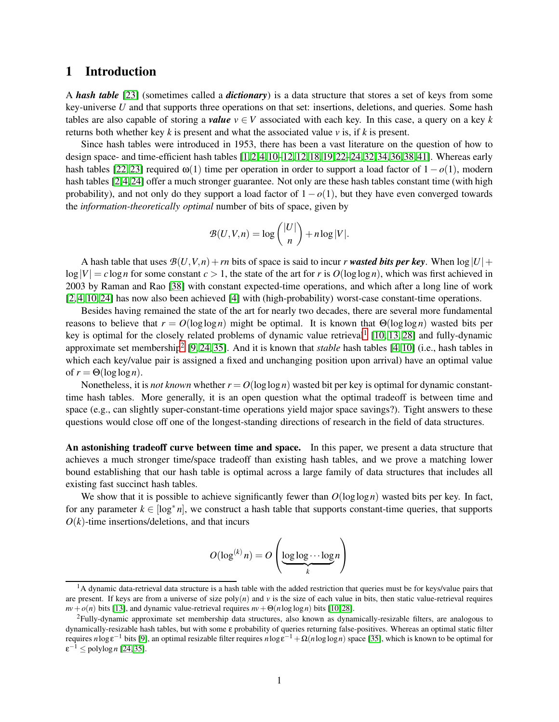## 1 Introduction

A *hash table* [\[23\]](#page-47-0) (sometimes called a *dictionary*) is a data structure that stores a set of keys from some key-universe *U* and that supports three operations on that set: insertions, deletions, and queries. Some hash tables are also capable of storing a *value*  $v \in V$  associated with each key. In this case, a query on a key k returns both whether key  $k$  is present and what the associated value  $\nu$  is, if  $k$  is present.

Since hash tables were introduced in 1953, there has been a vast literature on the question of how to design space- and time-efficient hash tables  $[1,2,4,10-12,12,18,19,22-24,32,34,36,38,41]$  $[1,2,4,10-12,12,18,19,22-24,32,34,36,38,41]$  $[1,2,4,10-12,12,18,19,22-24,32,34,36,38,41]$  $[1,2,4,10-12,12,18,19,22-24,32,34,36,38,41]$  $[1,2,4,10-12,12,18,19,22-24,32,34,36,38,41]$  $[1,2,4,10-12,12,18,19,22-24,32,34,36,38,41]$  $[1,2,4,10-12,12,18,19,22-24,32,34,36,38,41]$  $[1,2,4,10-12,12,18,19,22-24,32,34,36,38,41]$  $[1,2,4,10-12,12,18,19,22-24,32,34,36,38,41]$  $[1,2,4,10-12,12,18,19,22-24,32,34,36,38,41]$  $[1,2,4,10-12,12,18,19,22-24,32,34,36,38,41]$  $[1,2,4,10-12,12,18,19,22-24,32,34,36,38,41]$  $[1,2,4,10-12,12,18,19,22-24,32,34,36,38,41]$  $[1,2,4,10-12,12,18,19,22-24,32,34,36,38,41]$ . Whereas early hash tables [\[22,](#page-47-3) [23\]](#page-47-0) required ω(1) time per operation in order to support a load factor of 1− *o*(1), modern hash tables [\[2,](#page-46-1)[4,](#page-46-2)[24\]](#page-47-4) offer a much stronger guarantee. Not only are these hash tables constant time (with high probability), and not only do they support a load factor of  $1-o(1)$ , but they have even converged towards the *information-theoretically optimal* number of bits of space, given by

$$
\mathcal{B}(U,V,n) = \log \binom{|U|}{n} + n \log |V|.
$$

A hash table that uses  $\mathcal{B}(U,V,n)+rn$  bits of space is said to incur *r* wasted bits per key. When  $\log|U|$ +  $\log|V| = c \log n$  for some constant  $c > 1$ , the state of the art for *r* is  $O(\log \log n)$ , which was first achieved in 2003 by Raman and Rao [\[38\]](#page-48-3) with constant expected-time operations, and which after a long line of work [\[2,](#page-46-1) [4,](#page-46-2) [10,](#page-46-3) [24\]](#page-47-4) has now also been achieved [\[4\]](#page-46-2) with (high-probability) worst-case constant-time operations.

Besides having remained the state of the art for nearly two decades, there are several more fundamental reasons to believe that  $r = O(\log \log n)$  might be optimal. It is known that  $\Theta(\log \log n)$  wasted bits per key is optimal for the closely related problems of dynamic value retrieval<sup>[1](#page-1-0)</sup> [\[10,](#page-46-3) [13,](#page-47-5) [28\]](#page-48-5) and fully-dynamic approximate set membership<sup>[2](#page-1-1)</sup> [\[9,](#page-46-5) [24,](#page-47-4) [35\]](#page-48-6). And it is known that *stable* hash tables [\[4,](#page-46-2) [10\]](#page-46-3) (i.e., hash tables in which each key/value pair is assigned a fixed and unchanging position upon arrival) have an optimal value of  $r = \Theta(\log \log n)$ .

Nonetheless, it is *not known* whether  $r = O(\log \log n)$  wasted bit per key is optimal for dynamic constanttime hash tables. More generally, it is an open question what the optimal tradeoff is between time and space (e.g., can slightly super-constant-time operations yield major space savings?). Tight answers to these questions would close off one of the longest-standing directions of research in the field of data structures.

An astonishing tradeoff curve between time and space. In this paper, we present a data structure that achieves a much stronger time/space tradeoff than existing hash tables, and we prove a matching lower bound establishing that our hash table is optimal across a large family of data structures that includes all existing fast succinct hash tables.

We show that it is possible to achieve significantly fewer than  $O(log \log n)$  wasted bits per key. In fact, for any parameter  $k \in [\log^* n]$ , we construct a hash table that supports constant-time queries, that supports  $O(k)$ -time insertions/deletions, and that incurs

$$
O(\log^{(k)} n) = O\left(\underbrace{\log \log \cdots \log}_{k} n\right)
$$

<span id="page-1-0"></span><sup>&</sup>lt;sup>1</sup>A dynamic data-retrieval data structure is a hash table with the added restriction that queries must be for keys/value pairs that are present. If keys are from a universe of size  $poly(n)$  and  $v$  is the size of each value in bits, then static value-retrieval requires  $nv + o(n)$  bits [\[13\]](#page-47-5), and dynamic value-retrieval requires  $nv + \Theta(n \log \log n)$  bits [\[10,](#page-46-3) [28\]](#page-48-5).

<span id="page-1-1"></span><sup>2</sup>Fully-dynamic approximate set membership data structures, also known as dynamically-resizable filters, are analogous to dynamically-resizable hash tables, but with some ε probability of queries returning false-positives. Whereas an optimal static filter requires *n*logε<sup>-1</sup> bits [\[9\]](#page-46-5), an optimal resizable filter requires *n*logε<sup>-1</sup> + Ω(*n*loglog*n*) space [\[35\]](#page-48-6), which is known to be optimal for  $\varepsilon^{-1} \leq \text{polylog } n$  [\[24,](#page-47-4) [35\]](#page-48-6).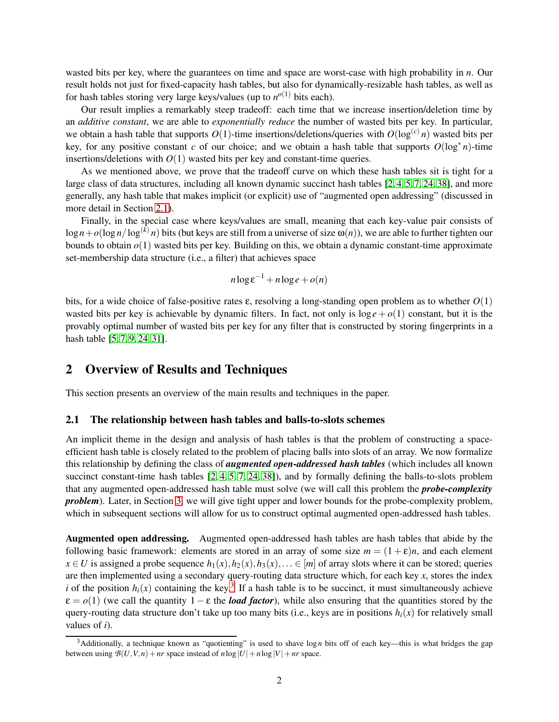wasted bits per key, where the guarantees on time and space are worst-case with high probability in *n*. Our result holds not just for fixed-capacity hash tables, but also for dynamically-resizable hash tables, as well as for hash tables storing very large keys/values (up to  $n^{o(1)}$  bits each).

Our result implies a remarkably steep tradeoff: each time that we increase insertion/deletion time by an *additive constant*, we are able to *exponentially reduce* the number of wasted bits per key. In particular, we obtain a hash table that supports  $O(1)$ -time insertions/deletions/queries with  $O(\log^{(c)} n)$  wasted bits per key, for any positive constant *c* of our choice; and we obtain a hash table that supports  $O(\log^* n)$ -time insertions/deletions with  $O(1)$  wasted bits per key and constant-time queries.

As we mentioned above, we prove that the tradeoff curve on which these hash tables sit is tight for a large class of data structures, including all known dynamic succinct hash tables [\[2,](#page-46-1) [4,](#page-46-2) [5,](#page-46-6) [7,](#page-46-7) [24,](#page-47-4) [38\]](#page-48-3), and more generally, any hash table that makes implicit (or explicit) use of "augmented open addressing" (discussed in more detail in Section [2.1\)](#page-2-0).

Finally, in the special case where keys/values are small, meaning that each key-value pair consists of  $\log n + o(\log n / \log^{(k)} n)$  bits (but keys are still from a universe of size  $\omega(n)$ ), we are able to further tighten our bounds to obtain *o*(1) wasted bits per key. Building on this, we obtain a dynamic constant-time approximate set-membership data structure (i.e., a filter) that achieves space

$$
n\log \varepsilon^{-1} + n\log e + o(n)
$$

bits, for a wide choice of false-positive rates ε, resolving a long-standing open problem as to whether *O*(1) wasted bits per key is achievable by dynamic filters. In fact, not only is  $\log e + o(1)$  constant, but it is the provably optimal number of wasted bits per key for any filter that is constructed by storing fingerprints in a hash table [\[5,](#page-46-6) [7,](#page-46-7) [9,](#page-46-5) [24,](#page-47-4) [31\]](#page-48-7).

## 2 Overview of Results and Techniques

This section presents an overview of the main results and techniques in the paper.

#### <span id="page-2-0"></span>2.1 The relationship between hash tables and balls-to-slots schemes

An implicit theme in the design and analysis of hash tables is that the problem of constructing a spaceefficient hash table is closely related to the problem of placing balls into slots of an array. We now formalize this relationship by defining the class of *augmented open-addressed hash tables* (which includes all known succinct constant-time hash tables  $[2, 4, 5, 7, 24, 38]$  $[2, 4, 5, 7, 24, 38]$  $[2, 4, 5, 7, 24, 38]$  $[2, 4, 5, 7, 24, 38]$  $[2, 4, 5, 7, 24, 38]$  $[2, 4, 5, 7, 24, 38]$ , and by formally defining the balls-to-slots problem that any augmented open-addressed hash table must solve (we will call this problem the *probe-complexity problem*). Later, in Section [3,](#page-8-0) we will give tight upper and lower bounds for the probe-complexity problem, which in subsequent sections will allow for us to construct optimal augmented open-addressed hash tables.

Augmented open addressing. Augmented open-addressed hash tables are hash tables that abide by the following basic framework: elements are stored in an array of some size  $m = (1 + \varepsilon)n$ , and each element  $x \in U$  is assigned a probe sequence  $h_1(x), h_2(x), h_3(x), \ldots \in [m]$  of array slots where it can be stored; queries are then implemented using a secondary query-routing data structure which, for each key *x*, stores the index *i* of the position  $h_i(x)$  containing the key.<sup>[3](#page-2-1)</sup> If a hash table is to be succinct, it must simultaneously achieve  $\varepsilon = o(1)$  (we call the quantity  $1 - \varepsilon$  the *load factor*), while also ensuring that the quantities stored by the query-routing data structure don't take up too many bits (i.e., keys are in positions  $h_i(x)$  for relatively small values of *i*).

<span id="page-2-1"></span><sup>3</sup>Additionally, a technique known as "quotienting" is used to shave log*n* bits off of each key—this is what bridges the gap between using  $B(U, V, n) + nr$  space instead of  $n \log |U| + n \log |V| + nr$  space.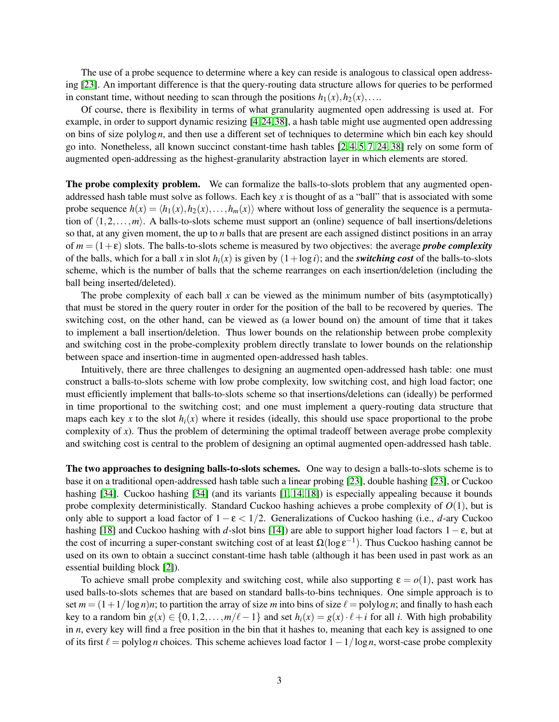The use of a probe sequence to determine where a key can reside is analogous to classical open addressing [\[23\]](#page-47-0). An important difference is that the query-routing data structure allows for queries to be performed in constant time, without needing to scan through the positions  $h_1(x), h_2(x),...$ 

Of course, there is flexibility in terms of what granularity augmented open addressing is used at. For example, in order to support dynamic resizing [\[4,](#page-46-2)[24,](#page-47-4)[38\]](#page-48-3), a hash table might use augmented open addressing on bins of size polylog *n*, and then use a different set of techniques to determine which bin each key should go into. Nonetheless, all known succinct constant-time hash tables [\[2,](#page-46-1) [4,](#page-46-2) [5,](#page-46-6) [7,](#page-46-7) [24,](#page-47-4) [38\]](#page-48-3) rely on some form of augmented open-addressing as the highest-granularity abstraction layer in which elements are stored.

The probe complexity problem. We can formalize the balls-to-slots problem that any augmented openaddressed hash table must solve as follows. Each key *x* is thought of as a "ball" that is associated with some probe sequence  $h(x) = \langle h_1(x), h_2(x), \ldots, h_m(x) \rangle$  where without loss of generality the sequence is a permutation of  $\langle 1,2,\ldots,m \rangle$ . A balls-to-slots scheme must support an (online) sequence of ball insertions/deletions so that, at any given moment, the up to *n* balls that are present are each assigned distinct positions in an array of  $m = (1 + \varepsilon)$  slots. The balls-to-slots scheme is measured by two objectives: the average *probe complexity* of the balls, which for a ball x in slot  $h_i(x)$  is given by  $(1 + \log i)$ ; and the *switching cost* of the balls-to-slots scheme, which is the number of balls that the scheme rearranges on each insertion/deletion (including the ball being inserted/deleted).

The probe complexity of each ball *x* can be viewed as the minimum number of bits (asymptotically) that must be stored in the query router in order for the position of the ball to be recovered by queries. The switching cost, on the other hand, can be viewed as (a lower bound on) the amount of time that it takes to implement a ball insertion/deletion. Thus lower bounds on the relationship between probe complexity and switching cost in the probe-complexity problem directly translate to lower bounds on the relationship between space and insertion-time in augmented open-addressed hash tables.

Intuitively, there are three challenges to designing an augmented open-addressed hash table: one must construct a balls-to-slots scheme with low probe complexity, low switching cost, and high load factor; one must efficiently implement that balls-to-slots scheme so that insertions/deletions can (ideally) be performed in time proportional to the switching cost; and one must implement a query-routing data structure that maps each key x to the slot  $h_i(x)$  where it resides (ideally, this should use space proportional to the probe complexity of  $x$ ). Thus the problem of determining the optimal tradeoff between average probe complexity and switching cost is central to the problem of designing an optimal augmented open-addressed hash table.

The two approaches to designing balls-to-slots schemes. One way to design a balls-to-slots scheme is to base it on a traditional open-addressed hash table such a linear probing [\[23\]](#page-47-0), double hashing [\[23\]](#page-47-0), or Cuckoo hashing [\[34\]](#page-48-1). Cuckoo hashing [34] (and its variants [\[1,](#page-46-0) [14,](#page-47-6) [18\]](#page-47-1)) is especially appealing because it bounds probe complexity deterministically. Standard Cuckoo hashing achieves a probe complexity of *O*(1), but is only able to support a load factor of 1 − ε < 1/2. Generalizations of Cuckoo hashing (i.e., *d*-ary Cuckoo hashing [\[18\]](#page-47-1) and Cuckoo hashing with *d*-slot bins [\[14\]](#page-47-6)) are able to support higher load factors 1−ε, but at the cost of incurring a super-constant switching cost of at least  $\Omega(\log \epsilon^{-1})$ . Thus Cuckoo hashing cannot be used on its own to obtain a succinct constant-time hash table (although it has been used in past work as an essential building block [\[2\]](#page-46-1)).

To achieve small probe complexity and switching cost, while also supporting  $\varepsilon = o(1)$ , past work has used balls-to-slots schemes that are based on standard balls-to-bins techniques. One simple approach is to set  $m = (1 + 1/\log n)n$ ; to partition the array of size *m* into bins of size  $\ell$  = polylog *n*; and finally to hash each key to a random bin  $g(x) \in \{0, 1, 2, ..., m/\ell-1\}$  and set  $h_i(x) = g(x) \cdot \ell + i$  for all *i*. With high probability in *n*, every key will find a free position in the bin that it hashes to, meaning that each key is assigned to one of its first ℓ = polylog *n* choices. This scheme achieves load factor 1−1/log *n*, worst-case probe complexity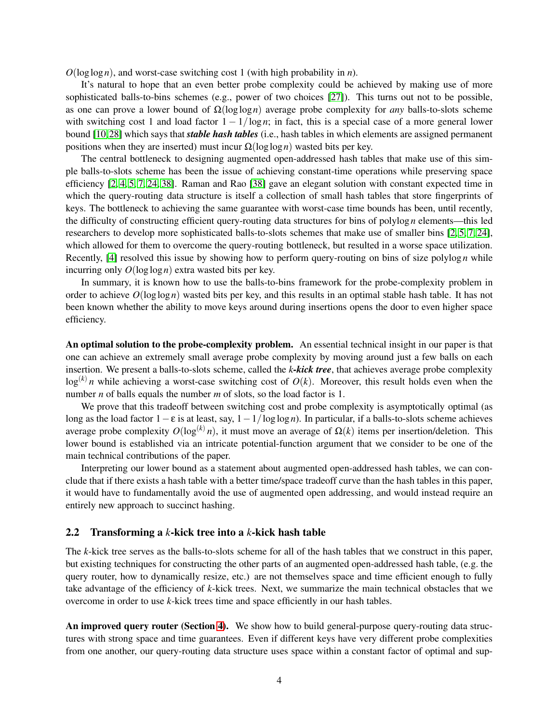*O*(loglog*n*), and worst-case switching cost 1 (with high probability in *n*).

It's natural to hope that an even better probe complexity could be achieved by making use of more sophisticated balls-to-bins schemes (e.g., power of two choices [\[27\]](#page-47-7)). This turns out not to be possible, as one can prove a lower bound of Ω(loglog*n*) average probe complexity for *any* balls-to-slots scheme with switching cost 1 and load factor  $1 - 1/\log n$ ; in fact, this is a special case of a more general lower bound [\[10,](#page-46-3)[28\]](#page-48-5) which says that *stable hash tables* (i.e., hash tables in which elements are assigned permanent positions when they are inserted) must incur  $Ω(log log n)$  wasted bits per key.

The central bottleneck to designing augmented open-addressed hash tables that make use of this simple balls-to-slots scheme has been the issue of achieving constant-time operations while preserving space efficiency [\[2,](#page-46-1) [4,](#page-46-2) [5,](#page-46-6) [7,](#page-46-7) [24,](#page-47-4) [38\]](#page-48-3). Raman and Rao [\[38\]](#page-48-3) gave an elegant solution with constant expected time in which the query-routing data structure is itself a collection of small hash tables that store fingerprints of keys. The bottleneck to achieving the same guarantee with worst-case time bounds has been, until recently, the difficulty of constructing efficient query-routing data structures for bins of polylog *n* elements—this led researchers to develop more sophisticated balls-to-slots schemes that make use of smaller bins [\[2,](#page-46-1) [5,](#page-46-6) [7,](#page-46-7) [24\]](#page-47-4), which allowed for them to overcome the query-routing bottleneck, but resulted in a worse space utilization. Recently, [\[4\]](#page-46-2) resolved this issue by showing how to perform query-routing on bins of size polylog *n* while incurring only *O*(loglog*n*) extra wasted bits per key.

In summary, it is known how to use the balls-to-bins framework for the probe-complexity problem in order to achieve  $O(\log \log n)$  wasted bits per key, and this results in an optimal stable hash table. It has not been known whether the ability to move keys around during insertions opens the door to even higher space efficiency.

An optimal solution to the probe-complexity problem. An essential technical insight in our paper is that one can achieve an extremely small average probe complexity by moving around just a few balls on each insertion. We present a balls-to-slots scheme, called the *k-kick tree*, that achieves average probe complexity  $\log^{(k)} n$  while achieving a worst-case switching cost of  $O(k)$ . Moreover, this result holds even when the number *n* of balls equals the number *m* of slots, so the load factor is 1.

We prove that this tradeoff between switching cost and probe complexity is asymptotically optimal (as long as the load factor 1−ε is at least, say, 1−1/loglog *n*). In particular, if a balls-to-slots scheme achieves average probe complexity  $O(\log^{(k)} n)$ , it must move an average of  $\Omega(k)$  items per insertion/deletion. This lower bound is established via an intricate potential-function argument that we consider to be one of the main technical contributions of the paper.

Interpreting our lower bound as a statement about augmented open-addressed hash tables, we can conclude that if there exists a hash table with a better time/space tradeoff curve than the hash tables in this paper, it would have to fundamentally avoid the use of augmented open addressing, and would instead require an entirely new approach to succinct hashing.

#### 2.2 Transforming a *k*-kick tree into a *k*-kick hash table

The *k*-kick tree serves as the balls-to-slots scheme for all of the hash tables that we construct in this paper, but existing techniques for constructing the other parts of an augmented open-addressed hash table, (e.g. the query router, how to dynamically resize, etc.) are not themselves space and time efficient enough to fully take advantage of the efficiency of *k*-kick trees. Next, we summarize the main technical obstacles that we overcome in order to use *k*-kick trees time and space efficiently in our hash tables.

An improved query router (Section [4\)](#page-23-0). We show how to build general-purpose query-routing data structures with strong space and time guarantees. Even if different keys have very different probe complexities from one another, our query-routing data structure uses space within a constant factor of optimal and sup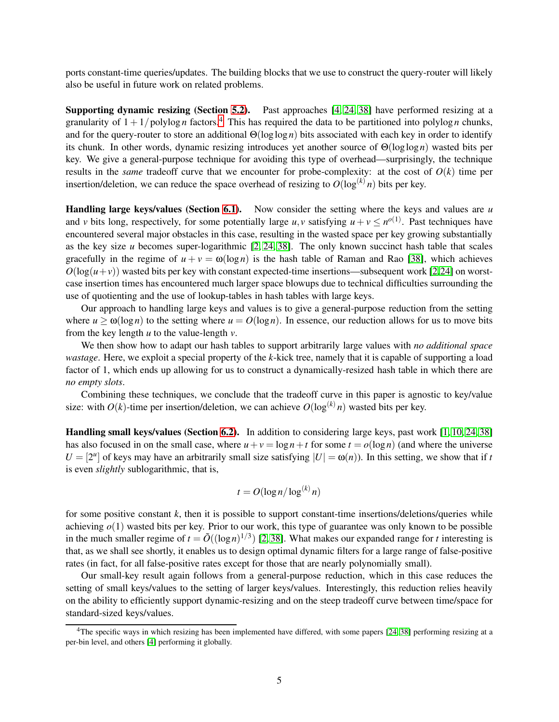ports constant-time queries/updates. The building blocks that we use to construct the query-router will likely also be useful in future work on related problems.

Supporting dynamic resizing (Section [5.2\)](#page-30-0). Past approaches [\[4,](#page-46-2) [24,](#page-47-4) [38\]](#page-48-3) have performed resizing at a granularity of  $1 + 1$ /polylog *n* factors.<sup>[4](#page-5-0)</sup> This has required the data to be partitioned into polylog *n* chunks, and for the query-router to store an additional Θ(loglog *n*) bits associated with each key in order to identify its chunk. In other words, dynamic resizing introduces yet another source of Θ(loglog*n*) wasted bits per key. We give a general-purpose technique for avoiding this type of overhead—surprisingly, the technique results in the *same* tradeoff curve that we encounter for probe-complexity: at the cost of  $O(k)$  time per insertion/deletion, we can reduce the space overhead of resizing to  $O(\log^{(k)} n)$  bits per key.

Handling large keys/values (Section [6.1\)](#page-36-0). Now consider the setting where the keys and values are *u* and *v* bits long, respectively, for some potentially large *u*, *v* satisfying  $u + v \leq n^{o(1)}$ . Past techniques have encountered several major obstacles in this case, resulting in the wasted space per key growing substantially as the key size *u* becomes super-logarithmic [\[2,](#page-46-1) [24,](#page-47-4) [38\]](#page-48-3). The only known succinct hash table that scales gracefully in the regime of  $u + v = \omega(\log n)$  is the hash table of Raman and Rao [\[38\]](#page-48-3), which achieves  $O(\log(u+v))$  wasted bits per key with constant expected-time insertions—subsequent work [\[2](#page-46-1)[,24\]](#page-47-4) on worstcase insertion times has encountered much larger space blowups due to technical difficulties surrounding the use of quotienting and the use of lookup-tables in hash tables with large keys.

Our approach to handling large keys and values is to give a general-purpose reduction from the setting where  $u \ge \omega(\log n)$  to the setting where  $u = O(\log n)$ . In essence, our reduction allows for us to move bits from the key length *u* to the value-length *v*.

We then show how to adapt our hash tables to support arbitrarily large values with *no additional space wastage*. Here, we exploit a special property of the *k*-kick tree, namely that it is capable of supporting a load factor of 1, which ends up allowing for us to construct a dynamically-resized hash table in which there are *no empty slots*.

Combining these techniques, we conclude that the tradeoff curve in this paper is agnostic to key/value size: with  $O(k)$ -time per insertion/deletion, we can achieve  $O(\log^{(k)} n)$  wasted bits per key.

Handling small keys/values (Section [6.2\)](#page-39-0). In addition to considering large keys, past work [\[1,](#page-46-0) [10,](#page-46-3) [24,](#page-47-4) [38\]](#page-48-3) has also focused in on the small case, where  $u + v = \log n + t$  for some  $t = o(\log n)$  (and where the universe  $U = [2^u]$  of keys may have an arbitrarily small size satisfying  $|U| = \omega(n)$ ). In this setting, we show that if *t* is even *slightly* sublogarithmic, that is,

$$
t = O(\log n / \log^{(k)} n)
$$

for some positive constant *k*, then it is possible to support constant-time insertions/deletions/queries while achieving  $o(1)$  wasted bits per key. Prior to our work, this type of guarantee was only known to be possible in the much smaller regime of  $t = \tilde{O}((\log n)^{1/3})$  [\[2,](#page-46-1)38]. What makes our expanded range for *t* interesting is that, as we shall see shortly, it enables us to design optimal dynamic filters for a large range of false-positive rates (in fact, for all false-positive rates except for those that are nearly polynomially small).

Our small-key result again follows from a general-purpose reduction, which in this case reduces the setting of small keys/values to the setting of larger keys/values. Interestingly, this reduction relies heavily on the ability to efficiently support dynamic-resizing and on the steep tradeoff curve between time/space for standard-sized keys/values.

<span id="page-5-0"></span> $4$ The specific ways in which resizing has been implemented have differed, with some papers  $[24, 38]$  $[24, 38]$  performing resizing at a per-bin level, and others [\[4\]](#page-46-2) performing it globally.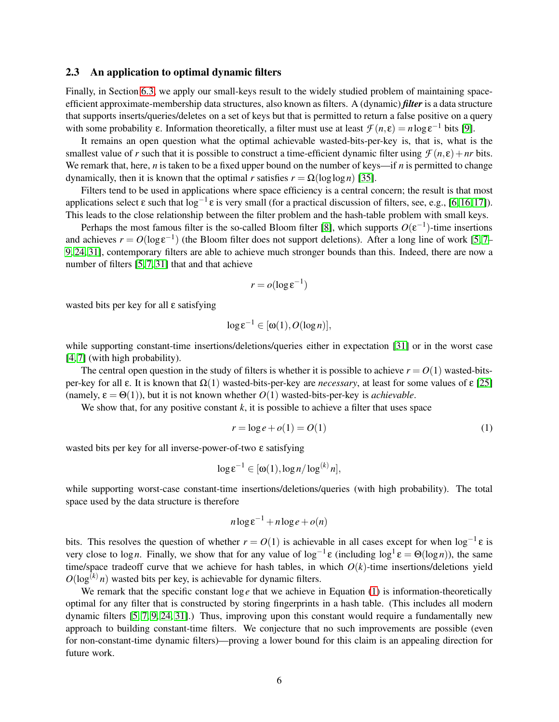#### 2.3 An application to optimal dynamic filters

Finally, in Section [6.3,](#page-44-0) we apply our small-keys result to the widely studied problem of maintaining spaceefficient approximate-membership data structures, also known as filters. A (dynamic) *filter* is a data structure that supports inserts/queries/deletes on a set of keys but that is permitted to return a false positive on a query with some probability  $\varepsilon$ . Information theoretically, a filter must use at least  $\mathcal{F}(n,\varepsilon) = n \log \varepsilon^{-1}$  bits [\[9\]](#page-46-5).

It remains an open question what the optimal achievable wasted-bits-per-key is, that is, what is the smallest value of *r* such that it is possible to construct a time-efficient dynamic filter using  $\mathcal{F}(n,\varepsilon) + nr$  bits. We remark that, here, *n* is taken to be a fixed upper bound on the number of keys—if *n* is permitted to change dynamically, then it is known that the optimal *r* satisfies  $r = \Omega(\log \log n)$  [\[35\]](#page-48-6).

Filters tend to be used in applications where space efficiency is a central concern; the result is that most applications select  $\varepsilon$  such that  $\log^{-1} \varepsilon$  is very small (for a practical discussion of filters, see, e.g., [\[6,](#page-46-8) [16,](#page-47-8) [17\]](#page-47-9)). This leads to the close relationship between the filter problem and the hash-table problem with small keys.

Perhaps the most famous filter is the so-called Bloom filter [\[8\]](#page-46-9), which supports  $O(\varepsilon^{-1})$ -time insertions and achieves  $r = O(\log \epsilon^{-1})$  (the Bloom filter does not support deletions). After a long line of work [\[5,](#page-46-6)7– [9,](#page-46-5) [24,](#page-47-4) [31\]](#page-48-7), contemporary filters are able to achieve much stronger bounds than this. Indeed, there are now a number of filters [\[5,](#page-46-6) [7,](#page-46-7) [31\]](#page-48-7) that and that achieve

$$
r = o(\log \varepsilon^{-1})
$$

wasted bits per key for all ε satisfying

$$
\log \varepsilon^{-1} \in [\omega(1), O(\log n)],
$$

while supporting constant-time insertions/deletions/queries either in expectation [\[31\]](#page-48-7) or in the worst case [\[4,](#page-46-2) [7\]](#page-46-7) (with high probability).

The central open question in the study of filters is whether it is possible to achieve  $r = O(1)$  wasted-bitsper-key for all ε. It is known that Ω(1) wasted-bits-per-key are *necessary*, at least for some values of ε [\[25\]](#page-47-10) (namely,  $\varepsilon = \Theta(1)$ ), but it is not known whether  $O(1)$  wasted-bits-per-key is *achievable*.

We show that, for any positive constant  $k$ , it is possible to achieve a filter that uses space

<span id="page-6-0"></span>
$$
r = \log e + o(1) = O(1) \tag{1}
$$

wasted bits per key for all inverse-power-of-two ε satisfying

$$
\log \varepsilon^{-1} \in [\omega(1), \log n / \log^{(k)} n],
$$

while supporting worst-case constant-time insertions/deletions/queries (with high probability). The total space used by the data structure is therefore

$$
n\log \varepsilon^{-1} + n\log e + o(n)
$$

bits. This resolves the question of whether  $r = O(1)$  is achievable in all cases except for when  $\log^{-1} \varepsilon$  is very close to log*n*. Finally, we show that for any value of log<sup>-1</sup>ε (including log<sup>1</sup>ε = Θ(log*n*)), the same time/space tradeoff curve that we achieve for hash tables, in which  $O(k)$ -time insertions/deletions yield  $O(\log^{(k)} n)$  wasted bits per key, is achievable for dynamic filters.

We remark that the specific constant  $\log e$  that we achieve in Equation [\(1\)](#page-6-0) is information-theoretically optimal for any filter that is constructed by storing fingerprints in a hash table. (This includes all modern dynamic filters [\[5,](#page-46-6) [7,](#page-46-7) [9,](#page-46-5) [24,](#page-47-4) [31\]](#page-48-7).) Thus, improving upon this constant would require a fundamentally new approach to building constant-time filters. We conjecture that no such improvements are possible (even for non-constant-time dynamic filters)—proving a lower bound for this claim is an appealing direction for future work.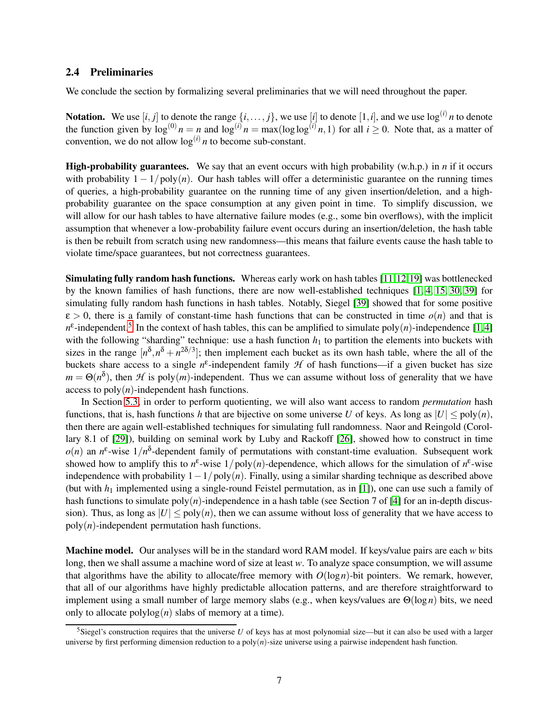#### <span id="page-7-1"></span>2.4 Preliminaries

We conclude the section by formalizing several preliminaries that we will need throughout the paper.

Notation. We use  $[i, j]$  to denote the range  $\{i, \ldots, j\}$ , we use  $[i]$  to denote  $[1, i]$ , and we use  $\log^{(i)} n$  to denote the function given by  $\log^{(0)} n = n$  and  $\log^{(i)} n = \max(\log \log^{(i)} n, 1)$  for all  $i \ge 0$ . Note that, as a matter of convention, we do not allow  $\log^{(i)} n$  to become sub-constant.

High-probability guarantees. We say that an event occurs with high probability (w.h.p.) in *n* if it occurs with probability  $1 - 1/poly(n)$ . Our hash tables will offer a deterministic guarantee on the running times of queries, a high-probability guarantee on the running time of any given insertion/deletion, and a highprobability guarantee on the space consumption at any given point in time. To simplify discussion, we will allow for our hash tables to have alternative failure modes (e.g., some bin overflows), with the implicit assumption that whenever a low-probability failure event occurs during an insertion/deletion, the hash table is then be rebuilt from scratch using new randomness—this means that failure events cause the hash table to violate time/space guarantees, but not correctness guarantees.

Simulating fully random hash functions. Whereas early work on hash tables [\[11,](#page-46-10)[12,](#page-46-4)[19\]](#page-47-2) was bottlenecked by the known families of hash functions, there are now well-established techniques [\[1,](#page-46-0) [4,](#page-46-2) [15,](#page-47-11) [30,](#page-48-8) [39\]](#page-48-9) for simulating fully random hash functions in hash tables. Notably, Siegel [\[39\]](#page-48-9) showed that for some positive  $\varepsilon > 0$ , there is a family of constant-time hash functions that can be constructed in time  $o(n)$  and that is  $n^{\epsilon}$ -independent.<sup>[5](#page-7-0)</sup> In the context of hash tables, this can be amplified to simulate poly $(n)$ -independence [\[1,](#page-46-0)4] with the following "sharding" technique: use a hash function  $h_1$  to partition the elements into buckets with sizes in the range  $[n^{\delta}, n^{\delta} + n^{2\delta/3}]$ ; then implement each bucket as its own hash table, where the all of the buckets share access to a single  $n^{\epsilon}$ -independent family *H* of hash functions—if a given bucket has size  $m = \Theta(n^{\delta})$ , then *H* is poly $(m)$ -independent. Thus we can assume without loss of generality that we have access to  $poly(n)$ -independent hash functions.

In Section [5.3,](#page-33-0) in order to perform quotienting, we will also want access to random *permutation* hash functions, that is, hash functions *h* that are bijective on some universe *U* of keys. As long as  $|U| \leq \text{poly}(n)$ , then there are again well-established techniques for simulating full randomness. Naor and Reingold (Corollary 8.1 of [\[29\]](#page-48-10)), building on seminal work by Luby and Rackoff [\[26\]](#page-47-12), showed how to construct in time  $o(n)$  an  $n^{\epsilon}$ -wise  $1/n^{\delta}$ -dependent family of permutations with constant-time evaluation. Subsequent work showed how to amplify this to  $n^{\epsilon}$ -wise  $1/poly(n)$ -dependence, which allows for the simulation of  $n^{\epsilon}$ -wise independence with probability 1−1/poly(*n*). Finally, using a similar sharding technique as described above (but with  $h_1$  implemented using a single-round Feistel permutation, as in [\[1\]](#page-46-0)), one can use such a family of hash functions to simulate  $poly(n)$ -independence in a hash table (see Section 7 of [\[4\]](#page-46-2) for an in-depth discussion). Thus, as long as  $|U| \leq \text{poly}(n)$ , then we can assume without loss of generality that we have access to  $poly(n)$ -independent permutation hash functions.

Machine model. Our analyses will be in the standard word RAM model. If keys/value pairs are each *w* bits long, then we shall assume a machine word of size at least *w*. To analyze space consumption, we will assume that algorithms have the ability to allocate/free memory with  $O(log n)$ -bit pointers. We remark, however, that all of our algorithms have highly predictable allocation patterns, and are therefore straightforward to implement using a small number of large memory slabs (e.g., when keys/values are Θ(log *n*) bits, we need only to allocate  $polylog(n)$  slabs of memory at a time).

<span id="page-7-0"></span><sup>&</sup>lt;sup>5</sup>Siegel's construction requires that the universe  $U$  of keys has at most polynomial size—but it can also be used with a larger universe by first performing dimension reduction to a poly(*n*)-size universe using a pairwise independent hash function.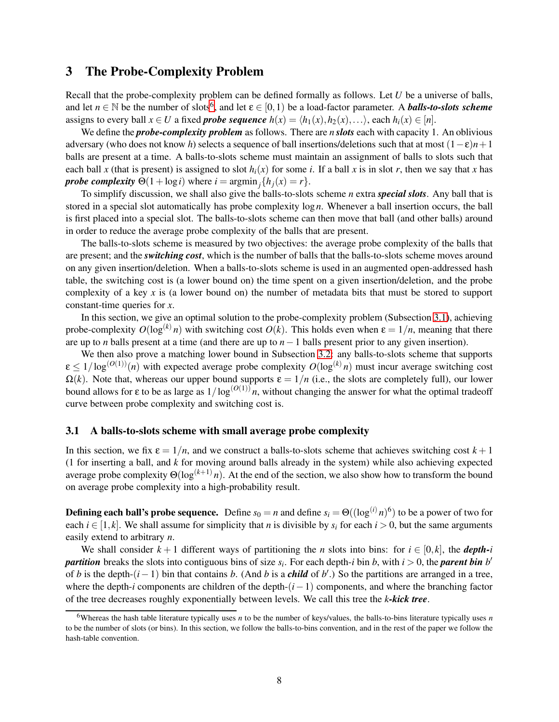## <span id="page-8-0"></span>3 The Probe-Complexity Problem

Recall that the probe-complexity problem can be defined formally as follows. Let *U* be a universe of balls, and let  $n \in \mathbb{N}$  be the number of slots<sup>[6](#page-8-1)</sup>, and let  $\varepsilon \in [0,1)$  be a load-factor parameter. A *balls-to-slots scheme* assigns to every ball  $x \in U$  a fixed *probe sequence*  $h(x) = \langle h_1(x), h_2(x), \ldots \rangle$ , each  $h_i(x) \in [n]$ .

We define the *probe-complexity problem* as follows. There are *n slots* each with capacity 1. An oblivious adversary (who does not know *h*) selects a sequence of ball insertions/deletions such that at most  $(1 - \varepsilon)n + 1$ balls are present at a time. A balls-to-slots scheme must maintain an assignment of balls to slots such that each ball *x* (that is present) is assigned to slot  $h_i(x)$  for some *i*. If a ball *x* is in slot *r*, then we say that *x* has *probe complexity*  $\Theta(1 + \log i)$  where  $i = \operatorname{argmin}_j \{ h_j(x) = r \}.$ 

To simplify discussion, we shall also give the balls-to-slots scheme *n* extra *special slots*. Any ball that is stored in a special slot automatically has probe complexity  $\log n$ . Whenever a ball insertion occurs, the ball is first placed into a special slot. The balls-to-slots scheme can then move that ball (and other balls) around in order to reduce the average probe complexity of the balls that are present.

The balls-to-slots scheme is measured by two objectives: the average probe complexity of the balls that are present; and the *switching cost*, which is the number of balls that the balls-to-slots scheme moves around on any given insertion/deletion. When a balls-to-slots scheme is used in an augmented open-addressed hash table, the switching cost is (a lower bound on) the time spent on a given insertion/deletion, and the probe complexity of a key *x* is (a lower bound on) the number of metadata bits that must be stored to support constant-time queries for *x*.

In this section, we give an optimal solution to the probe-complexity problem (Subsection [3.1\)](#page-8-2), achieving probe-complexity  $O(\log^{(k)} n)$  with switching cost  $O(k)$ . This holds even when  $\varepsilon = 1/n$ , meaning that there are up to *n* balls present at a time (and there are up to *n*−1 balls present prior to any given insertion).

We then also prove a matching lower bound in Subsection [3.2:](#page-12-0) any balls-to-slots scheme that supports  $\epsilon \leq 1/\log^{(O(1))}(n)$  with expected average probe complexity  $O(\log^{(k)} n)$  must incur average switching cost  $\Omega(k)$ . Note that, whereas our upper bound supports  $\varepsilon = 1/n$  (i.e., the slots are completely full), our lower bound allows for  $\varepsilon$  to be as large as  $1/\log^{(O(1))} n$ , without changing the answer for what the optimal tradeoff curve between probe complexity and switching cost is.

#### <span id="page-8-2"></span>3.1 A balls-to-slots scheme with small average probe complexity

In this section, we fix  $\varepsilon = 1/n$ , and we construct a balls-to-slots scheme that achieves switching cost  $k + 1$ (1 for inserting a ball, and *k* for moving around balls already in the system) while also achieving expected average probe complexity  $\Theta(\log^{(k+1)} n)$ . At the end of the section, we also show how to transform the bound on average probe complexity into a high-probability result.

**Defining each ball's probe sequence.** Define  $s_0 = n$  and define  $s_i = \Theta((\log^{(i)} n)^6)$  to be a power of two for each  $i \in [1, k]$ . We shall assume for simplicity that *n* is divisible by  $s_i$  for each  $i > 0$ , but the same arguments easily extend to arbitrary *n*.

We shall consider  $k + 1$  different ways of partitioning the *n* slots into bins: for  $i \in [0, k]$ , the *depth-i partition* breaks the slots into contiguous bins of size *s<sup>i</sup>* . For each depth-*i* bin *b*, with *i* > 0, the *parent bin b* ′ of *b* is the depth- $(i-1)$  bin that contains *b*. (And *b* is a *child* of *b'*.) So the partitions are arranged in a tree, where the depth-*i* components are children of the depth-(*i*−1) components, and where the branching factor of the tree decreases roughly exponentially between levels. We call this tree the *k-kick tree*.

<span id="page-8-1"></span><sup>&</sup>lt;sup>6</sup>Whereas the hash table literature typically uses *n* to be the number of keys/values, the balls-to-bins literature typically uses *n* to be the number of slots (or bins). In this section, we follow the balls-to-bins convention, and in the rest of the paper we follow the hash-table convention.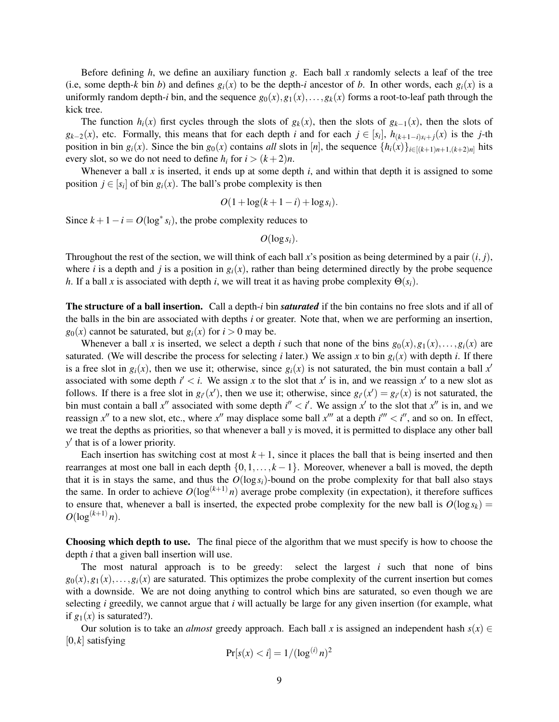Before defining *h*, we define an auxiliary function *g*. Each ball *x* randomly selects a leaf of the tree (i.e, some depth-*k* bin *b*) and defines  $g_i(x)$  to be the depth-*i* ancestor of *b*. In other words, each  $g_i(x)$  is a uniformly random depth-*i* bin, and the sequence  $g_0(x), g_1(x), \ldots, g_k(x)$  forms a root-to-leaf path through the kick tree.

The function  $h_i(x)$  first cycles through the slots of  $g_k(x)$ , then the slots of  $g_{k-1}(x)$ , then the slots of  $g_{k-2}(x)$ , etc. Formally, this means that for each depth *i* and for each  $j \in [s_i]$ ,  $h_{(k+1-i)s_i+j}(x)$  is the *j*-th position in bin  $g_i(x)$ . Since the bin  $g_0(x)$  contains *all* slots in [*n*], the sequence  $\{h_i(x)\}_{i\in[(k+1)n+1,(k+2)n]}$  hits every slot, so we do not need to define  $h_i$  for  $i > (k+2)n$ .

Whenever a ball x is inserted, it ends up at some depth *i*, and within that depth it is assigned to some position  $j \in [s_i]$  of bin  $g_i(x)$ . The ball's probe complexity is then

$$
O(1+\log(k+1-i)+\log s_i).
$$

Since  $k + 1 - i = O(\log^* s_i)$ , the probe complexity reduces to

 $O(\log s_i)$ .

Throughout the rest of the section, we will think of each ball x's position as being determined by a pair  $(i, j)$ , where *i* is a depth and *j* is a position in  $g_i(x)$ , rather than being determined directly by the probe sequence *h*. If a ball *x* is associated with depth *i*, we will treat it as having probe complexity  $\Theta(s_i)$ .

The structure of a ball insertion. Call a depth-*i* bin *saturated* if the bin contains no free slots and if all of the balls in the bin are associated with depths *i* or greater. Note that, when we are performing an insertion,  $g_0(x)$  cannot be saturated, but  $g_i(x)$  for  $i > 0$  may be.

Whenever a ball *x* is inserted, we select a depth *i* such that none of the bins  $g_0(x), g_1(x), \ldots, g_i(x)$  are saturated. (We will describe the process for selecting *i* later.) We assign *x* to bin  $g_i(x)$  with depth *i*. If there is a free slot in  $g_i(x)$ , then we use it; otherwise, since  $g_i(x)$  is not saturated, the bin must contain a ball  $x'$ associated with some depth  $i' < i$ . We assign x to the slot that  $x'$  is in, and we reassign  $x'$  to a new slot as follows. If there is a free slot in  $g_i(x')$ , then we use it; otherwise, since  $g_i(x') = g_i(x)$  is not saturated, the bin must contain a ball  $x''$  associated with some depth  $i'' < i'$ . We assign  $x'$  to the slot that  $x''$  is in, and we reassign  $x''$  to a new slot, etc., where  $x''$  may displace some ball  $x'''$  at a depth  $i''' < i''$ , and so on. In effect, we treat the depths as priorities, so that whenever a ball *y* is moved, it is permitted to displace any other ball *y* ′ that is of a lower priority.

Each insertion has switching cost at most  $k+1$ , since it places the ball that is being inserted and then rearranges at most one ball in each depth  $\{0,1,\ldots,k-1\}$ . Moreover, whenever a ball is moved, the depth that it is in stays the same, and thus the  $O(\log s_i)$ -bound on the probe complexity for that ball also stays the same. In order to achieve  $O(\log^{(k+1)} n)$  average probe complexity (in expectation), it therefore suffices to ensure that, whenever a ball is inserted, the expected probe complexity for the new ball is  $O(\log s_k)$  =  $O(\log^{(k+1)} n)$ .

Choosing which depth to use. The final piece of the algorithm that we must specify is how to choose the depth *i* that a given ball insertion will use.

The most natural approach is to be greedy: select the largest *i* such that none of bins  $g_0(x), g_1(x), \ldots, g_i(x)$  are saturated. This optimizes the probe complexity of the current insertion but comes with a downside. We are not doing anything to control which bins are saturated, so even though we are selecting *i* greedily, we cannot argue that *i* will actually be large for any given insertion (for example, what if  $g_1(x)$  is saturated?).

Our solution is to take an *almost* greedy approach. Each ball *x* is assigned an independent hash  $s(x) \in$ [0,*k*] satisfying

$$
Pr[s(x) < i] = 1/(\log^{(i)} n)^2
$$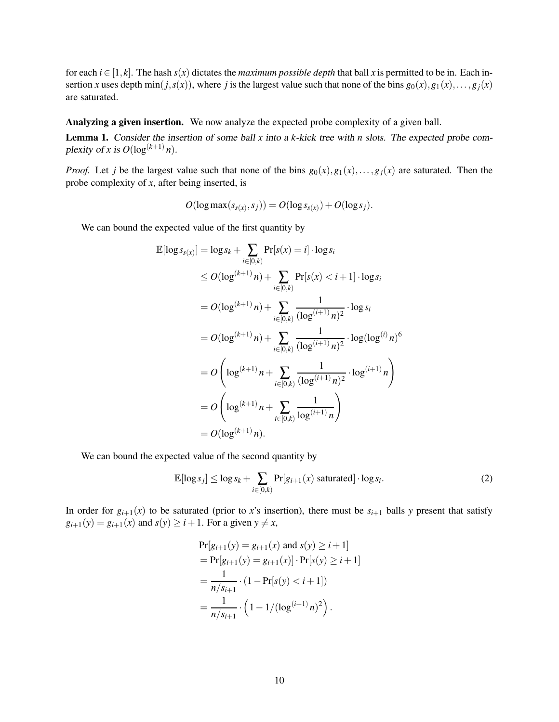for each  $i \in [1, k]$ . The hash  $s(x)$  dictates the *maximum possible depth* that ball x is permitted to be in. Each insertion *x* uses depth min(*j*,*s*(*x*)), where *j* is the largest value such that none of the bins  $g_0(x), g_1(x), \ldots, g_j(x)$ are saturated.

Analyzing a given insertion. We now analyze the expected probe complexity of a given ball.

<span id="page-10-1"></span>Lemma 1. Consider the insertion of some ball *x* into <sup>a</sup> *k*-kick tree with *n* slots. The expected probe complexity of *x* is  $O(\log^{(k+1)} n)$ .

*Proof.* Let *j* be the largest value such that none of the bins  $g_0(x), g_1(x), \ldots, g_i(x)$  are saturated. Then the probe complexity of *x*, after being inserted, is

$$
O(\log \max(s_{s(x)}, s_j)) = O(\log s_{s(x)}) + O(\log s_j).
$$

We can bound the expected value of the first quantity by

$$
\mathbb{E}[\log s_{s(x)}] = \log s_k + \sum_{i \in [0,k)} \Pr[s(x) = i] \cdot \log s_i
$$
  
\n
$$
\leq O(\log^{(k+1)} n) + \sum_{i \in [0,k)} \Pr[s(x) < i+1] \cdot \log s_i
$$
  
\n
$$
= O(\log^{(k+1)} n) + \sum_{i \in [0,k)} \frac{1}{(\log^{(i+1)} n)^2} \cdot \log s_i
$$
  
\n
$$
= O(\log^{(k+1)} n) + \sum_{i \in [0,k)} \frac{1}{(\log^{(i+1)} n)^2} \cdot \log(\log^{(i)} n)^6
$$
  
\n
$$
= O\left(\log^{(k+1)} n + \sum_{i \in [0,k)} \frac{1}{(\log^{(i+1)} n)^2} \cdot \log^{(i+1)} n\right)
$$
  
\n
$$
= O\left(\log^{(k+1)} n + \sum_{i \in [0,k)} \frac{1}{\log^{(i+1)} n}\right)
$$
  
\n
$$
= O(\log^{(k+1)} n).
$$

We can bound the expected value of the second quantity by

<span id="page-10-0"></span>
$$
\mathbb{E}[\log s_j] \le \log s_k + \sum_{i \in [0,k)} \Pr[g_{i+1}(x) \text{ saturated}] \cdot \log s_i. \tag{2}
$$

In order for  $g_{i+1}(x)$  to be saturated (prior to x's insertion), there must be  $s_{i+1}$  balls y present that satisfy  $g_{i+1}(y) = g_{i+1}(x)$  and  $s(y) \geq i+1$ . For a given  $y \neq x$ ,

$$
\Pr[g_{i+1}(y) = g_{i+1}(x) \text{ and } s(y) \ge i+1]
$$
  
= 
$$
\Pr[g_{i+1}(y) = g_{i+1}(x)] \cdot \Pr[s(y) \ge i+1]
$$
  
= 
$$
\frac{1}{n/s_{i+1}} \cdot (1 - \Pr[s(y) < i+1])
$$
  
= 
$$
\frac{1}{n/s_{i+1}} \cdot (1 - 1/(\log^{(i+1)} n)^2).
$$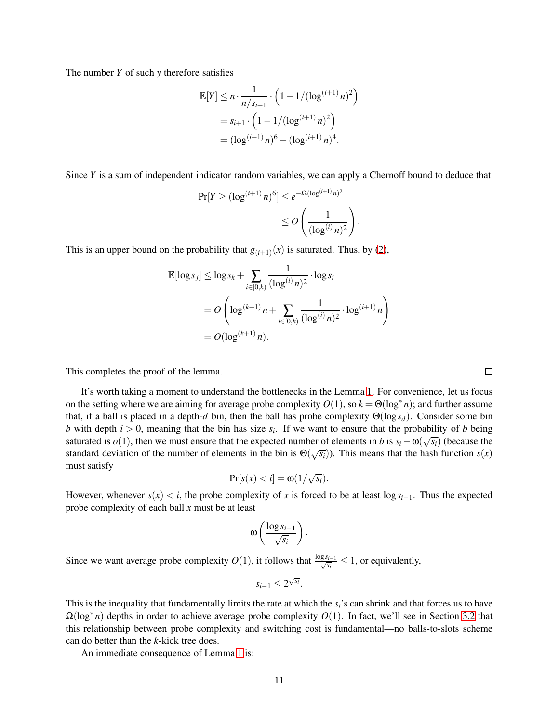The number *Y* of such *y* therefore satisfies

$$
\mathbb{E}[Y] \le n \cdot \frac{1}{n/s_{i+1}} \cdot \left(1 - 1/(\log^{(i+1)} n)^2\right)
$$
  
=  $s_{i+1} \cdot \left(1 - 1/(\log^{(i+1)} n)^2\right)$   
=  $(\log^{(i+1)} n)^6 - (\log^{(i+1)} n)^4$ .

Since *Y* is a sum of independent indicator random variables, we can apply a Chernoff bound to deduce that

$$
Pr[Y \ge (\log^{(i+1)} n)^6] \le e^{-\Omega(\log^{(i+1)} n)^2}
$$

$$
\le O\left(\frac{1}{(\log^{(i)} n)^2}\right)
$$

.

This is an upper bound on the probability that  $g_{(i+1)}(x)$  is saturated. Thus, by [\(2\)](#page-10-0),

$$
\mathbb{E}[\log s_j] \le \log s_k + \sum_{i \in [0,k)} \frac{1}{(\log^{(i)} n)^2} \cdot \log s_i
$$
  
=  $O\left(\log^{(k+1)} n + \sum_{i \in [0,k)} \frac{1}{(\log^{(i)} n)^2} \cdot \log^{(i+1)} n\right)$   
=  $O(\log^{(k+1)} n)$ .

This completes the proof of the lemma.

It's worth taking a moment to understand the bottlenecks in the Lemma [1.](#page-10-1) For convenience, let us focus on the setting where we are aiming for average probe complexity  $O(1)$ , so  $k = \Theta(\log^* n)$ ; and further assume that, if a ball is placed in a depth-*d* bin, then the ball has probe complexity Θ(log *sd*). Consider some bin *b* with depth  $i > 0$ , meaning that the bin has size  $s_i$ . If we want to ensure that the probability of *b* being saturated is  $o(1)$ , then we must ensure that the expected number of elements in *b* is  $s_i - \omega(\sqrt{s_i})$  (because the standard deviation of the number of elements in the bin is  $\Theta(\sqrt{s_i})$ ). This means that the hash function  $s(x)$ must satisfy

$$
\Pr[s(x) < i] = \omega(1/\sqrt{s_i}).
$$

However, whenever  $s(x) < i$ , the probe complexity of x is forced to be at least  $\log s_i$ <sub>-1</sub>. Thus the expected probe complexity of each ball *x* must be at least

$$
\omega\left(\frac{\log s_{i-1}}{\sqrt{s_i}}\right).
$$

Since we want average probe complexity  $O(1)$ , it follows that  $\frac{\log s_{i-1}}{\sqrt{s_i}} \leq 1$ , or equivalently,

$$
s_{i-1} \leq 2^{\sqrt{s_i}}.
$$

This is the inequality that fundamentally limits the rate at which the *si*'s can shrink and that forces us to have Ω(log∗ *n*) depths in order to achieve average probe complexity *O*(1). In fact, we'll see in Section [3.2](#page-12-0) that this relationship between probe complexity and switching cost is fundamental—no balls-to-slots scheme can do better than the *k*-kick tree does.

An immediate consequence of Lemma [1](#page-10-1) is:

 $\Box$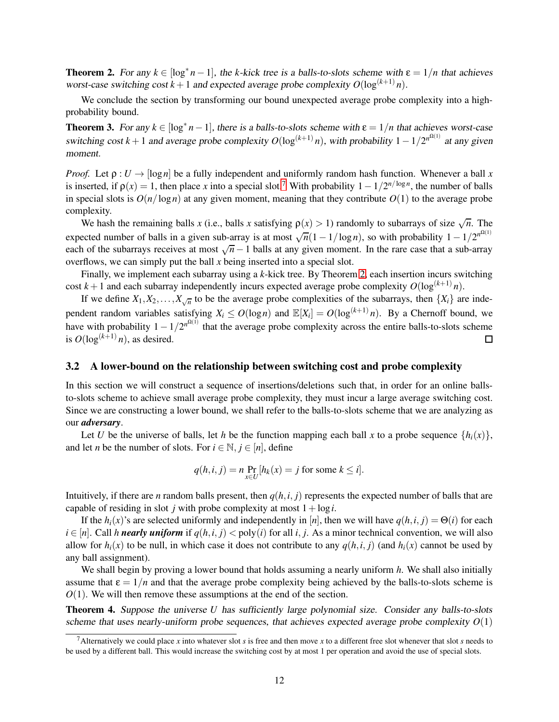<span id="page-12-2"></span>**Theorem 2.** For any  $k \in [\log^* n - 1]$ , the *k*-kick tree is a balls-to-slots scheme with  $\varepsilon = 1/n$  that achieves worst-case switching cost  $k+1$  and expected average probe complexity  $O(\log^{(k+1)} n)$ .

We conclude the section by transforming our bound unexpected average probe complexity into a highprobability bound.

<span id="page-12-4"></span>**Theorem 3.** For any  $k \in [\log^* n - 1]$ , there is a balls-to-slots scheme with  $\epsilon = 1/n$  that achieves worst-case switching cost  $k+1$  and average probe complexity  $O(\log^{(k+1)} n)$ , with probability  $1-1/2^{n^{\Omega(1)}}$  at any given moment.

*Proof.* Let  $\rho: U \to [\log n]$  be a fully independent and uniformly random hash function. Whenever a ball x is inserted, if  $\rho(x) = 1$ , then place *x* into a special slot.<sup>[7](#page-12-1)</sup> With probability  $1 - 1/2^{n/\log n}$ , the number of balls in special slots is  $O(n/\log n)$  at any given moment, meaning that they contribute  $O(1)$  to the average probe complexity.

We hash the remaining balls *x* (i.e., balls *x* satisfying  $\rho(x) > 1$ ) randomly to subarrays of size  $\sqrt{n}$ . The expected number of balls in a given sub-array is at most  $\sqrt{n}(1 - 1/\log n)$ , so with probability  $1 - 1/2^{n^{\Omega(1)}}$ each of the subarrays receives at most  $\sqrt{n}-1$  balls at any given moment. In the rare case that a sub-array overflows, we can simply put the ball *x* being inserted into a special slot.

Finally, we implement each subarray using a *k*-kick tree. By Theorem [2,](#page-12-2) each insertion incurs switching cost  $k+1$  and each subarray independently incurs expected average probe complexity  $O(\log^{(k+1)} n)$ .

If we define  $X_1, X_2, \ldots, X_{\sqrt{n}}$  to be the average probe complexities of the subarrays, then  $\{X_i\}$  are independent random variables satisfying  $X_i \leq O(\log n)$  and  $\mathbb{E}[X_i] = O(\log^{(k+1)} n)$ . By a Chernoff bound, we have with probability  $1 - 1/2^{n^{\Omega(1)}}$  that the average probe complexity across the entire balls-to-slots scheme is  $O(\log^{(k+1)} n)$ , as desired. 囗

#### <span id="page-12-0"></span>3.2 A lower-bound on the relationship between switching cost and probe complexity

In this section we will construct a sequence of insertions/deletions such that, in order for an online ballsto-slots scheme to achieve small average probe complexity, they must incur a large average switching cost. Since we are constructing a lower bound, we shall refer to the balls-to-slots scheme that we are analyzing as our *adversary*.

Let *U* be the universe of balls, let *h* be the function mapping each ball *x* to a probe sequence  $\{h_i(x)\}\$ , and let *n* be the number of slots. For  $i \in \mathbb{N}$ ,  $j \in [n]$ , define

$$
q(h, i, j) = n \Pr_{x \in U} [h_k(x) = j \text{ for some } k \leq i].
$$

Intuitively, if there are *n* random balls present, then  $q(h, i, j)$  represents the expected number of balls that are capable of residing in slot *j* with probe complexity at most  $1 + log*i*$ .

If the  $h_i(x)$ 's are selected uniformly and independently in [*n*], then we will have  $q(h, i, j) = \Theta(i)$  for each  $i \in [n]$ . Call *h nearly uniform* if  $q(h, i, j) <$  poly(*i*) for all *i*, *j*. As a minor technical convention, we will also allow for  $h_i(x)$  to be null, in which case it does not contribute to any  $q(h, i, j)$  (and  $h_i(x)$  cannot be used by any ball assignment).

We shall begin by proving a lower bound that holds assuming a nearly uniform *h*. We shall also initially assume that  $\varepsilon = 1/n$  and that the average probe complexity being achieved by the balls-to-slots scheme is *O*(1). We will then remove these assumptions at the end of the section.

<span id="page-12-3"></span>Theorem 4. Suppose the universe *U* has sufficiently large polynomial size. Consider any balls-to-slots scheme that uses nearly-uniform probe sequences, that achieves expected average probe complexity  $O(1)$ 

<span id="page-12-1"></span><sup>&</sup>lt;sup>7</sup>Alternatively we could place *x* into whatever slot *s* is free and then move *x* to a different free slot whenever that slot *s* needs to be used by a different ball. This would increase the switching cost by at most 1 per operation and avoid the use of special slots.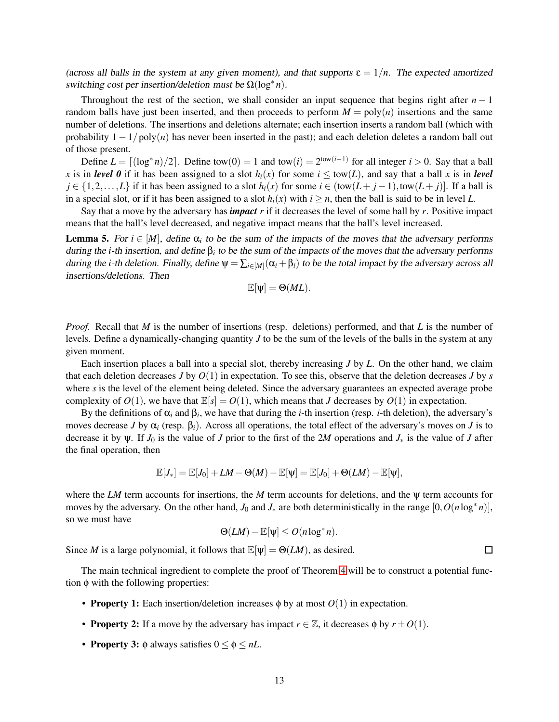(across all balls in the system at any given moment), and that supports  $\varepsilon = 1/n$ . The expected amortized switching cost per insertion/deletion must be Ω(log∗ *n*).

Throughout the rest of the section, we shall consider an input sequence that begins right after  $n-1$ random balls have just been inserted, and then proceeds to perform  $M = poly(n)$  insertions and the same number of deletions. The insertions and deletions alternate; each insertion inserts a random ball (which with probability 1− 1/poly(*n*) has never been inserted in the past); and each deletion deletes a random ball out of those present.

Define  $L = \lfloor (\log^* n)/2 \rfloor$ . Define tow $(0) = 1$  and tow $(i) = 2^{\text{tow}(i-1)}$  for all integer  $i > 0$ . Say that a ball *x* is in *level* 0 if it has been assigned to a slot  $h_i(x)$  for some  $i \leq \text{tow}(L)$ , and say that a ball *x* is in *level j* ∈ {1,2,...,*L*} if it has been assigned to a slot *h<sub>i</sub>*(*x*) for some *i* ∈ (tow(*L* + *j* −1),tow(*L* + *j*)]. If a ball is in a special slot, or if it has been assigned to a slot  $h_i(x)$  with  $i \geq n$ , then the ball is said to be in level *L*.

Say that a move by the adversary has *impact r* if it decreases the level of some ball by *r*. Positive impact means that the ball's level decreased, and negative impact means that the ball's level increased.

<span id="page-13-0"></span>**Lemma 5.** For  $i \in [M]$ , define  $\alpha_i$  to be the sum of the impacts of the moves that the adversary performs during the *i*-th insertion, and define β*<sup>i</sup>* to be the sum of the impacts of the moves that the adversary performs during the *i*-th deletion. Finally, define  $\psi = \sum_{i \in [M]} (\alpha_i + \beta_i)$  to be the total impact by the adversary across all insertions/deletions. Then

$$
\mathbb{E}[\psi] = \Theta(ML).
$$

*Proof.* Recall that *M* is the number of insertions (resp. deletions) performed, and that *L* is the number of levels. Define a dynamically-changing quantity *J* to be the sum of the levels of the balls in the system at any given moment.

Each insertion places a ball into a special slot, thereby increasing *J* by *L*. On the other hand, we claim that each deletion decreases *J* by  $O(1)$  in expectation. To see this, observe that the deletion decreases *J* by *s* where *s* is the level of the element being deleted. Since the adversary guarantees an expected average probe complexity of  $O(1)$ , we have that  $\mathbb{E}[s] = O(1)$ , which means that *J* decreases by  $O(1)$  in expectation.

By the definitions of  $\alpha_i$  and  $\beta_i$ , we have that during the *i*-th insertion (resp. *i*-th deletion), the adversary's moves decrease *J* by  $\alpha_i$  (resp.  $\beta_i$ ). Across all operations, the total effect of the adversary's moves on *J* is to decrease it by  $\psi$ . If  $J_0$  is the value of *J* prior to the first of the 2*M* operations and  $J_*$  is the value of *J* after the final operation, then

$$
\mathbb{E}[J_*] = \mathbb{E}[J_0] + LM - \Theta(M) - \mathbb{E}[\psi] = \mathbb{E}[J_0] + \Theta(LM) - \mathbb{E}[\psi],
$$

where the *LM* term accounts for insertions, the *M* term accounts for deletions, and the ψ term accounts for moves by the adversary. On the other hand,  $J_0$  and  $J_*$  are both deterministically in the range  $[0, O(n \log^* n)]$ , so we must have

$$
\Theta(LM) - \mathbb{E}[\psi] \leq O(n \log^* n).
$$

Since *M* is a large polynomial, it follows that  $\mathbb{E}[\psi] = \Theta(LM)$ , as desired.

The main technical ingredient to complete the proof of Theorem [4](#page-12-3) will be to construct a potential function φ with the following properties:

- **Property 1:** Each insertion/deletion increases  $\phi$  by at most  $O(1)$  in expectation.
- **Property 2:** If a move by the adversary has impact  $r \in \mathbb{Z}$ , it decreases  $\phi$  by  $r \pm O(1)$ .
- **Property 3:**  $\phi$  always satisfies  $0 \le \phi \le nL$ .

 $\Box$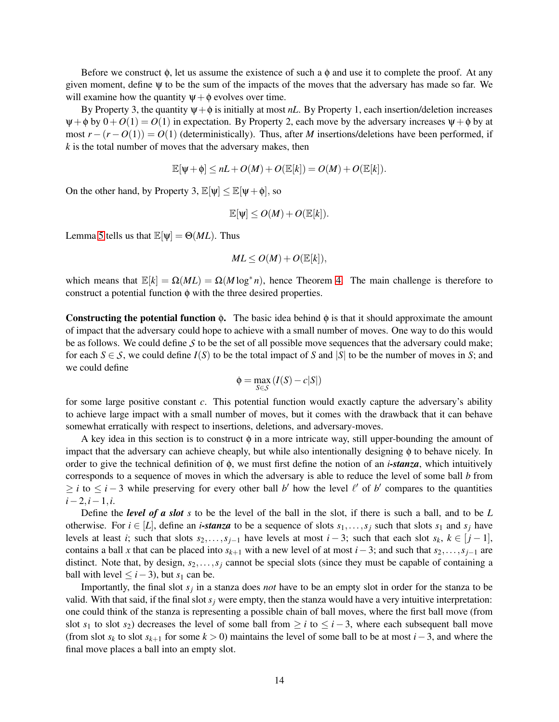Before we construct  $\phi$ , let us assume the existence of such a  $\phi$  and use it to complete the proof. At any given moment, define ψ to be the sum of the impacts of the moves that the adversary has made so far. We will examine how the quantity  $\psi + \phi$  evolves over time.

By Property 3, the quantity  $\psi + \phi$  is initially at most *nL*. By Property 1, each insertion/deletion increases  $\Psi + \phi$  by  $0 + O(1) = O(1)$  in expectation. By Property 2, each move by the adversary increases  $\Psi + \phi$  by at most  $r - (r - O(1)) = O(1)$  (deterministically). Thus, after *M* insertions/deletions have been performed, if *k* is the total number of moves that the adversary makes, then

$$
\mathbb{E}[\psi + \phi] \leq nL + O(M) + O(\mathbb{E}[k]) = O(M) + O(\mathbb{E}[k]).
$$

On the other hand, by Property 3,  $\mathbb{E}[\psi] \leq \mathbb{E}[\psi + \phi]$ , so

$$
\mathbb{E}[\psi] \leq O(M) + O(\mathbb{E}[k]).
$$

Lemma [5](#page-13-0) tells us that  $\mathbb{E}[\psi] = \Theta(ML)$ . Thus

$$
ML \le O(M) + O(\mathbb{E}[k]),
$$

which means that  $\mathbb{E}[k] = \Omega(ML) = \Omega(M \log^* n)$ , hence Theorem [4.](#page-12-3) The main challenge is therefore to construct a potential function φ with the three desired properties.

Constructing the potential function  $\phi$ . The basic idea behind  $\phi$  is that it should approximate the amount of impact that the adversary could hope to achieve with a small number of moves. One way to do this would be as follows. We could define *S* to be the set of all possible move sequences that the adversary could make; for each  $S \in S$ , we could define  $I(S)$  to be the total impact of *S* and  $|S|$  to be the number of moves in *S*; and we could define

$$
\varphi = \max_{S \in \mathcal{S}} \left( I(S) - c|S| \right)
$$

for some large positive constant *c*. This potential function would exactly capture the adversary's ability to achieve large impact with a small number of moves, but it comes with the drawback that it can behave somewhat erratically with respect to insertions, deletions, and adversary-moves.

A key idea in this section is to construct  $\phi$  in a more intricate way, still upper-bounding the amount of impact that the adversary can achieve cheaply, but while also intentionally designing φ to behave nicely. In order to give the technical definition of φ, we must first define the notion of an *i-stanza*, which intuitively corresponds to a sequence of moves in which the adversary is able to reduce the level of some ball *b* from  $\geq i$  to  $\leq i-3$  while preserving for every other ball *b*' how the level  $\ell'$  of *b*' compares to the quantities *i*−2,*i*−1,*i*.

Define the *level of a slot s* to be the level of the ball in the slot, if there is such a ball, and to be *L* otherwise. For  $i \in [L]$ , define an *i*-stanza to be a sequence of slots  $s_1, \ldots, s_j$  such that slots  $s_1$  and  $s_j$  have levels at least *i*; such that slots  $s_2, \ldots, s_{i-1}$  have levels at most  $i - 3$ ; such that each slot  $s_k, k \in [j-1]$ , contains a ball *x* that can be placed into  $s_{k+1}$  with a new level of at most  $i-3$ ; and such that  $s_2, \ldots, s_{j-1}$  are distinct. Note that, by design,  $s_2, \ldots, s_j$  cannot be special slots (since they must be capable of containing a ball with level  $\leq$  *i* − 3), but  $s_1$  can be.

Importantly, the final slot *s<sup>j</sup>* in a stanza does *not* have to be an empty slot in order for the stanza to be valid. With that said, if the final slot  $s_j$  were empty, then the stanza would have a very intuitive interpretation: one could think of the stanza is representing a possible chain of ball moves, where the first ball move (from slot  $s_1$  to slot  $s_2$ ) decreases the level of some ball from  $\geq i$  to  $\leq i-3$ , where each subsequent ball move (from slot  $s_k$  to slot  $s_{k+1}$  for some  $k > 0$ ) maintains the level of some ball to be at most  $i-3$ , and where the final move places a ball into an empty slot.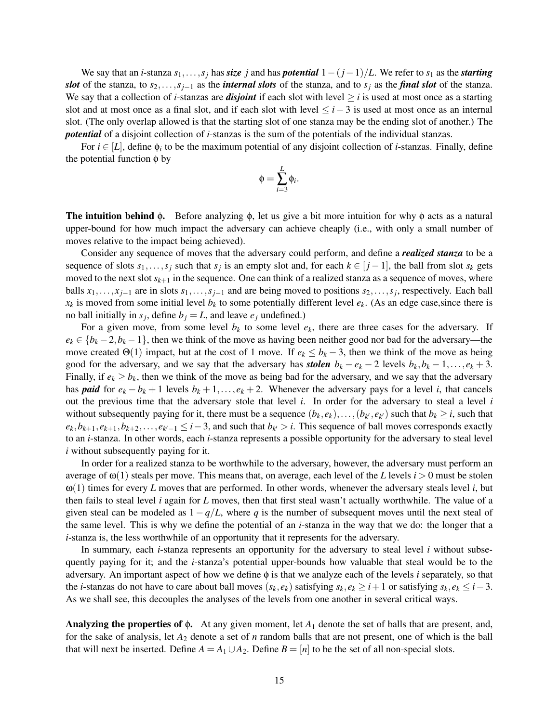We say that an *i*-stanza  $s_1, \ldots, s_j$  has *size j* and has *potential*  $1 - (j-1)/L$ . We refer to  $s_1$  as the *starting slot* of the stanza, to *s*2,...,*sj*−<sup>1</sup> as the *internal slots* of the stanza, and to *s<sup>j</sup>* as the *final slot* of the stanza. We say that a collection of *i*-stanzas are *disjoint* if each slot with level ≥ *i* is used at most once as a starting slot and at most once as a final slot, and if each slot with level ≤ *i*− 3 is used at most once as an internal slot. (The only overlap allowed is that the starting slot of one stanza may be the ending slot of another.) The *potential* of a disjoint collection of *i*-stanzas is the sum of the potentials of the individual stanzas.

For  $i \in [L]$ , define  $\phi_i$  to be the maximum potential of any disjoint collection of *i*-stanzas. Finally, define the potential function  $φ$  by

$$
\phi = \sum_{i=3}^L \phi_i.
$$

**The intuition behind φ.** Before analyzing  $\phi$ , let us give a bit more intuition for why  $\phi$  acts as a natural upper-bound for how much impact the adversary can achieve cheaply (i.e., with only a small number of moves relative to the impact being achieved).

Consider any sequence of moves that the adversary could perform, and define a *realized stanza* to be a sequence of slots  $s_1, \ldots, s_j$  such that  $s_j$  is an empty slot and, for each  $k \in [j-1]$ , the ball from slot  $s_k$  gets moved to the next slot  $s_{k+1}$  in the sequence. One can think of a realized stanza as a sequence of moves, where balls  $x_1, \ldots, x_{j-1}$  are in slots  $s_1, \ldots, s_{j-1}$  and are being moved to positions  $s_2, \ldots, s_j$ , respectively. Each ball  $x_k$  is moved from some initial level  $b_k$  to some potentially different level  $e_k$ . (As an edge case, since there is no ball initially in  $s_j$ , define  $b_j = L$ , and leave  $e_j$  undefined.)

For a given move, from some level  $b_k$  to some level  $e_k$ , there are three cases for the adversary. If  $e_k \in \{b_k - 2, b_k - 1\}$ , then we think of the move as having been neither good nor bad for the adversary—the move created  $\Theta(1)$  impact, but at the cost of 1 move. If  $e_k \leq b_k - 3$ , then we think of the move as being good for the adversary, and we say that the adversary has *stolen*  $b_k - e_k - 2$  levels  $b_k, b_k - 1, \ldots, e_k + 3$ . Finally, if  $e_k \geq b_k$ , then we think of the move as being bad for the adversary, and we say that the adversary has *paid* for  $e_k - b_k + 1$  levels  $b_k + 1, \ldots, e_k + 2$ . Whenever the adversary pays for a level *i*, that cancels out the previous time that the adversary stole that level *i*. In order for the adversary to steal a level *i* without subsequently paying for it, there must be a sequence  $(b_k, e_k), \ldots, (b_{k'}, e_{k'})$  such that  $b_k \ge i$ , such that  $e_k, b_{k+1}, e_{k+1}, b_{k+2}, \ldots, e_{k'-1} \leq i-3$ , and such that  $b_{k'} > i$ . This sequence of ball moves corresponds exactly to an *i*-stanza. In other words, each *i*-stanza represents a possible opportunity for the adversary to steal level *i* without subsequently paying for it.

In order for a realized stanza to be worthwhile to the adversary, however, the adversary must perform an average of  $\omega(1)$  steals per move. This means that, on average, each level of the *L* levels  $i > 0$  must be stolen ω(1) times for every *L* moves that are performed. In other words, whenever the adversary steals level *i*, but then fails to steal level *i* again for *L* moves, then that first steal wasn't actually worthwhile. The value of a given steal can be modeled as  $1-q/L$ , where *q* is the number of subsequent moves until the next steal of the same level. This is why we define the potential of an *i*-stanza in the way that we do: the longer that a *i*-stanza is, the less worthwhile of an opportunity that it represents for the adversary.

In summary, each *i*-stanza represents an opportunity for the adversary to steal level *i* without subsequently paying for it; and the *i*-stanza's potential upper-bounds how valuable that steal would be to the adversary. An important aspect of how we define φ is that we analyze each of the levels *i* separately, so that the *i*-stanzas do not have to care about ball moves  $(s_k, e_k)$  satisfying  $s_k, e_k \geq i+1$  or satisfying  $s_k, e_k \leq i-3$ . As we shall see, this decouples the analyses of the levels from one another in several critical ways.

Analyzing the properties of φ. At any given moment, let *A*<sup>1</sup> denote the set of balls that are present, and, for the sake of analysis, let *A*<sup>2</sup> denote a set of *n* random balls that are not present, one of which is the ball that will next be inserted. Define  $A = A_1 \cup A_2$ . Define  $B = [n]$  to be the set of all non-special slots.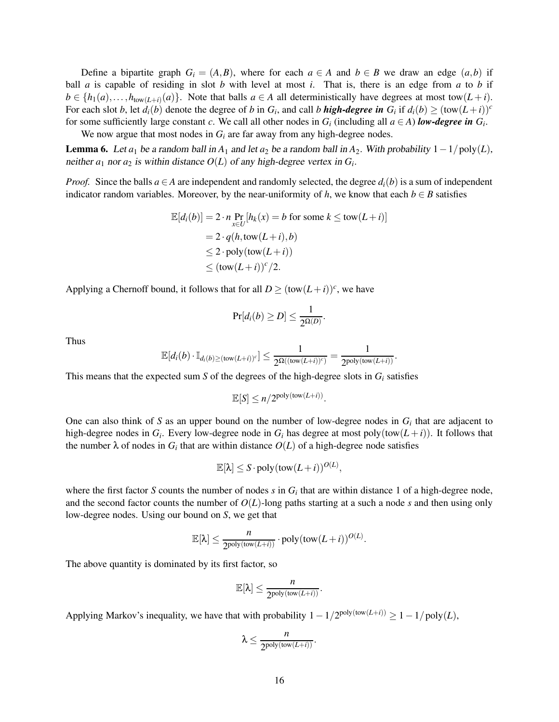Define a bipartite graph  $G_i = (A, B)$ , where for each  $a \in A$  and  $b \in B$  we draw an edge  $(a, b)$  if ball *a* is capable of residing in slot *b* with level at most *i*. That is, there is an edge from *a* to *b* if  $b \in \{h_1(a),...,h_{\text{tow}(L+i)}(a)\}$ . Note that balls  $a \in A$  all deterministically have degrees at most tow $(L+i)$ . For each slot b, let  $d_i(b)$  denote the degree of b in  $G_i$ , and call b **high-degree in**  $G_i$  if  $d_i(b) \geq (\text{tow}(L+i))^c$ for some sufficiently large constant *c*. We call all other nodes in  $G_i$  (including all  $a \in A$ ) *low-degree in*  $G_i$ .

We now argue that most nodes in  $G_i$  are far away from any high-degree nodes.

<span id="page-16-0"></span>**Lemma 6.** Let  $a_1$  be a random ball in  $A_1$  and let  $a_2$  be a random ball in  $A_2$ . With probability  $1 - 1/poly(L)$ , neither  $a_1$  nor  $a_2$  is within distance  $O(L)$  of any high-degree vertex in  $G_i$ .

*Proof.* Since the balls  $a \in A$  are independent and randomly selected, the degree  $d_i(b)$  is a sum of independent indicator random variables. Moreover, by the near-uniformity of *h*, we know that each  $b \in B$  satisfies

$$
\mathbb{E}[d_i(b)] = 2 \cdot n \Pr_{x \in U}[h_k(x) = b \text{ for some } k \le \text{tow}(L+i)]
$$
  
= 2 \cdot q(h, \text{tow}(L+i), b)  

$$
\le 2 \cdot \text{poly}(\text{tow}(L+i))
$$
  

$$
\le (\text{tow}(L+i))^c/2.
$$

Applying a Chernoff bound, it follows that for all  $D \ge (\text{tow}(L+i))^c$ , we have

$$
\Pr[d_i(b) \geq D] \leq \frac{1}{2^{\Omega(D)}}.
$$

Thus

$$
\mathbb{E}[d_i(b) \cdot \mathbb{I}_{d_i(b)\geq(\text{tow}(L+i))^c}] \leq \frac{1}{2^{\Omega((\text{tow}(L+i))^c)}} = \frac{1}{2^{\text{poly}(\text{tow}(L+i))}}.
$$

This means that the expected sum *S* of the degrees of the high-degree slots in  $G_i$  satisfies

$$
\mathbb{E}[S] \le n/2^{\text{poly}(\text{tow}(L+i))}.
$$

One can also think of  $S$  as an upper bound on the number of low-degree nodes in  $G_i$  that are adjacent to high-degree nodes in  $G_i$ . Every low-degree node in  $G_i$  has degree at most poly(tow( $L+i$ )). It follows that the number  $\lambda$  of nodes in  $G_i$  that are within distance  $O(L)$  of a high-degree node satisfies

$$
\mathbb{E}[\lambda] \le S \cdot \text{poly}(\text{tow}(L+i))^{O(L)},
$$

where the first factor *S* counts the number of nodes  $s$  in  $G_i$  that are within distance 1 of a high-degree node, and the second factor counts the number of  $O(L)$ -long paths starting at a such a node *s* and then using only low-degree nodes. Using our bound on *S*, we get that

$$
\mathbb{E}[\lambda] \leq \frac{n}{2^{\textnormal{poly}(\textnormal{tow}(L+i))}} \cdot \textnormal{poly}(\textnormal{tow}(L+i))^{O(L)}.
$$

The above quantity is dominated by its first factor, so

$$
\mathbb{E}[\lambda] \leq \frac{n}{2^{\text{poly}(\text{tow}(L+i))}}.
$$

Applying Markov's inequality, we have that with probability  $1 - 1/2^{poly(tow(L+i))} \geq 1 - 1/poly(L)$ ,

$$
\lambda \leq \frac{n}{2^{poly(tow(L+i))}}.
$$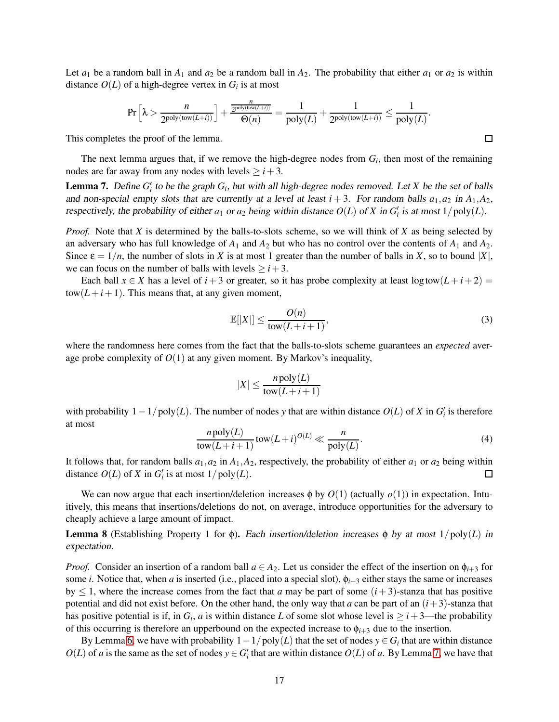Let  $a_1$  be a random ball in  $A_1$  and  $a_2$  be a random ball in  $A_2$ . The probability that either  $a_1$  or  $a_2$  is within distance  $O(L)$  of a high-degree vertex in  $G_i$  is at most

$$
\Pr\Big[\lambda > \frac{n}{2^{\textnormal{poly}( \mathrm{tow}(L+i))}}\Big] + \frac{\frac{n}{2^{\textnormal{poly}( \mathrm{tow}(L+i))}}}{\Theta(n)} = \frac{1}{\textnormal{poly}(L)} + \frac{1}{2^{\textnormal{poly}( \mathrm{tow}(L+i))}} \leq \frac{1}{\textnormal{poly}(L)}.
$$

This completes the proof of the lemma.

The next lemma argues that, if we remove the high-degree nodes from *G<sup>i</sup>* , then most of the remaining nodes are far away from any nodes with levels  $\geq i+3$ .

<span id="page-17-0"></span>**Lemma 7.** Define  $G_i'$  to be the graph  $G_i$ , but with all high-degree nodes removed. Let *X* be the set of balls and non-special empty slots that are currently at a level at least  $i + 3$ . For random balls  $a_1, a_2$  in  $A_1, A_2$ , respectively, the probability of either  $a_1$  or  $a_2$  being within distance  $O(L)$  of X in  $G'_i$  is at most  $1/\text{poly}(L)$ .

*Proof.* Note that *X* is determined by the balls-to-slots scheme, so we will think of *X* as being selected by an adversary who has full knowledge of  $A_1$  and  $A_2$  but who has no control over the contents of  $A_1$  and  $A_2$ . Since  $\varepsilon = 1/n$ , the number of slots in *X* is at most 1 greater than the number of balls in *X*, so to bound |*X*|, we can focus on the number of balls with levels  $\geq i+3$ .

Each ball  $x \in X$  has a level of  $i + 3$  or greater, so it has probe complexity at least  $\log \text{tow}(L + i + 2) =$  $tow(L+i+1)$ . This means that, at any given moment,

<span id="page-17-1"></span>
$$
\mathbb{E}[|X|] \le \frac{O(n)}{\text{tow}(L+i+1)},\tag{3}
$$

where the randomness here comes from the fact that the balls-to-slots scheme guarantees an *expected* average probe complexity of  $O(1)$  at any given moment. By Markov's inequality,

$$
|X| \le \frac{n \text{poly}(L)}{\text{tow}(L+i+1)}
$$

with probability  $1 - 1/poly(L)$ . The number of nodes *y* that are within distance  $O(L)$  of *X* in  $G'_{i}$  is therefore at most

<span id="page-17-2"></span>
$$
\frac{n \text{poly}(L)}{\text{tow}(L+i+1)} \text{tow}(L+i)^{O(L)} \ll \frac{n}{\text{poly}(L)}.\tag{4}
$$

It follows that, for random balls  $a_1, a_2$  in  $A_1, A_2$ , respectively, the probability of either  $a_1$  or  $a_2$  being within distance  $O(L)$  of *X* in  $G_i'$  is at most  $1/poly(L)$ . □

We can now argue that each insertion/deletion increases  $\phi$  by  $O(1)$  (actually  $o(1)$ ) in expectation. Intuitively, this means that insertions/deletions do not, on average, introduce opportunities for the adversary to cheaply achieve a large amount of impact.

**Lemma 8** (Establishing Property 1 for φ). Each insertion/deletion increases φ by at most  $1/\text{poly}(L)$  in expectation.

*Proof.* Consider an insertion of a random ball  $a \in A_2$ . Let us consider the effect of the insertion on  $\phi_{i+3}$  for some *i*. Notice that, when *a* is inserted (i.e., placed into a special slot),  $\phi_{i+3}$  either stays the same or increases by  $\leq 1$ , where the increase comes from the fact that *a* may be part of some  $(i+3)$ -stanza that has positive potential and did not exist before. On the other hand, the only way that *a* can be part of an (*i*+3)-stanza that has positive potential is if, in  $G_i$ , *a* is within distance *L* of some slot whose level is  $\geq i+3$ —the probability of this occurring is therefore an upperbound on the expected increase to  $\phi_{i+3}$  due to the insertion.

By Lemma [6,](#page-16-0) we have with probability  $1 - 1/poly(L)$  that the set of nodes  $y \in G_i$  that are within distance  $O(L)$  of *a* is the same as the set of nodes  $y \in G_i'$  that are within distance  $O(L)$  of *a*. By Lemma [7,](#page-17-0) we have that

 $\Box$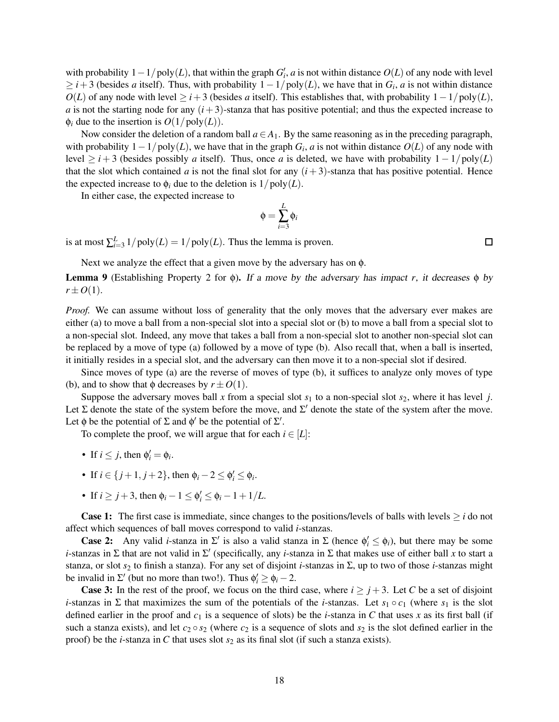with probability  $1 - 1/poly(L)$ , that within the graph  $G'_{i}$ , *a* is not within distance  $O(L)$  of any node with level  $\geq i+3$  (besides *a* itself). Thus, with probability  $1-1/poly(L)$ , we have that in  $G_i$ , *a* is not within distance  $O(L)$  of any node with level  $\geq i+3$  (besides *a* itself). This establishes that, with probability  $1-1/poly(L)$ , *a* is not the starting node for any  $(i+3)$ -stanza that has positive potential; and thus the expected increase to  $\phi_i$  due to the insertion is  $O(1/\text{poly}(L))$ .

Now consider the deletion of a random ball  $a \in A_1$ . By the same reasoning as in the preceding paragraph, with probability  $1 - 1/poly(L)$ , we have that in the graph  $G_i$ , *a* is not within distance  $O(L)$  of any node with level  $\geq i + 3$  (besides possibly *a* itself). Thus, once *a* is deleted, we have with probability  $1 - 1/poly(L)$ that the slot which contained *a* is not the final slot for any  $(i+3)$ -stanza that has positive potential. Hence the expected increase to  $\phi_i$  due to the deletion is  $1/poly(L)$ .

In either case, the expected increase to

$$
\phi = \sum_{i=3}^L \phi_i
$$

is at most  $\sum_{i=3}^{L} 1/poly(L) = 1/poly(L)$ . Thus the lemma is proven.

Next we analyze the effect that a given move by the adversary has on φ.

**Lemma 9** (Establishing Property 2 for φ). If a move by the adversary has impact *r*, it decreases φ by  $r \pm O(1)$ .

*Proof.* We can assume without loss of generality that the only moves that the adversary ever makes are either (a) to move a ball from a non-special slot into a special slot or (b) to move a ball from a special slot to a non-special slot. Indeed, any move that takes a ball from a non-special slot to another non-special slot can be replaced by a move of type (a) followed by a move of type (b). Also recall that, when a ball is inserted, it initially resides in a special slot, and the adversary can then move it to a non-special slot if desired.

Since moves of type (a) are the reverse of moves of type (b), it suffices to analyze only moves of type (b), and to show that  $\phi$  decreases by  $r \pm O(1)$ .

Suppose the adversary moves ball x from a special slot  $s_1$  to a non-special slot  $s_2$ , where it has level *j*. Let  $\Sigma$  denote the state of the system before the move, and  $\Sigma'$  denote the state of the system after the move. Let  $\phi$  be the potential of  $\Sigma$  and  $\phi'$  be the potential of  $\Sigma'$ .

To complete the proof, we will argue that for each  $i \in [L]$ :

- If  $i \leq j$ , then  $\phi'_i = \phi_i$ .
- If  $i \in \{j+1, j+2\}$ , then  $\phi_i 2 \le \phi'_i \le \phi_i$ .
- If  $i \ge j+3$ , then  $\phi_i 1 \le \phi'_i \le \phi_i 1 + 1/L$ .

**Case 1:** The first case is immediate, since changes to the positions/levels of balls with levels  $\geq i$  do not affect which sequences of ball moves correspond to valid *i*-stanzas.

**Case 2:** Any valid *i*-stanza in  $\Sigma'$  is also a valid stanza in  $\Sigma$  (hence  $\phi'_i \leq \phi_i$ ), but there may be some *i*-stanzas in Σ that are not valid in Σ ′ (specifically, any *i*-stanza in Σ that makes use of either ball *x* to start a stanza, or slot *s*<sup>2</sup> to finish a stanza). For any set of disjoint *i*-stanzas in Σ, up to two of those *i*-stanzas might be invalid in  $\Sigma'$  (but no more than two!). Thus  $\phi'_i \ge \phi_i - 2$ .

**Case 3:** In the rest of the proof, we focus on the third case, where  $i \geq j+3$ . Let C be a set of disjoint *i*-stanzas in  $\Sigma$  that maximizes the sum of the potentials of the *i*-stanzas. Let  $s_1 \circ c_1$  (where  $s_1$  is the slot defined earlier in the proof and  $c_1$  is a sequence of slots) be the *i*-stanza in C that uses x as its first ball (if such a stanza exists), and let  $c_2 \circ s_2$  (where  $c_2$  is a sequence of slots and  $s_2$  is the slot defined earlier in the proof) be the *i*-stanza in *C* that uses slot *s*<sup>2</sup> as its final slot (if such a stanza exists).

 $\Box$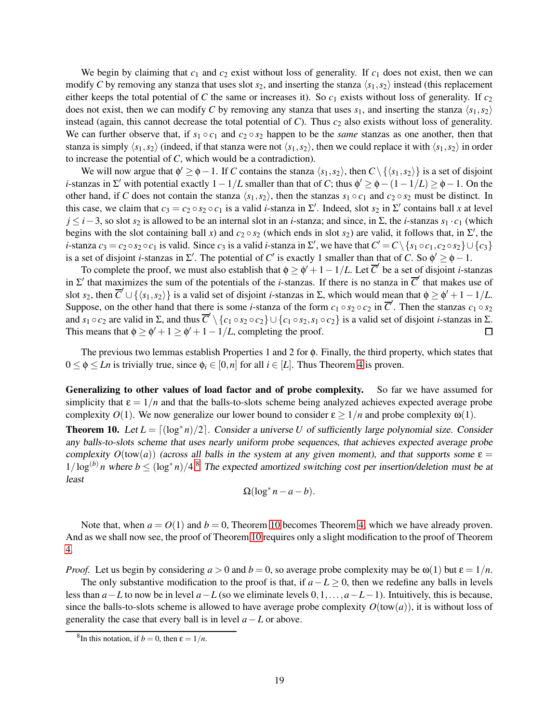We begin by claiming that  $c_1$  and  $c_2$  exist without loss of generality. If  $c_1$  does not exist, then we can modify *C* by removing any stanza that uses slot  $s_2$ , and inserting the stanza  $\langle s_1, s_2 \rangle$  instead (this replacement either keeps the total potential of *C* the same or increases it). So  $c_1$  exists without loss of generality. If  $c_2$ does not exist, then we can modify *C* by removing any stanza that uses  $s_1$ , and inserting the stanza  $\langle s_1, s_2 \rangle$ instead (again, this cannot decrease the total potential of  $C$ ). Thus  $c_2$  also exists without loss of generality. We can further observe that, if  $s_1 \circ c_1$  and  $c_2 \circ s_2$  happen to be the *same* stanzas as one another, then that stanza is simply  $\langle s_1, s_2 \rangle$  (indeed, if that stanza were not  $\langle s_1, s_2 \rangle$ , then we could replace it with  $\langle s_1, s_2 \rangle$  in order to increase the potential of *C*, which would be a contradiction).

We will now argue that  $\phi' \ge \phi - 1$ . If *C* contains the stanza  $\langle s_1, s_2 \rangle$ , then  $C \setminus {\langle s_1, s_2 \rangle}$  is a set of disjoint *i*-stanzas in  $\Sigma'$  with potential exactly  $1 - 1/L$  smaller than that of *C*; thus  $\phi' \ge \phi - (1 - 1/L) \ge \phi - 1$ . On the other hand, if *C* does not contain the stanza  $\langle s_1, s_2 \rangle$ , then the stanzas  $s_1 \circ c_1$  and  $c_2 \circ s_2$  must be distinct. In this case, we claim that  $c_3 = c_2 \circ s_2 \circ c_1$  is a valid *i*-stanza in  $\Sigma'$ . Indeed, slot  $s_2$  in  $\Sigma'$  contains ball *x* at level *j* ≤ *i*−3, so slot *s*<sup>2</sup> is allowed to be an internal slot in an *i*-stanza; and since, in Σ, the *i*-stanzas *s*<sup>1</sup> · *c*<sup>1</sup> (which begins with the slot containing ball *x*) and  $c_2 \circ s_2$  (which ends in slot  $s_2$ ) are valid, it follows that, in  $\Sigma'$ , the *i*-stanza  $c_3 = c_2 \circ s_2 \circ c_1$  is valid. Since  $c_3$  is a valid *i*-stanza in  $\Sigma'$ , we have that  $C' = C \setminus \{s_1 \circ c_1, c_2 \circ s_2\} \cup \{c_3\}$ is a set of disjoint *i*-stanzas in  $\Sigma'$ . The potential of *C'* is exactly 1 smaller than that of *C*. So  $\phi' \ge \phi - 1$ .

To complete the proof, we must also establish that  $\phi \geq \phi' + 1 - 1/L$ . Let  $\overline{C}'$  be a set of disjoint *i*-stanzas in  $\Sigma'$  that maximizes the sum of the potentials of the *i*-stanzas. If there is no stanza in  $\overline{C}'$  that makes use of slot  $s_2$ , then  $\overline{C} \cup \{\langle s_1, s_2 \rangle\}$  is a valid set of disjoint *i*-stanzas in  $\Sigma$ , which would mean that  $\phi \ge \phi' + 1 - 1/L$ . Suppose, on the other hand that there is some *i*-stanza of the form  $c_1 \circ s_2 \circ c_2$  in  $\overline{C}'$ . Then the stanzas  $c_1 \circ s_2$ and  $s_1 \circ c_2$  are valid in  $\Sigma$ , and thus  $\overline{C}' \setminus \{c_1 \circ s_2 \circ c_2\} \cup \{c_1 \circ s_2, s_1 \circ c_2\}$  is a valid set of disjoint *i*-stanzas in  $\Sigma$ . This means that  $\phi \geq \phi' + 1 \geq \phi' + 1 - 1/L$ , completing the proof.

The previous two lemmas establish Properties 1 and 2 for φ. Finally, the third property, which states that  $0 \le \phi \le Ln$  is trivially true, since  $\phi_i \in [0, n]$  for all  $i \in [L]$ . Thus Theorem [4](#page-12-3) is proven.

Generalizing to other values of load factor and of probe complexity. So far we have assumed for simplicity that  $\epsilon = 1/n$  and that the balls-to-slots scheme being analyzed achieves expected average probe complexity  $O(1)$ . We now generalize our lower bound to consider  $\varepsilon \geq 1/n$  and probe complexity  $\omega(1)$ .

<span id="page-19-1"></span>**Theorem 10.** Let  $L = \lfloor (\log^* n)/2 \rfloor$ . Consider a universe *U* of sufficiently large polynomial size. Consider any balls-to-slots scheme that uses nearly uniform probe sequences, that achieves expected average probe complexity  $O(tow(a))$  (across all balls in the system at any given moment), and that supports some  $\varepsilon =$  $1/\log^{(b)} n$  where  $b \leq (\log^* n)/4$ .<sup>[8](#page-19-0)</sup> The expected amortized switching cost per insertion/deletion must be at least

$$
\Omega(\log^* n - a - b).
$$

Note that, when  $a = O(1)$  and  $b = 0$ , Theorem [10](#page-19-1) becomes Theorem [4,](#page-12-3) which we have already proven. And as we shall now see, the proof of Theorem [10](#page-19-1) requires only a slight modification to the proof of Theorem [4.](#page-12-3)

*Proof.* Let us begin by considering  $a > 0$  and  $b = 0$ , so average probe complexity may be  $\omega(1)$  but  $\varepsilon = 1/n$ .

The only substantive modification to the proof is that, if *a*−*L* ≥ 0, then we redefine any balls in levels less than *a*−*L* to now be in level *a*−*L* (so we eliminate levels 0,1,...,*a*−*L*−1). Intuitively, this is because, since the balls-to-slots scheme is allowed to have average probe complexity  $O(tow(a))$ , it is without loss of generality the case that every ball is in level  $a - L$  or above.

<span id="page-19-0"></span><sup>&</sup>lt;sup>8</sup>In this notation, if  $b = 0$ , then  $\varepsilon = 1/n$ .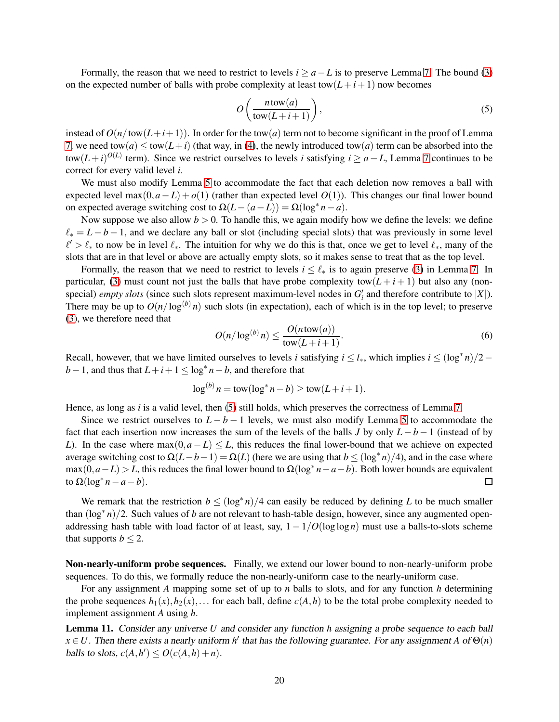Formally, the reason that we need to restrict to levels  $i \ge a - L$  is to preserve Lemma [7.](#page-17-0) The bound [\(3\)](#page-17-1) on the expected number of balls with probe complexity at least tow $(L+i+1)$  now becomes

<span id="page-20-0"></span>
$$
O\left(\frac{n \operatorname{tow}(a)}{\operatorname{tow}(L+i+1)}\right),\tag{5}
$$

instead of  $O(n/\text{tow}(L+i+1))$ . In order for the tow(*a*) term not to become significant in the proof of Lemma [7,](#page-17-0) we need tow( $a$ )  $\leq$  tow( $L+i$ ) (that way, in [\(4\)](#page-17-2), the newly introduced tow( $a$ ) term can be absorbed into the  $\frac{1}{2}$  term). Since we restrict ourselves to levels *i* satisfying *i* ≥ *a*−*L*, Lemma [7](#page-17-0) continues to be correct for every valid level *i*.

We must also modify Lemma [5](#page-13-0) to accommodate the fact that each deletion now removes a ball with expected level max $(0, a - L) + o(1)$  (rather than expected level  $O(1)$ ). This changes our final lower bound on expected average switching cost to  $\Omega(L - (a - L)) = \Omega(\log^* n - a)$ .

Now suppose we also allow  $b > 0$ . To handle this, we again modify how we define the levels: we define  $\ell_* = L - b - 1$ , and we declare any ball or slot (including special slots) that was previously in some level  $\ell' > \ell_*$  to now be in level  $\ell_*$ . The intuition for why we do this is that, once we get to level  $\ell_*$ , many of the slots that are in that level or above are actually empty slots, so it makes sense to treat that as the top level.

Formally, the reason that we need to restrict to levels  $i \leq \ell_*$  is to again preserve [\(3\)](#page-17-1) in Lemma [7.](#page-17-0) In particular, [\(3\)](#page-17-1) must count not just the balls that have probe complexity tow( $L + i + 1$ ) but also any (nonspecial) *empty slots* (since such slots represent maximum-level nodes in  $G_i'$  and therefore contribute to |X|). There may be up to  $O(n/\log^{(b)} n)$  such slots (in expectation), each of which is in the top level; to preserve [\(3\)](#page-17-1), we therefore need that

$$
O(n/\log^{(b)} n) \le \frac{O(n \operatorname{tow}(a))}{\operatorname{tow}(L+i+1)}.\tag{6}
$$

Recall, however, that we have limited ourselves to levels *i* satisfying  $i \leq l_*$ , which implies  $i \leq (\log^* n)/2$ *b* − 1, and thus that  $L + i + 1 \le log^* n - b$ , and therefore that

$$
\log^{(b)} n = \text{tow}(\log^* n - b) \ge \text{tow}(L + i + 1).
$$

Hence, as long as *i* is a valid level, then [\(5\)](#page-20-0) still holds, which preserves the correctness of Lemma [7.](#page-17-0)

Since we restrict ourselves to  $L - b - 1$  levels, we must also modify Lemma [5](#page-13-0) to accommodate the fact that each insertion now increases the sum of the levels of the balls *J* by only  $L - b - 1$  (instead of by *L*). In the case where  $\max(0, a - L) \leq L$ , this reduces the final lower-bound that we achieve on expected average switching cost to  $\Omega(L - b - 1) = \Omega(L)$  (here we are using that  $b \leq (\log^* n)/4$ ), and in the case where  $\max(0, a - L) > L$ , this reduces the final lower bound to  $\Omega(\log^* n - a - b)$ . Both lower bounds are equivalent to  $\Omega(\log^* n - a - b)$ .

We remark that the restriction  $b \leq (\log^* n)/4$  can easily be reduced by defining *L* to be much smaller than (log∗ *n*)/2. Such values of *b* are not relevant to hash-table design, however, since any augmented openaddressing hash table with load factor of at least, say, 1− 1/*O*(loglog *n*) must use a balls-to-slots scheme that supports  $b \leq 2$ .

Non-nearly-uniform probe sequences. Finally, we extend our lower bound to non-nearly-uniform probe sequences. To do this, we formally reduce the non-nearly-uniform case to the nearly-uniform case.

For any assignment *A* mapping some set of up to *n* balls to slots, and for any function *h* determining the probe sequences  $h_1(x), h_2(x), \ldots$  for each ball, define  $c(A, h)$  to be the total probe complexity needed to implement assignment *A* using *h*.

Lemma 11. Consider any universe *U* and consider any function *h* assigning <sup>a</sup> probe sequence to each ball  $x \in U$ . Then there exists a nearly uniform *h*<sup> $\prime$ </sup> that has the following guarantee. For any assignment *A* of  $\Theta(n)$ balls to slots,  $c(A, h') \le O(c(A, h) + n)$ .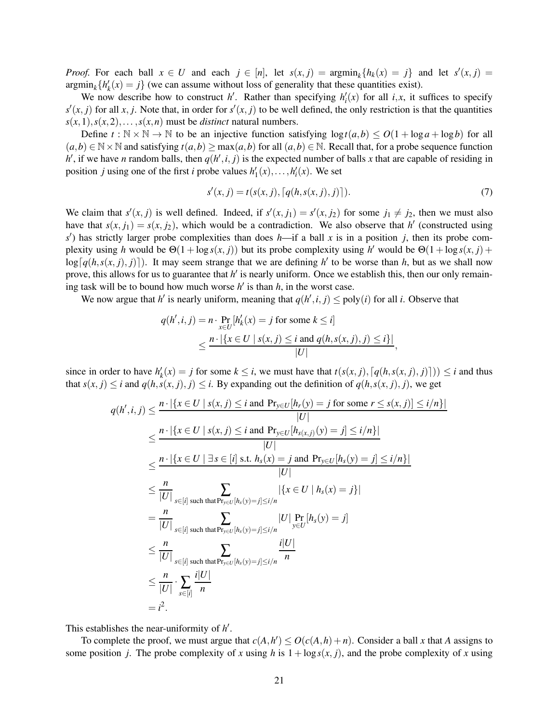*Proof.* For each ball  $x \in U$  and each  $j \in [n]$ , let  $s(x, j) = \operatorname{argmin}_k \{ h_k(x) = j \}$  and let  $s'(x, j) =$  $\operatorname{argmin}_k \{ h'_k(x) = j \}$  (we can assume without loss of generality that these quantities exist).

We now describe how to construct *h'*. Rather than specifying  $h'_i(x)$  for all *i,x*, it suffices to specify  $s'(x, j)$  for all *x*, *j*. Note that, in order for  $s'(x, j)$  to be well defined, the only restriction is that the quantities  $s(x,1), s(x,2), \ldots, s(x,n)$  must be *distinct* natural numbers.

Define  $t : \mathbb{N} \times \mathbb{N} \to \mathbb{N}$  to be an injective function satisfying  $\log t(a,b) \leq O(1 + \log a + \log b)$  for all  $(a,b) \in \mathbb{N} \times \mathbb{N}$  and satisfying  $t(a,b) \ge \max(a,b)$  for all  $(a,b) \in \mathbb{N}$ . Recall that, for a probe sequence function *h*<sup> $\prime$ </sup>, if we have *n* random balls, then  $q(h', i, j)$  is the expected number of balls *x* that are capable of residing in position *j* using one of the first *i* probe values  $h'_1(x), \ldots, h'_i(x)$ . We set

$$
s'(x, j) = t(s(x, j), [q(h, s(x, j), j)]).
$$
\n(7)

We claim that  $s'(x, j)$  is well defined. Indeed, if  $s'(x, j_1) = s'(x, j_2)$  for some  $j_1 \neq j_2$ , then we must also have that  $s(x, j_1) = s(x, j_2)$ , which would be a contradiction. We also observe that *h*<sup>'</sup> (constructed using *s* ′ ) has strictly larger probe complexities than does *h*—if a ball *x* is in a position *j*, then its probe complexity using *h* would be  $\Theta(1 + \log s(x, j))$  but its probe complexity using *h*' would be  $\Theta(1 + \log s(x, j) +$  $log[q(h, s(x, j), j)]$ . It may seem strange that we are defining *h*<sup> $\prime$ </sup> to be worse than *h*, but as we shall now prove, this allows for us to guarantee that *h'* is nearly uniform. Once we establish this, then our only remaining task will be to bound how much worse  $h'$  is than  $h$ , in the worst case.

We now argue that *h'* is nearly uniform, meaning that  $q(h', i, j) \leq \text{poly}(i)$  for all *i*. Observe that

$$
q(h',i,j) = n \cdot \Pr_{x \in U} [h'_k(x) = j \text{ for some } k \le i]
$$
  

$$
\le \frac{n \cdot |\{x \in U \mid s(x,j) \le i \text{ and } q(h,s(x,j),j) \le i\}|}{|U|},
$$

since in order to have  $h'_k(x) = j$  for some  $k \le i$ , we must have that  $t(s(x, j), [q(h, s(x, j), j)]) \le i$  and thus that  $s(x, j) \leq i$  and  $q(h, s(x, j), j) \leq i$ . By expanding out the definition of  $q(h, s(x, j), j)$ , we get

$$
q(h',i,j) \leq \frac{n \cdot |\{x \in U \mid s(x,j) \leq i \text{ and } Pr_{y \in U}[h_r(y) = j \text{ for some } r \leq s(x,j)] \leq i/n\}|}{|U|}
$$
  
\n
$$
\leq \frac{n \cdot |\{x \in U \mid s(x,j) \leq i \text{ and } Pr_{y \in U}[h_{s(x,j)}(y) = j] \leq i/n\}|}{|U|}
$$
  
\n
$$
\leq \frac{n \cdot |\{x \in U \mid \exists s \in [i] \text{ s.t. } h_s(x) = j \text{ and } Pr_{y \in U}[h_s(y) = j] \leq i/n\}|}{|U|}
$$
  
\n
$$
\leq \frac{n}{|U|} \sum_{s \in [i] \text{ such that } Pr_{y \in U}[h_s(y) = j] \leq i/n} |\{x \in U \mid h_s(x) = j\}|
$$
  
\n
$$
= \frac{n}{|U|} \sum_{s \in [i] \text{ such that } Pr_{y \in U}[h_s(y) = j] \leq i/n} |U| \Pr_{y \in U}[h_s(y) = j]
$$
  
\n
$$
\leq \frac{n}{|U|} \sum_{s \in [i] \text{ such that } Pr_{y \in U}[h_s(y) = j] \leq i/n} \frac{i|U|}{n}
$$
  
\n
$$
= \frac{n}{|U|} \cdot \sum_{s \in [i]} \frac{i|U|}{n}
$$
  
\n
$$
= i^2.
$$

This establishes the near-uniformity of *h* ′ .

To complete the proof, we must argue that  $c(A, h') \le O(c(A, h) + n)$ . Consider a ball *x* that *A* assigns to some position *j*. The probe complexity of *x* using *h* is  $1 + \log s(x, j)$ , and the probe complexity of *x* using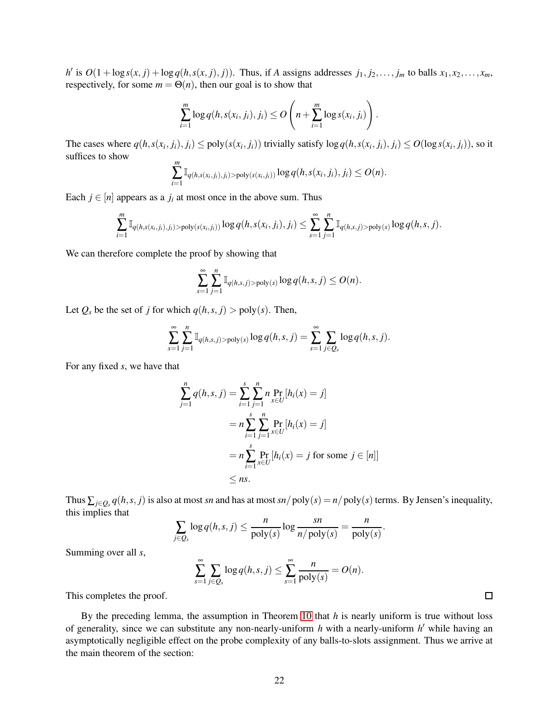h' is  $O(1 + \log s(x, j) + \log q(h, s(x, j), j))$ . Thus, if A assigns addresses  $j_1, j_2, \ldots, j_m$  to balls  $x_1, x_2, \ldots, x_m$ , respectively, for some  $m = \Theta(n)$ , then our goal is to show that

$$
\sum_{i=1}^m \log q(h, s(x_i, j_i), j_i) \leq O\left(n + \sum_{i=1}^m \log s(x_i, j_i)\right).
$$

The cases where  $q(h, s(x_i, j_i), j_i) \leq \text{poly}(s(x_i, j_i))$  trivially satisfy  $\log q(h, s(x_i, j_i), j_i) \leq O(\log s(x_i, j_i))$ , so it suffices to show

$$
\sum_{i=1}^m \mathbb{I}_{q(h,s(x_i,j_i),j_i) > \text{poly}(s(x_i,j_i))} \log q(h,s(x_i,j_i),j_i) \leq O(n).
$$

Each  $j \in [n]$  appears as a  $j_i$  at most once in the above sum. Thus

$$
\sum_{i=1}^m \mathbb{I}_{q(h,s(x_i,j_i),j_i) > \text{poly}(s(x_i,j_i))} \log q(h,s(x_i,j_i),j_i) \le \sum_{s=1}^{\infty} \sum_{j=1}^n \mathbb{I}_{q(h,s,j) > \text{poly}(s)} \log q(h,s,j).
$$

We can therefore complete the proof by showing that

$$
\sum_{s=1}^{\infty}\sum_{j=1}^{n}\mathbb{I}_{q(h,s,j)>poly(s)}\log q(h,s,j)\leq O(n).
$$

Let  $Q_s$  be the set of *j* for which  $q(h, s, j) > poly(s)$ . Then,

$$
\sum_{s=1}^{\infty}\sum_{j=1}^{n}\mathbb{I}_{q(h,s,j)>poly(s)}\log q(h,s,j)=\sum_{s=1}^{\infty}\sum_{j\in Q_s}\log q(h,s,j).
$$

For any fixed *s*, we have that

$$
\sum_{j=1}^{n} q(h, s, j) = \sum_{i=1}^{s} \sum_{j=1}^{n} n \Pr_{x \in U} [h_i(x) = j]
$$
  
=  $n \sum_{i=1}^{s} \sum_{j=1}^{n} \Pr_{x \in U} [h_i(x) = j]$   
=  $n \sum_{i=1}^{s} \Pr_{x \in U} [h_i(x) = j \text{ for some } j \in [n]]$   
 $\leq ns.$ 

Thus  $\sum_{j\in Q_s} q(h, s, j)$  is also at most *sn* and has at most *sn*/poly(*s*) = *n*/poly(*s*) terms. By Jensen's inequality, this implies that

$$
\sum_{j\in Q_s} \log q(h,s,j) \leq \frac{n}{\text{poly}(s)} \log \frac{sn}{n/\text{poly}(s)} = \frac{n}{\text{poly}(s)}.
$$

Summing over all *s*,

$$
\sum_{s=1}^{\infty} \sum_{j \in Q_s} \log q(h, s, j) \leq \sum_{s=1}^{\infty} \frac{n}{\text{poly}(s)} = O(n).
$$

This completes the proof.

By the preceding lemma, the assumption in Theorem [10](#page-19-1) that *h* is nearly uniform is true without loss of generality, since we can substitute any non-nearly-uniform *h* with a nearly-uniform *h* ′ while having an asymptotically negligible effect on the probe complexity of any balls-to-slots assignment. Thus we arrive at the main theorem of the section:

 $\Box$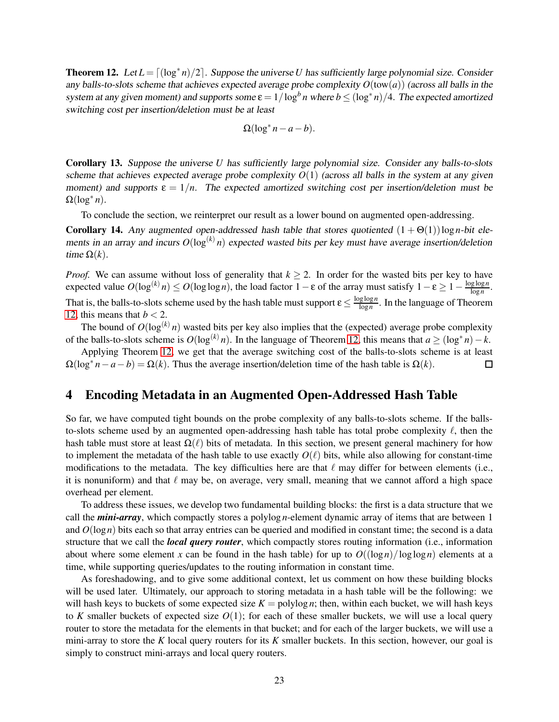<span id="page-23-1"></span>**Theorem 12.** Let  $L = \lfloor (\log^* n)/2 \rfloor$ . Suppose the universe *U* has sufficiently large polynomial size. Consider any balls-to-slots scheme that achieves expected average probe complexity *O*(tow(*a*)) (across all balls in the system at any given moment) and supports some  $\varepsilon = 1/\log^b n$  where  $b \le (\log^* n)/4$ . The expected amortized switching cost per insertion/deletion must be at least

$$
\Omega(\log^* n - a - b).
$$

Corollary 13. Suppose the universe *U* has sufficiently large polynomial size. Consider any balls-to-slots scheme that achieves expected average probe complexity  $O(1)$  (across all balls in the system at any given moment) and supports  $\varepsilon = 1/n$ . The expected amortized switching cost per insertion/deletion must be Ω(log∗ *n*).

To conclude the section, we reinterpret our result as a lower bound on augmented open-addressing.

<span id="page-23-2"></span>**Corollary 14.** Any augmented open-addressed hash table that stores quotiented  $(1 + \Theta(1))\log n$ -bit elements in an array and incurs  $O(\log^{(k)} n)$  expected wasted bits per key must have average insertion/deletion time  $\Omega(k)$ .

*Proof.* We can assume without loss of generality that  $k \ge 2$ . In order for the wasted bits per key to have expected value  $O(\log^{(k)} n) \leq O(\log \log n)$ , the load factor 1 –  $\varepsilon$  of the array must satisfy 1 –  $\varepsilon \geq 1 - \frac{\log \log n}{\log n}$ log*n* . That is, the balls-to-slots scheme used by the hash table must support  $\varepsilon \le \frac{\log \log n}{\log n}$  $\frac{\text{g}\log n}{\log n}$ . In the language of Theorem [12,](#page-23-1) this means that  $b < 2$ .

The bound of  $O(\log^{(k)} n)$  wasted bits per key also implies that the (expected) average probe complexity of the balls-to-slots scheme is  $O(\log^{(k)} n)$ . In the language of Theorem [12,](#page-23-1) this means that  $a \ge (\log^* n) - k$ .

Applying Theorem [12,](#page-23-1) we get that the average switching cost of the balls-to-slots scheme is at least  $\Omega(\log^* n - a - b) = \Omega(k)$ . Thus the average insertion/deletion time of the hash table is  $\Omega(k)$ .  $\Box$ 

## <span id="page-23-0"></span>4 Encoding Metadata in an Augmented Open-Addressed Hash Table

So far, we have computed tight bounds on the probe complexity of any balls-to-slots scheme. If the ballsto-slots scheme used by an augmented open-addressing hash table has total probe complexity  $\ell$ , then the hash table must store at least  $\Omega(\ell)$  bits of metadata. In this section, we present general machinery for how to implement the metadata of the hash table to use exactly  $O(\ell)$  bits, while also allowing for constant-time modifications to the metadata. The key difficulties here are that  $\ell$  may differ for between elements (i.e., it is nonuniform) and that  $\ell$  may be, on average, very small, meaning that we cannot afford a high space overhead per element.

To address these issues, we develop two fundamental building blocks: the first is a data structure that we call the *mini-array*, which compactly stores a polylog *n*-element dynamic array of items that are between 1 and  $O(\log n)$  bits each so that array entries can be queried and modified in constant time; the second is a data structure that we call the *local query router*, which compactly stores routing information (i.e., information about where some element x can be found in the hash table) for up to  $O((\log n)/\log \log n)$  elements at a time, while supporting queries/updates to the routing information in constant time.

As foreshadowing, and to give some additional context, let us comment on how these building blocks will be used later. Ultimately, our approach to storing metadata in a hash table will be the following: we will hash keys to buckets of some expected size  $K = \text{polylog } n$ ; then, within each bucket, we will hash keys to *K* smaller buckets of expected size  $O(1)$ ; for each of these smaller buckets, we will use a local query router to store the metadata for the elements in that bucket; and for each of the larger buckets, we will use a mini-array to store the *K* local query routers for its *K* smaller buckets. In this section, however, our goal is simply to construct mini-arrays and local query routers.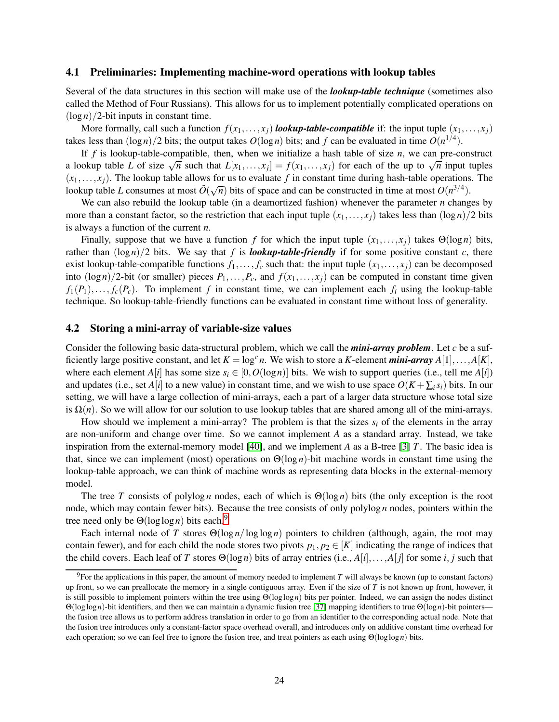#### 4.1 Preliminaries: Implementing machine-word operations with lookup tables

Several of the data structures in this section will make use of the *lookup-table technique* (sometimes also called the Method of Four Russians). This allows for us to implement potentially complicated operations on  $(\log n)/2$ -bit inputs in constant time.

More formally, call such a function  $f(x_1,...,x_j)$  *lookup-table-compatible* if: the input tuple  $(x_1,...,x_j)$ takes less than  $(\log n)/2$  bits; the output takes  $O(\log n)$  bits; and  $f$  can be evaluated in time  $O(n^{1/4})$ .

If *f* is lookup-table-compatible, then, when we initialize a hash table of size *n*, we can pre-construct a lookup table *L* of size  $\sqrt{n}$  such that  $L[x_1,\ldots,x_j] = f(x_1,\ldots,x_j)$  for each of the up to  $\sqrt{n}$  input tuples  $(x_1, \ldots, x_i)$ . The lookup table allows for us to evaluate f in constant time during hash-table operations. The lookup table *L* consumes at most  $\tilde{O}(\sqrt{n})$  bits of space and can be constructed in time at most  $O(n^{3/4})$ .

We can also rebuild the lookup table (in a deamortized fashion) whenever the parameter *n* changes by more than a constant factor, so the restriction that each input tuple  $(x_1,...,x_j)$  takes less than  $(\log n)/2$  bits is always a function of the current *n*.

Finally, suppose that we have a function *f* for which the input tuple  $(x_1,...,x_j)$  takes  $\Theta(\log n)$  bits, rather than  $(\log n)/2$  bits. We say that *f* is *lookup-table-friendly* if for some positive constant *c*, there exist lookup-table-compatible functions  $f_1, \ldots, f_c$  such that: the input tuple  $(x_1, \ldots, x_j)$  can be decomposed into  $(\log n)/2$ -bit (or smaller) pieces  $P_1, \ldots, P_c$ , and  $f(x_1, \ldots, x_j)$  can be computed in constant time given  $f_1(P_1), \ldots, f_c(P_c)$ . To implement *f* in constant time, we can implement each  $f_i$  using the lookup-table technique. So lookup-table-friendly functions can be evaluated in constant time without loss of generality.

#### 4.2 Storing a mini-array of variable-size values

Consider the following basic data-structural problem, which we call the *mini-array problem*. Let *c* be a sufficiently large positive constant, and let  $K = \log^c n$ . We wish to store a *K*-element *mini-array*  $A[1], \ldots, A[K]$ , where each element *A*[*i*] has some size  $s_i \in [0, O(\log n)]$  bits. We wish to support queries (i.e., tell me *A*[*i*]) and updates (i.e., set *A*[*i*] to a new value) in constant time, and we wish to use space  $O(K + \sum_i s_i)$  bits. In our setting, we will have a large collection of mini-arrays, each a part of a larger data structure whose total size is  $\Omega(n)$ . So we will allow for our solution to use lookup tables that are shared among all of the mini-arrays.

How should we implement a mini-array? The problem is that the sizes  $s_i$  of the elements in the array are non-uniform and change over time. So we cannot implement *A* as a standard array. Instead, we take inspiration from the external-memory model [\[40\]](#page-48-11), and we implement *A* as a B-tree [\[3\]](#page-46-11) *T*. The basic idea is that, since we can implement (most) operations on  $\Theta(\log n)$ -bit machine words in constant time using the lookup-table approach, we can think of machine words as representing data blocks in the external-memory model.

The tree *T* consists of polylog *n* nodes, each of which is  $\Theta(\log n)$  bits (the only exception is the root node, which may contain fewer bits). Because the tree consists of only polylog *n* nodes, pointers within the tree need only be Θ(loglog*n*) bits each.[9](#page-24-0)

Each internal node of *T* stores  $\Theta(\log n / \log \log n)$  pointers to children (although, again, the root may contain fewer), and for each child the node stores two pivots  $p_1, p_2 \in [K]$  indicating the range of indices that the child covers. Each leaf of *T* stores  $\Theta(\log n)$  bits of array entries (i.e.,  $A[i], \ldots, A[i]$  for some *i*, *j* such that

<span id="page-24-0"></span><sup>9</sup>For the applications in this paper, the amount of memory needed to implement *T* will always be known (up to constant factors) up front, so we can preallocate the memory in a single contiguous array. Even if the size of *T* is not known up front, however, it is still possible to implement pointers within the tree using Θ(loglog*n*) bits per pointer. Indeed, we can assign the nodes distinct Θ(loglog*n*)-bit identifiers, and then we can maintain a dynamic fusion tree [\[37\]](#page-48-12) mapping identifiers to true Θ(log*n*)-bit pointers the fusion tree allows us to perform address translation in order to go from an identifier to the corresponding actual node. Note that the fusion tree introduces only a constant-factor space overhead overall, and introduces only on additive constant time overhead for each operation; so we can feel free to ignore the fusion tree, and treat pointers as each using Θ(loglog*n*) bits.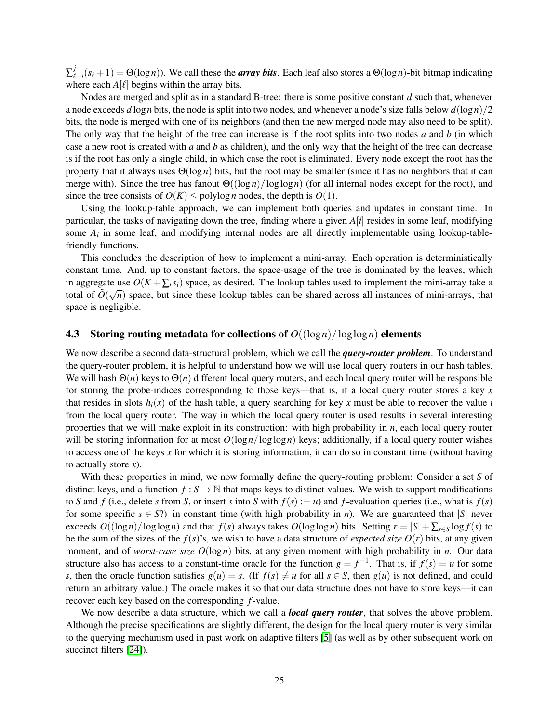∑ *j*  $\mathcal{L}_{\ell=i}(s_{\ell}+1)=\Theta(\log n)$ ). We call these the *array bits*. Each leaf also stores a  $\Theta(\log n)$ -bit bitmap indicating where each  $A[\ell]$  begins within the array bits.

Nodes are merged and split as in a standard B-tree: there is some positive constant *d* such that, whenever a node exceeds  $d \log n$  bits, the node is split into two nodes, and whenever a node's size falls below  $d(\log n)/2$ bits, the node is merged with one of its neighbors (and then the new merged node may also need to be split). The only way that the height of the tree can increase is if the root splits into two nodes *a* and *b* (in which case a new root is created with *a* and *b* as children), and the only way that the height of the tree can decrease is if the root has only a single child, in which case the root is eliminated. Every node except the root has the property that it always uses  $\Theta(\log n)$  bits, but the root may be smaller (since it has no neighbors that it can merge with). Since the tree has fanout Θ((log *n*)/loglog*n*) (for all internal nodes except for the root), and since the tree consists of  $O(K) \leq \text{polylog } n$  nodes, the depth is  $O(1)$ .

Using the lookup-table approach, we can implement both queries and updates in constant time. In particular, the tasks of navigating down the tree, finding where a given *A*[*i*] resides in some leaf, modifying some  $A_i$  in some leaf, and modifying internal nodes are all directly implementable using lookup-tablefriendly functions.

This concludes the description of how to implement a mini-array. Each operation is deterministically constant time. And, up to constant factors, the space-usage of the tree is dominated by the leaves, which in aggregate use  $O(K + \sum_i s_i)$  space, as desired. The lookup tables used to implement the mini-array take a total of  $O(\sqrt{n})$  space, but since these lookup tables can be shared across all instances of mini-arrays, that space is negligible.

#### **4.3** Storing routing metadata for collections of  $O((\log n)/\log \log n)$  elements

We now describe a second data-structural problem, which we call the *query-router problem*. To understand the query-router problem, it is helpful to understand how we will use local query routers in our hash tables. We will hash  $\Theta(n)$  keys to  $\Theta(n)$  different local query routers, and each local query router will be responsible for storing the probe-indices corresponding to those keys—that is, if a local query router stores a key *x* that resides in slots  $h_i(x)$  of the hash table, a query searching for key x must be able to recover the value *i* from the local query router. The way in which the local query router is used results in several interesting properties that we will make exploit in its construction: with high probability in *n*, each local query router will be storing information for at most  $O(\log n / \log \log n)$  keys; additionally, if a local query router wishes to access one of the keys *x* for which it is storing information, it can do so in constant time (without having to actually store *x*).

With these properties in mind, we now formally define the query-routing problem: Consider a set *S* of distinct keys, and a function  $f : S \to \mathbb{N}$  that maps keys to distinct values. We wish to support modifications to *S* and *f* (i.e., delete *s* from *S*, or insert *s* into *S* with  $f(s) := u$ ) and *f*-evaluation queries (i.e., what is  $f(s)$ ) for some specific  $s \in S$ ?) in constant time (with high probability in *n*). We are guaranteed that |*S*| never exceeds  $O((\log n)/\log \log n)$  and that  $f(s)$  always takes  $O(\log \log n)$  bits. Setting  $r = |S| + \sum_{s \in S} \log f(s)$  to be the sum of the sizes of the  $f(s)$ 's, we wish to have a data structure of *expected size*  $O(r)$  bits, at any given moment, and of *worst-case size O*(log*n*) bits, at any given moment with high probability in *n*. Our data structure also has access to a constant-time oracle for the function  $g = f^{-1}$ . That is, if  $f(s) = u$  for some *s*, then the oracle function satisfies  $g(u) = s$ . (If  $f(s) \neq u$  for all  $s \in S$ , then  $g(u)$  is not defined, and could return an arbitrary value.) The oracle makes it so that our data structure does not have to store keys—it can recover each key based on the corresponding *f*-value.

We now describe a data structure, which we call a *local query router*, that solves the above problem. Although the precise specifications are slightly different, the design for the local query router is very similar to the querying mechanism used in past work on adaptive filters [\[5\]](#page-46-6) (as well as by other subsequent work on succinct filters [\[24\]](#page-47-4)).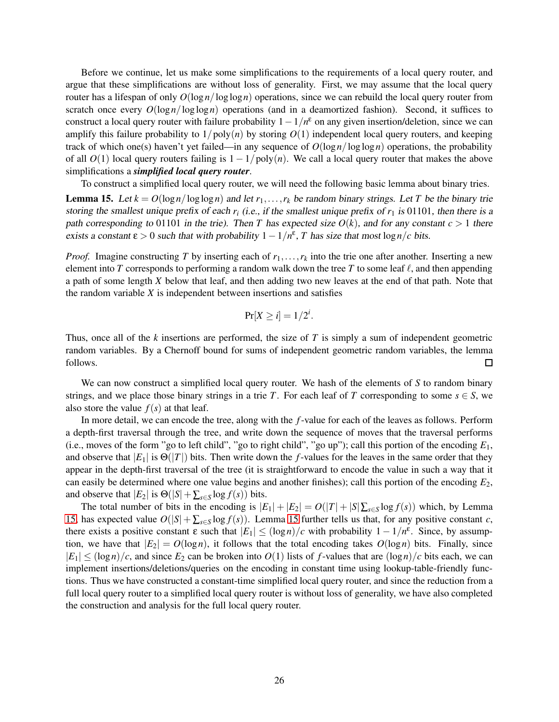Before we continue, let us make some simplifications to the requirements of a local query router, and argue that these simplifications are without loss of generality. First, we may assume that the local query router has a lifespan of only  $O(\log n / \log \log n)$  operations, since we can rebuild the local query router from scratch once every  $O(\log n / \log \log n)$  operations (and in a deamortized fashion). Second, it suffices to construct a local query router with failure probability  $1-1/n^{\epsilon}$  on any given insertion/deletion, since we can amplify this failure probability to  $1/poly(n)$  by storing  $O(1)$  independent local query routers, and keeping track of which one(s) haven't yet failed—in any sequence of  $O(\log n / \log \log n)$  operations, the probability of all *O*(1) local query routers failing is 1− 1/poly(*n*). We call a local query router that makes the above simplifications a *simplified local query router*.

To construct a simplified local query router, we will need the following basic lemma about binary tries.

<span id="page-26-0"></span>**Lemma 15.** Let  $k = O(\log n / \log \log n)$  and let  $r_1, \ldots, r_k$  be random binary strings. Let *T* be the binary trie storing the smallest unique prefix of each  $r_i$  (i.e., if the smallest unique prefix of  $r_1$  is 01101, then there is a path corresponding to 01101 in the trie). Then *T* has expected size  $O(k)$ , and for any constant  $c > 1$  there exists a constant  $\varepsilon > 0$  such that with probability  $1 - 1/n^{\varepsilon}$ , *T* has size that most  $\log n/c$  bits.

*Proof.* Imagine constructing *T* by inserting each of  $r_1, \ldots, r_k$  into the trie one after another. Inserting a new element into *T* corresponds to performing a random walk down the tree *T* to some leaf  $\ell$ , and then appending a path of some length *X* below that leaf, and then adding two new leaves at the end of that path. Note that the random variable *X* is independent between insertions and satisfies

$$
\Pr[X \geq i] = 1/2^i.
$$

Thus, once all of the *k* insertions are performed, the size of *T* is simply a sum of independent geometric random variables. By a Chernoff bound for sums of independent geometric random variables, the lemma follows.  $\Box$ 

We can now construct a simplified local query router. We hash of the elements of *S* to random binary strings, and we place those binary strings in a trie *T*. For each leaf of *T* corresponding to some  $s \in S$ , we also store the value  $f(s)$  at that leaf.

In more detail, we can encode the tree, along with the *f*-value for each of the leaves as follows. Perform a depth-first traversal through the tree, and write down the sequence of moves that the traversal performs (i.e., moves of the form "go to left child", "go to right child", "go up"); call this portion of the encoding *E*1, and observe that  $|E_1|$  is  $\Theta(|T|)$  bits. Then write down the *f*-values for the leaves in the same order that they appear in the depth-first traversal of the tree (it is straightforward to encode the value in such a way that it can easily be determined where one value begins and another finishes); call this portion of the encoding *E*2, and observe that  $|E_2|$  is  $\Theta(|S| + \sum_{s \in S} \log f(s))$  bits.

The total number of bits in the encoding is  $|E_1| + |E_2| = O(|T| + |S| \sum_{s \in S} \log f(s))$  which, by Lemma [15,](#page-26-0) has expected value  $O(|S| + \sum_{s \in S} \log f(s))$ . Lemma [15](#page-26-0) further tells us that, for any positive constant *c*, there exists a positive constant  $\varepsilon$  such that  $|E_1| \leq (\log n)/c$  with probability  $1 - 1/n^{\varepsilon}$ . Since, by assumption, we have that  $|E_2| = O(\log n)$ , it follows that the total encoding takes  $O(\log n)$  bits. Finally, since  $|E_1| \leq (\log n)/c$ , and since  $E_2$  can be broken into  $O(1)$  lists of f-values that are  $(\log n)/c$  bits each, we can implement insertions/deletions/queries on the encoding in constant time using lookup-table-friendly functions. Thus we have constructed a constant-time simplified local query router, and since the reduction from a full local query router to a simplified local query router is without loss of generality, we have also completed the construction and analysis for the full local query router.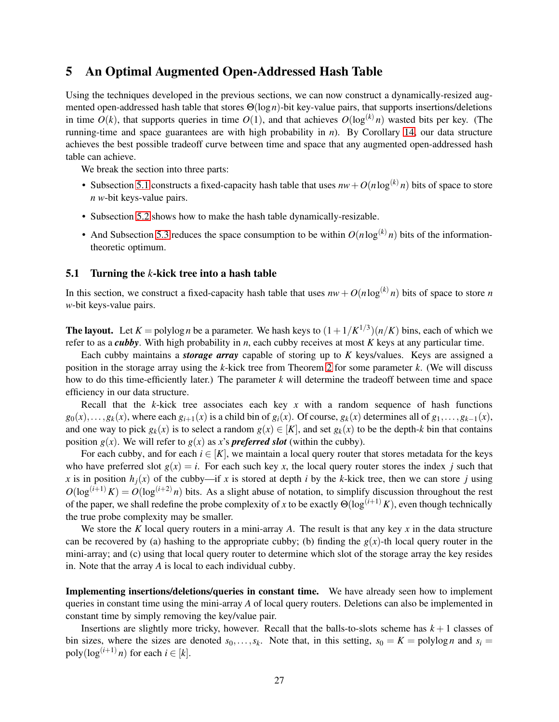## 5 An Optimal Augmented Open-Addressed Hash Table

Using the techniques developed in the previous sections, we can now construct a dynamically-resized augmented open-addressed hash table that stores Θ(log*n*)-bit key-value pairs, that supports insertions/deletions in time  $O(k)$ , that supports queries in time  $O(1)$ , and that achieves  $O(\log^{(k)} n)$  wasted bits per key. (The running-time and space guarantees are with high probability in *n*). By Corollary [14,](#page-23-2) our data structure achieves the best possible tradeoff curve between time and space that any augmented open-addressed hash table can achieve.

We break the section into three parts:

- Subsection [5.1](#page-27-0) constructs a fixed-capacity hash table that uses  $nw + O(n \log^{(k)} n)$  bits of space to store *n w*-bit keys-value pairs.
- Subsection [5.2](#page-30-0) shows how to make the hash table dynamically-resizable.
- And Subsection [5.3](#page-33-0) reduces the space consumption to be within  $O(n \log^{(k)} n)$  bits of the informationtheoretic optimum.

#### <span id="page-27-0"></span>5.1 Turning the *k*-kick tree into a hash table

In this section, we construct a fixed-capacity hash table that uses  $nw + O(n \log^{(k)} n)$  bits of space to store *n w*-bit keys-value pairs.

**The layout.** Let  $K = \text{polylog } n$  be a parameter. We hash keys to  $(1 + 1/K^{1/3})(n/K)$  bins, each of which we refer to as a *cubby*. With high probability in *n*, each cubby receives at most *K* keys at any particular time.

Each cubby maintains a *storage array* capable of storing up to *K* keys/values. Keys are assigned a position in the storage array using the *k*-kick tree from Theorem [2](#page-12-2) for some parameter *k*. (We will discuss how to do this time-efficiently later.) The parameter *k* will determine the tradeoff between time and space efficiency in our data structure.

Recall that the  $k$ -kick tree associates each key  $x$  with a random sequence of hash functions  $g_0(x), \ldots, g_k(x)$ , where each  $g_{i+1}(x)$  is a child bin of  $g_i(x)$ . Of course,  $g_k(x)$  determines all of  $g_1, \ldots, g_{k-1}(x)$ , and one way to pick  $g_k(x)$  is to select a random  $g(x) \in [K]$ , and set  $g_k(x)$  to be the depth-*k* bin that contains position  $g(x)$ . We will refer to  $g(x)$  as x's **preferred slot** (within the cubby).

For each cubby, and for each  $i \in [K]$ , we maintain a local query router that stores metadata for the keys who have preferred slot  $g(x) = i$ . For each such key *x*, the local query router stores the index *j* such that *x* is in position  $h_i(x)$  of the cubby—if *x* is stored at depth *i* by the *k*-kick tree, then we can store *j* using  $O(\log^{(i+1)} K) = O(\log^{(i+2)} n)$  bits. As a slight abuse of notation, to simplify discussion throughout the rest of the paper, we shall redefine the probe complexity of *x* to be exactly  $\Theta(\log^{(i+1)} K)$ , even though technically the true probe complexity may be smaller.

We store the *K* local query routers in a mini-array *A*. The result is that any key *x* in the data structure can be recovered by (a) hashing to the appropriate cubby; (b) finding the  $g(x)$ -th local query router in the mini-array; and (c) using that local query router to determine which slot of the storage array the key resides in. Note that the array *A* is local to each individual cubby.

Implementing insertions/deletions/queries in constant time. We have already seen how to implement queries in constant time using the mini-array *A* of local query routers. Deletions can also be implemented in constant time by simply removing the key/value pair.

Insertions are slightly more tricky, however. Recall that the balls-to-slots scheme has  $k + 1$  classes of bin sizes, where the sizes are denoted  $s_0, \ldots, s_k$ . Note that, in this setting,  $s_0 = K = \text{polylog } n$  and  $s_i =$  $poly(log^{(i+1)} n)$  for each  $i \in [k]$ .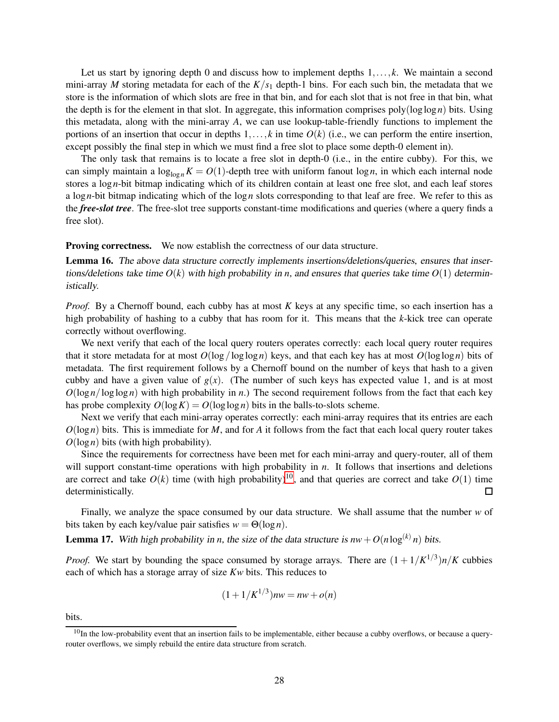Let us start by ignoring depth 0 and discuss how to implement depths 1,...,*k*. We maintain a second mini-array *M* storing metadata for each of the  $K/s<sub>1</sub>$  depth-1 bins. For each such bin, the metadata that we store is the information of which slots are free in that bin, and for each slot that is not free in that bin, what the depth is for the element in that slot. In aggregate, this information comprises poly(loglog*n*) bits. Using this metadata, along with the mini-array *A*, we can use lookup-table-friendly functions to implement the portions of an insertion that occur in depths  $1, \ldots, k$  in time  $O(k)$  (i.e., we can perform the entire insertion, except possibly the final step in which we must find a free slot to place some depth-0 element in).

The only task that remains is to locate a free slot in depth-0 (i.e., in the entire cubby). For this, we can simply maintain a  $\log_{\log n} K = O(1)$ -depth tree with uniform fanout  $\log n$ , in which each internal node stores a log*n*-bit bitmap indicating which of its children contain at least one free slot, and each leaf stores a log*n*-bit bitmap indicating which of the log*n* slots corresponding to that leaf are free. We refer to this as the *free-slot tree*. The free-slot tree supports constant-time modifications and queries (where a query finds a free slot).

**Proving correctness.** We now establish the correctness of our data structure.

Lemma 16. The above data structure correctly implements insertions/deletions/queries, ensures that insertions/deletions take time  $O(k)$  with high probability in *n*, and ensures that queries take time  $O(1)$  deterministically.

*Proof.* By a Chernoff bound, each cubby has at most *K* keys at any specific time, so each insertion has a high probability of hashing to a cubby that has room for it. This means that the *k*-kick tree can operate correctly without overflowing.

We next verify that each of the local query routers operates correctly: each local query router requires that it store metadata for at most  $O(\log/\log \log n)$  keys, and that each key has at most  $O(\log \log n)$  bits of metadata. The first requirement follows by a Chernoff bound on the number of keys that hash to a given cubby and have a given value of  $g(x)$ . (The number of such keys has expected value 1, and is at most  $O(log n / log log n)$  with high probability in *n*.) The second requirement follows from the fact that each key has probe complexity  $O(\log K) = O(\log \log n)$  bits in the balls-to-slots scheme.

Next we verify that each mini-array operates correctly: each mini-array requires that its entries are each  $O(log n)$  bits. This is immediate for *M*, and for *A* it follows from the fact that each local query router takes  $O(\log n)$  bits (with high probability).

Since the requirements for correctness have been met for each mini-array and query-router, all of them will support constant-time operations with high probability in *n*. It follows that insertions and deletions are correct and take  $O(k)$  time (with high probability)<sup>[10](#page-28-0)</sup>, and that queries are correct and take  $O(1)$  time deterministically. П

Finally, we analyze the space consumed by our data structure. We shall assume that the number *w* of bits taken by each key/value pair satisfies  $w = \Theta(\log n)$ .

<span id="page-28-1"></span>**Lemma 17.** With high probability in *n*, the size of the data structure is  $nw + O(n \log^{(k)} n)$  bits.

*Proof.* We start by bounding the space consumed by storage arrays. There are  $(1 + 1/K^{1/3})n/K$  cubbies each of which has a storage array of size *Kw* bits. This reduces to

$$
(1 + 1/K^{1/3})nw = nw + o(n)
$$

bits.

<span id="page-28-0"></span> $10$ In the low-probability event that an insertion fails to be implementable, either because a cubby overflows, or because a queryrouter overflows, we simply rebuild the entire data structure from scratch.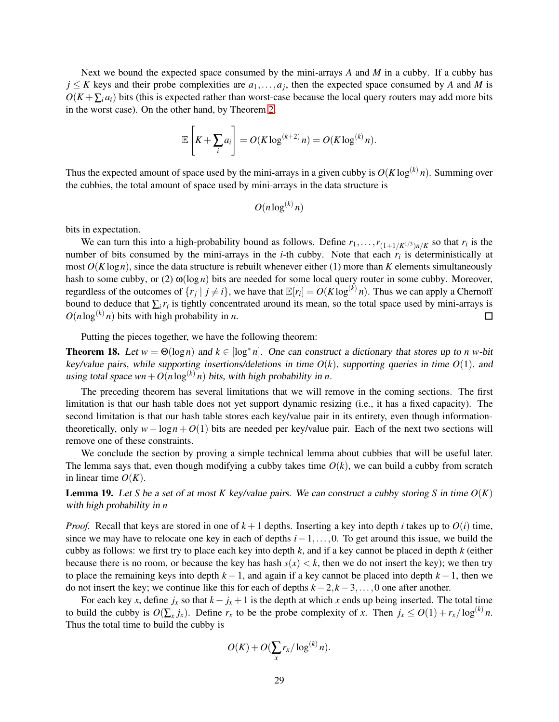Next we bound the expected space consumed by the mini-arrays *A* and *M* in a cubby. If a cubby has  $j \leq K$  keys and their probe complexities are  $a_1, \ldots, a_j$ , then the expected space consumed by *A* and *M* is  $O(K + \sum_i a_i)$  bits (this is expected rather than worst-case because the local query routers may add more bits in the worst case). On the other hand, by Theorem [2,](#page-12-2)

$$
\mathbb{E}\left[K+\sum_{i}a_i\right] = O(K\log^{(k+2)} n) = O(K\log^{(k)} n).
$$

Thus the expected amount of space used by the mini-arrays in a given cubby is  $O(K \log^{(k)} n)$ . Summing over the cubbies, the total amount of space used by mini-arrays in the data structure is

$$
O(n\log^{(k)} n)
$$

bits in expectation.

We can turn this into a high-probability bound as follows. Define  $r_1, \ldots, r_{(1+1/K^{1/3})n/K}$  so that  $r_i$  is the number of bits consumed by the mini-arrays in the *i*-th cubby. Note that each *r<sup>i</sup>* is deterministically at most  $O(K \log n)$ , since the data structure is rebuilt whenever either (1) more than K elements simultaneously hash to some cubby, or (2)  $\omega(\log n)$  bits are needed for some local query router in some cubby. Moreover, regardless of the outcomes of  $\{r_j \mid j \neq i\}$ , we have that  $\mathbb{E}[r_i] = O(K \log^{(k)} n)$ . Thus we can apply a Chernoff bound to deduce that  $\sum_i r_i$  is tightly concentrated around its mean, so the total space used by mini-arrays is  $O(n \log^{(k)} n)$  bits with high probability in *n*.  $\Box$ 

Putting the pieces together, we have the following theorem:

**Theorem 18.** Let  $w = \Theta(\log n)$  and  $k \in [\log^* n]$ . One can construct a dictionary that stores up to *n* w-bit key/value pairs, while supporting insertions/deletions in time *O*(*k*), supporting queries in time *O*(1), and using total space  $wn + O(n \log^{(k)} n)$  bits, with high probability in *n*.

The preceding theorem has several limitations that we will remove in the coming sections. The first limitation is that our hash table does not yet support dynamic resizing (i.e., it has a fixed capacity). The second limitation is that our hash table stores each key/value pair in its entirety, even though informationtheoretically, only  $w - \log n + O(1)$  bits are needed per key/value pair. Each of the next two sections will remove one of these constraints.

We conclude the section by proving a simple technical lemma about cubbies that will be useful later. The lemma says that, even though modifying a cubby takes time  $O(k)$ , we can build a cubby from scratch in linear time  $O(K)$ .

<span id="page-29-0"></span>**Lemma 19.** Let *S* be a set of at most *K* key/value pairs. We can construct a cubby storing *S* in time  $O(K)$ with high probability in *n*

*Proof.* Recall that keys are stored in one of  $k + 1$  depths. Inserting a key into depth *i* takes up to  $O(i)$  time, since we may have to relocate one key in each of depths *i*−1,...,0. To get around this issue, we build the cubby as follows: we first try to place each key into depth *k*, and if a key cannot be placed in depth *k* (either because there is no room, or because the key has hash  $s(x) < k$ , then we do not insert the key); we then try to place the remaining keys into depth *k* − 1, and again if a key cannot be placed into depth *k* − 1, then we do not insert the key; we continue like this for each of depths *k*−2,*k*−3,...,0 one after another.

For each key *x*, define  $j_x$  so that  $k - j_x + 1$  is the depth at which *x* ends up being inserted. The total time to build the cubby is  $O(\sum_{x} j_x)$ . Define  $r_x$  to be the probe complexity of *x*. Then  $j_x \leq O(1) + r_x / \log^{(k)} n$ . Thus the total time to build the cubby is

$$
O(K) + O(\sum_x r_x/\log^{(k)} n).
$$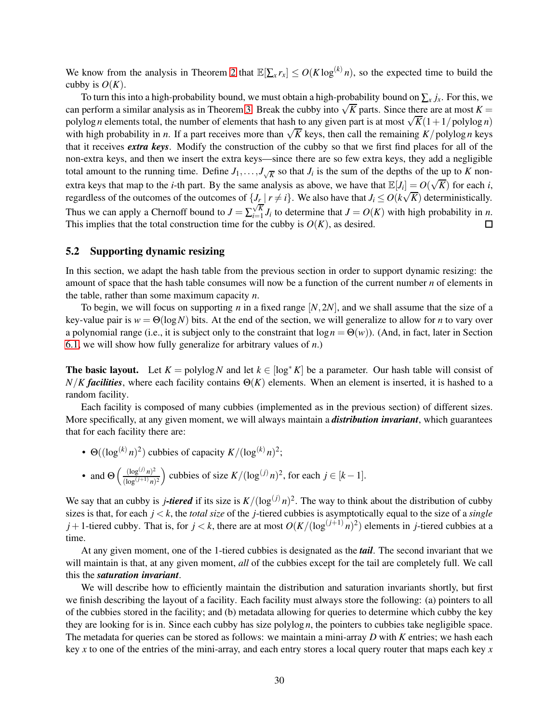We know from the analysis in Theorem [2](#page-12-2) that  $\mathbb{E}[\sum_{x} r_x] \leq O(K \log^{(k)} n)$ , so the expected time to build the cubby is  $O(K)$ .

To turn this into a high-probability bound, we must obtain a high-probability bound on  $\sum_x j_x$ . For this, we can perform a similar analysis as in Theorem [3.](#page-12-4) Break the cubby into  $\sqrt{K}$  parts. Since there are at most  $K =$ polylog *n* elements total, the number of elements that hash to any given part is at most  $\sqrt{K}(1+1/\text{polylog } n)$ with high probability in *n*. If a part receives more than  $\sqrt{K}$  keys, then call the remaining  $K$ /polylog *n* keys that it receives *extra keys*. Modify the construction of the cubby so that we first find places for all of the non-extra keys, and then we insert the extra keys—since there are so few extra keys, they add a negligible total amount to the running time. Define  $J_1, \ldots, J_{\sqrt{K}}$  so that  $J_i$  is the sum of the depths of the up to *K* nonextra keys that map to the *i*-th part. By the same analysis as above, we have that  $\mathbb{E}[J_i] = O(\sqrt{K})$  for each *i*, regardless of the outcomes of the outcomes of  $\{J_r | r \neq i\}$ . We also have that  $J_i \leq O(k\sqrt{K})$  deterministically. Thus we can apply a Chernoff bound to  $J = \sum_{i=1}^{N}$  $\sum_{i=1}^{N} J_i$  to determine that  $J = O(K)$  with high probability in *n*. This implies that the total construction time for the cubby is  $O(K)$ , as desired.  $\Box$ 

#### <span id="page-30-0"></span>5.2 Supporting dynamic resizing

In this section, we adapt the hash table from the previous section in order to support dynamic resizing: the amount of space that the hash table consumes will now be a function of the current number *n* of elements in the table, rather than some maximum capacity *n*.

To begin, we will focus on supporting *n* in a fixed range [*N*,2*N*], and we shall assume that the size of a key-value pair is  $w = \Theta(\log N)$  bits. At the end of the section, we will generalize to allow for *n* to vary over a polynomial range (i.e., it is subject only to the constraint that  $log n = \Theta(w)$ ). (And, in fact, later in Section [6.1,](#page-36-0) we will show how fully generalize for arbitrary values of *n*.)

The basic layout. Let  $K = \text{polylog } N$  and let  $k \in [\log^* K]$  be a parameter. Our hash table will consist of  $N/K$  *facilities*, where each facility contains  $\Theta(K)$  elements. When an element is inserted, it is hashed to a random facility.

Each facility is composed of many cubbies (implemented as in the previous section) of different sizes. More specifically, at any given moment, we will always maintain a *distribution invariant*, which guarantees that for each facility there are:

- $\Theta((\log^{(k)} n)^2)$  cubbies of capacity  $K/(\log^{(k)} n)^2$ ; • and  $\Theta\left(\frac{(\log^{(j)} n)^2}{(1 - \epsilon (j + 1))}\right)$
- $\frac{(\log^{(j)} n)^2}{(\log^{(j+1)} n)^2}$  cubbies of size *K*/(log<sup>(*j*)</sup> *n*)<sup>2</sup>, for each *j* ∈ [*k* − 1].

We say that an cubby is *j*-tiered if its size is  $K/(\log^{(j)} n)^2$ . The way to think about the distribution of cubby sizes is that, for each *j* < *k*, the *total size* of the *j*-tiered cubbies is asymptotically equal to the size of a *single*  $j+1$ -tiered cubby. That is, for  $j < k$ , there are at most  $O(K/(\log^{(j+1)} n)^2)$  elements in *j*-tiered cubbies at a time.

At any given moment, one of the 1-tiered cubbies is designated as the *tail*. The second invariant that we will maintain is that, at any given moment, *all* of the cubbies except for the tail are completely full. We call this the *saturation invariant*.

We will describe how to efficiently maintain the distribution and saturation invariants shortly, but first we finish describing the layout of a facility. Each facility must always store the following: (a) pointers to all of the cubbies stored in the facility; and (b) metadata allowing for queries to determine which cubby the key they are looking for is in. Since each cubby has size polylog *n*, the pointers to cubbies take negligible space. The metadata for queries can be stored as follows: we maintain a mini-array *D* with *K* entries; we hash each key *x* to one of the entries of the mini-array, and each entry stores a local query router that maps each key *x*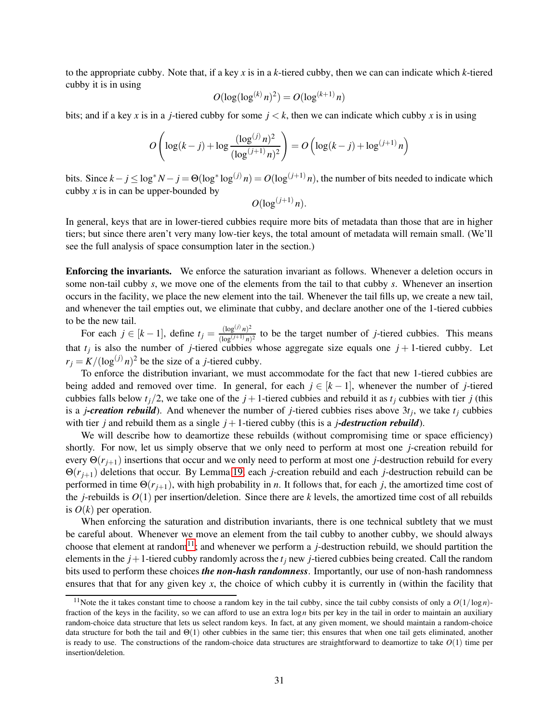to the appropriate cubby. Note that, if a key *x* is in a *k*-tiered cubby, then we can can indicate which *k*-tiered cubby it is in using

$$
O(\log(\log^{(k)} n)^2) = O(\log^{(k+1)} n)
$$

bits; and if a key x is in a *j*-tiered cubby for some  $j < k$ , then we can indicate which cubby x is in using

$$
O\left(\log(k-j) + \log \frac{(\log^{(j)} n)^2}{(\log^{(j+1)} n)^2}\right) = O\left(\log(k-j) + \log^{(j+1)} n\right)
$$

bits. Since  $k - j \le \log^* N - j = \Theta(\log^* \log^{(j)} n) = O(\log^{(j+1)} n)$ , the number of bits needed to indicate which cubby  $x$  is in can be upper-bounded by

$$
O(\log^{(j+1)} n).
$$

In general, keys that are in lower-tiered cubbies require more bits of metadata than those that are in higher tiers; but since there aren't very many low-tier keys, the total amount of metadata will remain small. (We'll see the full analysis of space consumption later in the section.)

Enforcing the invariants. We enforce the saturation invariant as follows. Whenever a deletion occurs in some non-tail cubby *s*, we move one of the elements from the tail to that cubby *s*. Whenever an insertion occurs in the facility, we place the new element into the tail. Whenever the tail fills up, we create a new tail, and whenever the tail empties out, we eliminate that cubby, and declare another one of the 1-tiered cubbies to be the new tail.

For each  $j \in [k-1]$ , define  $t_j = \frac{(\log^{(j)} n)^2}{(\log^{(j+1)} n)}$  $\frac{\log^{(y)} n}{(\log^{(j+1)} n)^2}$  to be the target number of *j*-tiered cubbies. This means that  $t_j$  is also the number of *j*-tiered cubbies whose aggregate size equals one  $j + 1$ -tiered cubby. Let  $r_j = K/(\log^{(j)} n)^2$  be the size of a *j*-tiered cubby.

To enforce the distribution invariant, we must accommodate for the fact that new 1-tiered cubbies are being added and removed over time. In general, for each  $j \in [k-1]$ , whenever the number of *j*-tiered cubbies falls below  $t_i/2$ , we take one of the  $j + 1$ -tiered cubbies and rebuild it as  $t_i$  cubbies with tier  $j$  (this is a *j-creation rebuild*). And whenever the number of *j*-tiered cubbies rises above 3*t<sup>j</sup>* , we take *t<sup>j</sup>* cubbies with tier *j* and rebuild them as a single  $j+1$ -tiered cubby (this is a *j*-destruction rebuild).

We will describe how to deamortize these rebuilds (without compromising time or space efficiency) shortly. For now, let us simply observe that we only need to perform at most one *j*-creation rebuild for every Θ(*rj*+1) insertions that occur and we only need to perform at most one *j*-destruction rebuild for every Θ(*rj*+1) deletions that occur. By Lemma [19,](#page-29-0) each *j*-creation rebuild and each *j*-destruction rebuild can be performed in time  $\Theta(r_{j+1})$ , with high probability in *n*. It follows that, for each *j*, the amortized time cost of the *j*-rebuilds is  $O(1)$  per insertion/deletion. Since there are *k* levels, the amortized time cost of all rebuilds is  $O(k)$  per operation.

When enforcing the saturation and distribution invariants, there is one technical subtlety that we must be careful about. Whenever we move an element from the tail cubby to another cubby, we should always choose that element at random<sup>[11](#page-31-0)</sup>; and whenever we perform a *j*-destruction rebuild, we should partition the elements in the  $j+1$ -tiered cubby randomly across the  $t_j$  new *j*-tiered cubbies being created. Call the random bits used to perform these choices *the non-hash randomness*. Importantly, our use of non-hash randomness ensures that that for any given key *x*, the choice of which cubby it is currently in (within the facility that

<span id="page-31-0"></span><sup>&</sup>lt;sup>11</sup>Note the it takes constant time to choose a random key in the tail cubby, since the tail cubby consists of only a  $O(1/\log n)$ fraction of the keys in the facility, so we can afford to use an extra log*n* bits per key in the tail in order to maintain an auxiliary random-choice data structure that lets us select random keys. In fact, at any given moment, we should maintain a random-choice data structure for both the tail and  $\Theta(1)$  other cubbies in the same tier; this ensures that when one tail gets eliminated, another is ready to use. The constructions of the random-choice data structures are straightforward to deamortize to take  $O(1)$  time per insertion/deletion.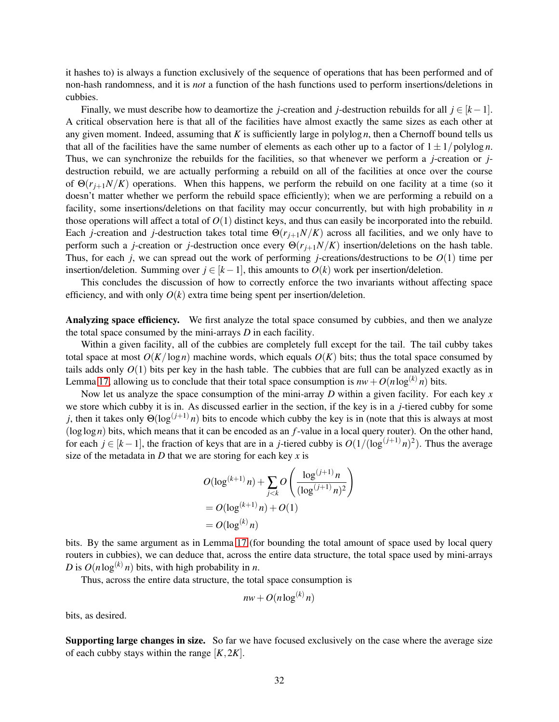it hashes to) is always a function exclusively of the sequence of operations that has been performed and of non-hash randomness, and it is *not* a function of the hash functions used to perform insertions/deletions in cubbies.

Finally, we must describe how to deamortize the *j*-creation and *j*-destruction rebuilds for all  $j \in [k-1]$ . A critical observation here is that all of the facilities have almost exactly the same sizes as each other at any given moment. Indeed, assuming that *K* is sufficiently large in polylog *n*, then a Chernoff bound tells us that all of the facilities have the same number of elements as each other up to a factor of  $1 \pm 1/polylog n$ . Thus, we can synchronize the rebuilds for the facilities, so that whenever we perform a *j*-creation or *j*destruction rebuild, we are actually performing a rebuild on all of the facilities at once over the course of  $\Theta(r_{i+1}N/K)$  operations. When this happens, we perform the rebuild on one facility at a time (so it doesn't matter whether we perform the rebuild space efficiently); when we are performing a rebuild on a facility, some insertions/deletions on that facility may occur concurrently, but with high probability in *n* those operations will affect a total of  $O(1)$  distinct keys, and thus can easily be incorporated into the rebuild. Each *j*-creation and *j*-destruction takes total time  $\Theta(r_{j+1}N/K)$  across all facilities, and we only have to perform such a *j*-creation or *j*-destruction once every  $\Theta(r_{i+1}N/K)$  insertion/deletions on the hash table. Thus, for each *j*, we can spread out the work of performing *j*-creations/destructions to be *O*(1) time per insertion/deletion. Summing over  $j \in [k-1]$ , this amounts to  $O(k)$  work per insertion/deletion.

This concludes the discussion of how to correctly enforce the two invariants without affecting space efficiency, and with only  $O(k)$  extra time being spent per insertion/deletion.

Analyzing space efficiency. We first analyze the total space consumed by cubbies, and then we analyze the total space consumed by the mini-arrays *D* in each facility.

Within a given facility, all of the cubbies are completely full except for the tail. The tail cubby takes total space at most  $O(K/\log n)$  machine words, which equals  $O(K)$  bits; thus the total space consumed by tails adds only *O*(1) bits per key in the hash table. The cubbies that are full can be analyzed exactly as in Lemma [17,](#page-28-1) allowing us to conclude that their total space consumption is  $nw + O(n \log^{(k)} n)$  bits.

Now let us analyze the space consumption of the mini-array *D* within a given facility. For each key *x* we store which cubby it is in. As discussed earlier in the section, if the key is in a *j*-tiered cubby for some *j*, then it takes only  $\Theta(\log^{(j+1)} n)$  bits to encode which cubby the key is in (note that this is always at most (loglog*n*) bits, which means that it can be encoded as an *f*-value in a local query router). On the other hand, for each  $j \in [k-1]$ , the fraction of keys that are in a *j*-tiered cubby is  $O(1/(\log^{(j+1)} n)^2)$ . Thus the average size of the metadata in *D* that we are storing for each key *x* is

$$
O(\log^{(k+1)} n) + \sum_{j < k} O\left(\frac{\log^{(j+1)} n}{(\log^{(j+1)} n)^2}\right)
$$
  
=  $O(\log^{(k+1)} n) + O(1)$   
=  $O(\log^{(k)} n)$ 

bits. By the same argument as in Lemma [17](#page-28-1) (for bounding the total amount of space used by local query routers in cubbies), we can deduce that, across the entire data structure, the total space used by mini-arrays *D* is  $O(n \log^{(k)} n)$  bits, with high probability in *n*.

Thus, across the entire data structure, the total space consumption is

$$
nw + O(n \log^{(k)} n)
$$

bits, as desired.

Supporting large changes in size. So far we have focused exclusively on the case where the average size of each cubby stays within the range  $[K, 2K]$ .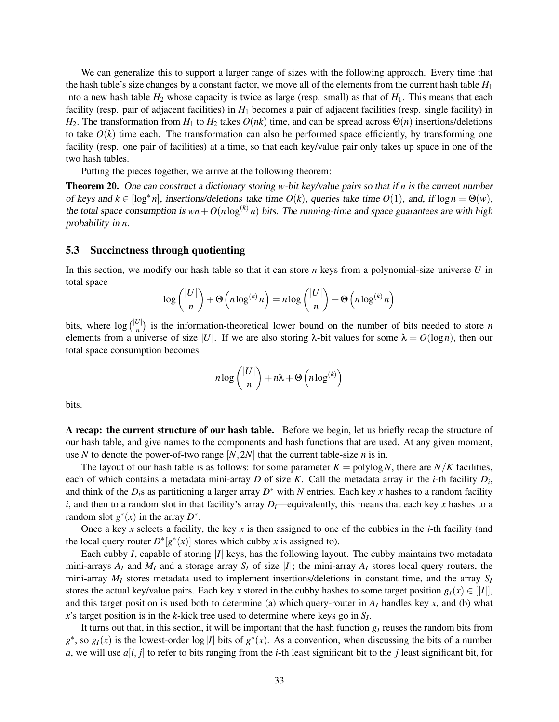We can generalize this to support a larger range of sizes with the following approach. Every time that the hash table's size changes by a constant factor, we move all of the elements from the current hash table *H*<sup>1</sup> into a new hash table  $H_2$  whose capacity is twice as large (resp. small) as that of  $H_1$ . This means that each facility (resp. pair of adjacent facilities) in  $H_1$  becomes a pair of adjacent facilities (resp. single facility) in *H*<sub>2</sub>. The transformation from *H*<sub>1</sub> to *H*<sub>2</sub> takes  $O(nk)$  time, and can be spread across  $\Theta(n)$  insertions/deletions to take  $O(k)$  time each. The transformation can also be performed space efficiently, by transforming one facility (resp. one pair of facilities) at a time, so that each key/value pair only takes up space in one of the two hash tables.

Putting the pieces together, we arrive at the following theorem:

Theorem 20. One can construct <sup>a</sup> dictionary storing *w*-bit key/value pairs so that if *n* is the current number of keys and  $k \in [\log^* n]$ , insertions/deletions take time  $O(k)$ , queries take time  $O(1)$ , and, if  $\log n = \Theta(w)$ , the total space consumption is  $wn + O(n \log^{(k)} n)$  bits. The running-time and space guarantees are with high probability in *n*.

#### <span id="page-33-0"></span>5.3 Succinctness through quotienting

In this section, we modify our hash table so that it can store *n* keys from a polynomial-size universe *U* in total space |*U*|

$$
\log \binom{|U|}{n} + \Theta \left( n \log^{(k)} n \right) = n \log \binom{|U|}{n} + \Theta \left( n \log^{(k)} n \right)
$$

bits, where  $\log {|\mathcal{U}| \choose n}$  is the information-theoretical lower bound on the number of bits needed to store *n* elements from a universe of size |*U*|. If we are also storing  $\lambda$ -bit values for some  $\lambda = O(\log n)$ , then our total space consumption becomes

$$
n \log { |U| \choose n} + n \lambda + \Theta \left( n \log^{(k)} \right)
$$

bits.

A recap: the current structure of our hash table. Before we begin, let us briefly recap the structure of our hash table, and give names to the components and hash functions that are used. At any given moment, use *N* to denote the power-of-two range  $[N, 2N]$  that the current table-size *n* is in.

The layout of our hash table is as follows: for some parameter  $K = \text{polylog } N$ , there are  $N/K$  facilities, each of which contains a metadata mini-array *D* of size *K*. Call the metadata array in the *i*-th facility *D<sup>i</sup>* , and think of the *Di*s as partitioning a larger array *D* ∗ with *N* entries. Each key *x* hashes to a random facility *i*, and then to a random slot in that facility's array *Di*—equivalently, this means that each key *x* hashes to a random slot  $g^*(x)$  in the array  $D^*$ .

Once a key *x* selects a facility, the key *x* is then assigned to one of the cubbies in the *i*-th facility (and the local query router  $D^*[g^*(x)]$  stores which cubby *x* is assigned to).

Each cubby *I*, capable of storing |*I*| keys, has the following layout. The cubby maintains two metadata mini-arrays  $A_I$  and  $M_I$  and a storage array  $S_I$  of size  $|I|$ ; the mini-array  $A_I$  stores local query routers, the mini-array  $M_I$  stores metadata used to implement insertions/deletions in constant time, and the array  $S_I$ stores the actual key/value pairs. Each key *x* stored in the cubby hashes to some target position  $g_I(x) \in ||I||$ , and this target position is used both to determine (a) which query-router in  $A_I$  handles key  $x$ , and (b) what *x*'s target position is in the *k*-kick tree used to determine where keys go in *S<sup>I</sup>* .

It turns out that, in this section, it will be important that the hash function  $g<sub>I</sub>$  reuses the random bits from  $g^*$ , so  $g_I(x)$  is the lowest-order  $\log|I|$  bits of  $g^*(x)$ . As a convention, when discussing the bits of a number *a*, we will use  $a[i, j]$  to refer to bits ranging from the *i*-th least significant bit to the *j* least significant bit, for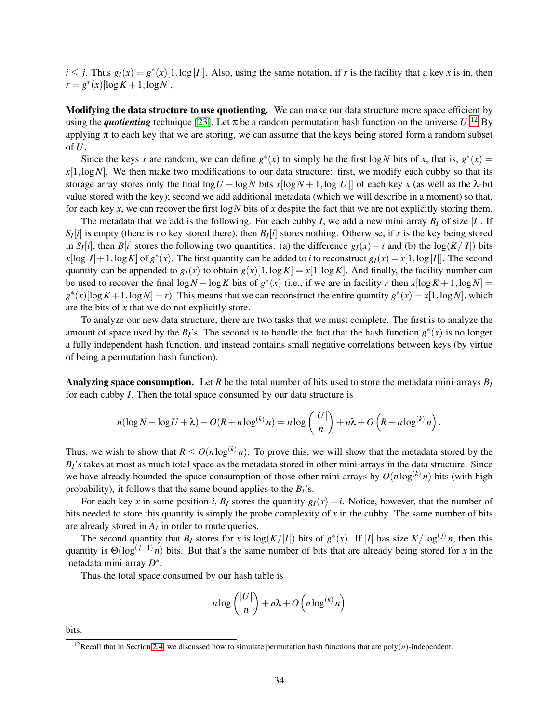$i \leq j$ . Thus  $g_I(x) = g^*(x)[1, \log |I|]$ . Also, using the same notation, if *r* is the facility that a key *x* is in, then  $r = g^*(x) [\log K + 1, \log N].$ 

Modifying the data structure to use quotienting. We can make our data structure more space efficient by using the *quotienting* technique [\[23\]](#page-47-0). Let  $\pi$  be a random permutation hash function on the universe  $U$ .<sup>[12](#page-34-0)</sup> By applying  $\pi$  to each key that we are storing, we can assume that the keys being stored form a random subset of *U*.

Since the keys *x* are random, we can define  $g^*(x)$  to simply be the first log *N* bits of *x*, that is,  $g^*(x) =$  $x[1, \log N]$ . We then make two modifications to our data structure: first, we modify each cubby so that its storage array stores only the final  $\log U - \log N$  bits  $x[\log N + 1, \log |U|]$  of each key x (as well as the  $\lambda$ -bit value stored with the key); second we add additional metadata (which we will describe in a moment) so that, for each key *x*, we can recover the first log*N* bits of *x* despite the fact that we are not explicitly storing them.

The metadata that we add is the following. For each cubby *I*, we add a new mini-array  $B_I$  of size |*I*|. If  $S_I[i]$  is empty (there is no key stored there), then  $B_I[i]$  stores nothing. Otherwise, if *x* is the key being stored in *S*<sub>*I*</sub>(*i*], then *B*[*i*] stores the following two quantities: (a) the difference  $g_I(x) - i$  and (b) the log( $K/|I|$ ) bits  $x[\log |I|+1, \log K]$  of  $g^*(x)$ . The first quantity can be added to *i* to reconstruct  $g_I(x) = x[1, \log |I|]$ . The second quantity can be appended to  $g_I(x)$  to obtain  $g(x)[1, \log K] = x[1, \log K]$ . And finally, the facility number can be used to recover the final  $\log N - \log K$  bits of  $g^*(x)$  (i.e., if we are in facility *r* then  $x[\log K + 1, \log N] =$  $g^*(x)[\log K + 1, \log N] = r$ ). This means that we can reconstruct the entire quantity  $g^*(x) = x[1, \log N]$ , which are the bits of *x* that we do not explicitly store.

To analyze our new data structure, there are two tasks that we must complete. The first is to analyze the amount of space used by the  $B_I$ 's. The second is to handle the fact that the hash function  $g^*(x)$  is no longer a fully independent hash function, and instead contains small negative correlations between keys (by virtue of being a permutation hash function).

Analyzing space consumption. Let *R* be the total number of bits used to store the metadata mini-arrays  $B_I$ for each cubby *I*. Then the total space consumed by our data structure is

$$
n(\log N - \log U + \lambda) + O(R + n \log^{(k)} n) = n \log \binom{|U|}{n} + n\lambda + O(R + n \log^{(k)} n).
$$

Thus, we wish to show that  $R \leq O(n \log^{(k)} n)$ . To prove this, we will show that the metadata stored by the  $B_I$ 's takes at most as much total space as the metadata stored in other mini-arrays in the data structure. Since we have already bounded the space consumption of those other mini-arrays by  $O(n \log^{(k)} n)$  bits (with high probability), it follows that the same bound applies to the *BI*'s.

For each key *x* in some position *i*,  $B_I$  stores the quantity  $g_I(x) - i$ . Notice, however, that the number of bits needed to store this quantity is simply the probe complexity of  $x$  in the cubby. The same number of bits are already stored in  $A_I$  in order to route queries.

The second quantity that  $B_I$  stores for *x* is  $\log(K/|I|)$  bits of  $g^*(x)$ . If |*I*| has size  $K/\log^{(j)} n$ , then this quantity is  $\Theta(\log^{(j+1)} n)$  bits. But that's the same number of bits that are already being stored for *x* in the metadata mini-array *D* ∗ .

Thus the total space consumed by our hash table is

$$
n \log {|\mathcal{U}| \choose n} + n\lambda + O\left(n \log^{(k)} n\right)
$$

bits.

<span id="page-34-0"></span><sup>&</sup>lt;sup>12</sup>Recall that in Section [2.4,](#page-7-1) we discussed how to simulate permutation hash functions that are poly $(n)$ -independent.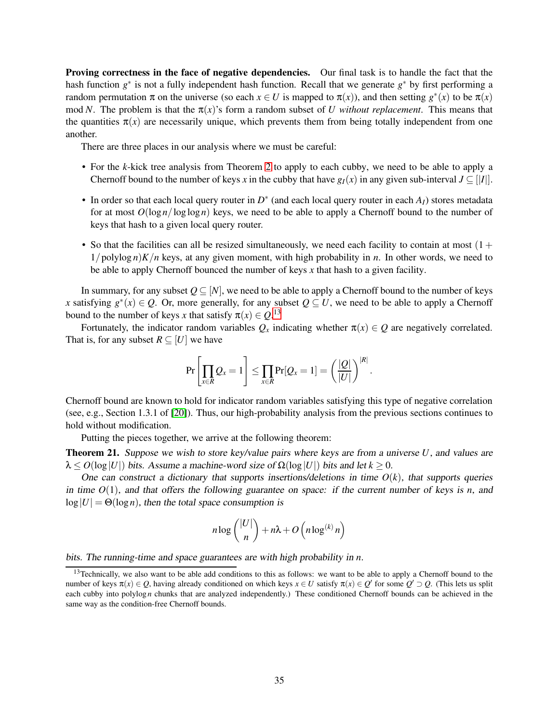Proving correctness in the face of negative dependencies. Our final task is to handle the fact that the hash function *g*<sup>∗</sup> is not a fully independent hash function. Recall that we generate *g*<sup>∗</sup> by first performing a random permutation  $\pi$  on the universe (so each  $x \in U$  is mapped to  $\pi(x)$ ), and then setting  $g^*(x)$  to be  $\pi(x)$ mod *N*. The problem is that the  $\pi(x)$ 's form a random subset of *U without replacement*. This means that the quantities  $\pi(x)$  are necessarily unique, which prevents them from being totally independent from one another.

There are three places in our analysis where we must be careful:

- For the *k*-kick tree analysis from Theorem [2](#page-12-2) to apply to each cubby, we need to be able to apply a Chernoff bound to the number of keys *x* in the cubby that have  $g_I(x)$  in any given sub-interval  $J \subseteq ||I||$ .
- In order so that each local query router in *D* ∗ (and each local query router in each *AI*) stores metadata for at most  $O(\log n / \log \log n)$  keys, we need to be able to apply a Chernoff bound to the number of keys that hash to a given local query router.
- So that the facilities can all be resized simultaneously, we need each facility to contain at most  $(1 +$  $1/polylog n)K/n$  keys, at any given moment, with high probability in *n*. In other words, we need to be able to apply Chernoff bounced the number of keys *x* that hash to a given facility.

In summary, for any subset  $Q \subseteq [N]$ , we need to be able to apply a Chernoff bound to the number of keys *x* satisfying  $g^*(x) \in Q$ . Or, more generally, for any subset  $Q \subseteq U$ , we need to be able to apply a Chernoff bound to the number of keys *x* that satisfy  $\pi(x) \in Q$ .<sup>[13](#page-35-0)</sup>

Fortunately, the indicator random variables  $Q_x$  indicating whether  $\pi(x) \in Q$  are negatively correlated. That is, for any subset  $R \subseteq [U]$  we have

$$
\Pr\left[\prod_{x\in R} Q_x = 1\right] \leq \prod_{x\in R} \Pr[Q_x = 1] = \left(\frac{|Q|}{|U|}\right)^{|R|}.
$$

Chernoff bound are known to hold for indicator random variables satisfying this type of negative correlation (see, e.g., Section 1.3.1 of [\[20\]](#page-47-13)). Thus, our high-probability analysis from the previous sections continues to hold without modification.

Putting the pieces together, we arrive at the following theorem:

<span id="page-35-1"></span>Theorem 21. Suppose we wish to store key/value pairs where keys are from <sup>a</sup> universe *U*, and values are  $\lambda \leq O(\log |U|)$  bits. Assume a machine-word size of  $\Omega(\log |U|)$  bits and let  $k \geq 0$ .

One can construct a dictionary that supports insertions/deletions in time  $O(k)$ , that supports queries in time  $O(1)$ , and that offers the following guarantee on space: if the current number of keys is *n*, and  $log|U| = \Theta(log n)$ , then the total space consumption is

$$
n \log { |U| \choose n} + n \lambda + O\left(n \log^{(k)} n\right)
$$

bits. The running-time and space guarantees are with high probability in *n*.

<span id="page-35-0"></span><sup>&</sup>lt;sup>13</sup>Technically, we also want to be able add conditions to this as follows: we want to be able to apply a Chernoff bound to the number of keys  $\pi(x) \in Q$ , having already conditioned on which keys  $x \in U$  satisfy  $\pi(x) \in Q'$  for some  $Q' \supset Q$ . (This lets us split each cubby into polylog *n* chunks that are analyzed independently.) These conditioned Chernoff bounds can be achieved in the same way as the condition-free Chernoff bounds.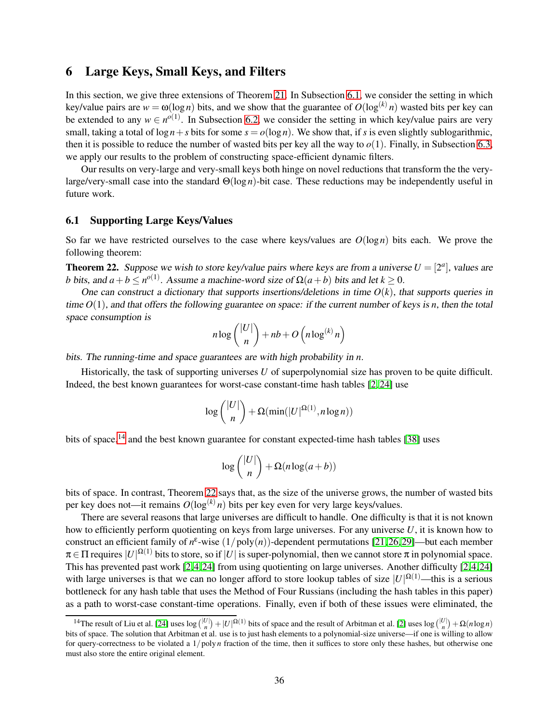## 6 Large Keys, Small Keys, and Filters

In this section, we give three extensions of Theorem [21.](#page-35-1) In Subsection [6.1,](#page-36-0) we consider the setting in which key/value pairs are  $w = \omega(\log n)$  bits, and we show that the guarantee of  $O(\log^{(k)} n)$  wasted bits per key can be extended to any  $w \in n^{o(1)}$ . In Subsection [6.2,](#page-39-0) we consider the setting in which key/value pairs are very small, taking a total of  $\log n + s$  bits for some  $s = o(\log n)$ . We show that, if *s* is even slightly sublogarithmic, then it is possible to reduce the number of wasted bits per key all the way to  $o(1)$ . Finally, in Subsection [6.3,](#page-44-0) we apply our results to the problem of constructing space-efficient dynamic filters.

Our results on very-large and very-small keys both hinge on novel reductions that transform the the verylarge/very-small case into the standard Θ(log *n*)-bit case. These reductions may be independently useful in future work.

#### <span id="page-36-0"></span>6.1 Supporting Large Keys/Values

So far we have restricted ourselves to the case where keys/values are *O*(log*n*) bits each. We prove the following theorem:

<span id="page-36-2"></span>**Theorem 22.** Suppose we wish to store key/value pairs where keys are from a universe  $U = [2^a]$ , values are *b* bits, and  $a + b \leq n^{o(1)}$ . Assume a machine-word size of  $\Omega(a + b)$  bits and let  $k \geq 0$ .

One can construct a dictionary that supports insertions/deletions in time  $O(k)$ , that supports queries in time *O*(1), and that offers the following guarantee on space: if the current number of keys is *n*, then the total space consumption is

$$
n \log { |U| \choose n} + nb + O\left(n \log^{(k)} n\right)
$$

bits. The running-time and space guarantees are with high probability in *n*.

Historically, the task of supporting universes *U* of superpolynomial size has proven to be quite difficult. Indeed, the best known guarantees for worst-case constant-time hash tables [\[2,](#page-46-1) [24\]](#page-47-4) use

$$
\log\binom{|U|}{n} + \Omega(\min(|U|^{\Omega(1)}, n \log n))
$$

bits of space,<sup>[14](#page-36-1)</sup> and the best known guarantee for constant expected-time hash tables [\[38\]](#page-48-3) uses

$$
\log\binom{|U|}{n} + \Omega(n\log(a+b))
$$

bits of space. In contrast, Theorem [22](#page-36-2) says that, as the size of the universe grows, the number of wasted bits per key does not—it remains  $O(\log^{(k)} n)$  bits per key even for very large keys/values.

There are several reasons that large universes are difficult to handle. One difficulty is that it is not known how to efficiently perform quotienting on keys from large universes. For any universe *U*, it is known how to construct an efficient family of  $n^{\epsilon}$ -wise  $(1/poly(n))$ -dependent permutations [\[21,](#page-47-14)[26,](#page-47-12)[29\]](#page-48-10)—but each member  $\pi \in \Pi$  requires  $|U|^{\Omega(1)}$  bits to store, so if  $|U|$  is super-polynomial, then we cannot store  $\pi$  in polynomial space. This has prevented past work [\[2,](#page-46-1)[4,](#page-46-2)[24\]](#page-47-4) from using quotienting on large universes. Another difficulty [\[2,](#page-46-1)[4,](#page-46-2)[24\]](#page-47-4) with large universes is that we can no longer afford to store lookup tables of size  $|U|^{\Omega(1)}$ —this is a serious bottleneck for any hash table that uses the Method of Four Russians (including the hash tables in this paper) as a path to worst-case constant-time operations. Finally, even if both of these issues were eliminated, the

<span id="page-36-1"></span><sup>&</sup>lt;sup>14</sup>The result of Liu et al. [\[24\]](#page-47-4) uses  $\log {|\mathcal{U}| \choose n} + |U|^{\Omega(1)}$  bits of space and the result of Arbitman et al. [\[2\]](#page-46-1) uses  $\log {|\mathcal{U}| \choose n} + \Omega(n \log n)$ bits of space. The solution that Arbitman et al. use is to just hash elements to a polynomial-size universe—if one is willing to allow for query-correctness to be violated a  $1/poly n$  fraction of the time, then it suffices to store only these hashes, but otherwise one must also store the entire original element.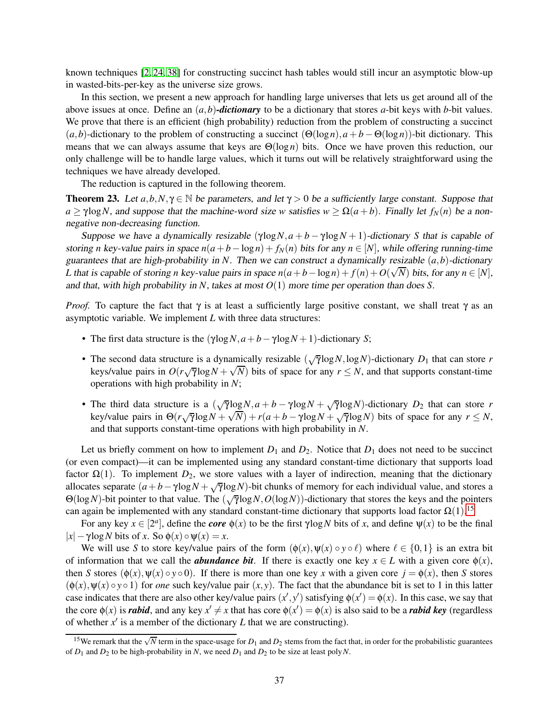known techniques [\[2,](#page-46-1) [24,](#page-47-4) [38\]](#page-48-3) for constructing succinct hash tables would still incur an asymptotic blow-up in wasted-bits-per-key as the universe size grows.

In this section, we present a new approach for handling large universes that lets us get around all of the above issues at once. Define an (*a*,*b*)*-dictionary* to be a dictionary that stores *a*-bit keys with *b*-bit values. We prove that there is an efficient (high probability) reduction from the problem of constructing a succinct  $(a,b)$ -dictionary to the problem of constructing a succinct  $(\Theta(\log n), a + b - \Theta(\log n))$ -bit dictionary. This means that we can always assume that keys are  $\Theta(\log n)$  bits. Once we have proven this reduction, our only challenge will be to handle large values, which it turns out will be relatively straightforward using the techniques we have already developed.

The reduction is captured in the following theorem.

<span id="page-37-1"></span>**Theorem 23.** Let  $a, b, N, \gamma \in \mathbb{N}$  be parameters, and let  $\gamma > 0$  be a sufficiently large constant. Suppose that  $a \ge \gamma \log N$ , and suppose that the machine-word size *w* satisfies  $w \ge \Omega(a+b)$ . Finally let  $f_N(n)$  be a nonnegative non-decreasing function.

Suppose we have a dynamically resizable  $(\gamma \log N, a + b - \gamma \log N + 1)$ -dictionary *S* that is capable of storing *n* key-value pairs in space  $n(a + b - \log n) + f_N(n)$  bits for any  $n \in [N]$ , while offering running-time guarantees that are high-probability in *N*. Then we can construct <sup>a</sup> dynamically resizable (*a*,*b*)-dictionary *L* that is capable of storing *n* key-value pairs in space  $n(a + b - \log n) + f(n) + O(\sqrt{N})$  bits, for any  $n \in [N]$ , and that, with high probability in *N*, takes at most *O*(1) more time per operation than does *S*.

*Proof.* To capture the fact that  $\gamma$  is at least a sufficiently large positive constant, we shall treat  $\gamma$  as an asymptotic variable. We implement *L* with three data structures:

- The first data structure is the  $(\gamma \log N, a+b-\gamma \log N+1)$ -dictionary *S*;
- The second data structure is a dynamically resizable  $(\sqrt{\gamma} \log N, \log N)$ -dictionary  $D_1$  that can store *r* keys/value pairs in  $O(r\sqrt{7} \log N + \sqrt{N})$  bits of space for any  $r \le N$ , and that supports constant-time operations with high probability in *N*;
- The third data structure is a  $(\sqrt{\gamma} \log N, a + b \gamma \log N + \sqrt{\gamma} \log N)$ -dictionary  $D_2$  that can store *r* key/value pairs in  $\Theta(r\sqrt{r}\log N + \sqrt{N}) + r(a+b-\gamma\log N + \sqrt{r}\log N)$  bits of space for any  $r \le N$ , and that supports constant-time operations with high probability in *N*.

Let us briefly comment on how to implement  $D_1$  and  $D_2$ . Notice that  $D_1$  does not need to be succinct (or even compact)—it can be implemented using any standard constant-time dictionary that supports load factor  $\Omega(1)$ . To implement  $D_2$ , we store values with a layer of indirection, meaning that the dictionary allocates separate  $(a + b - \gamma \log N + \sqrt{\gamma} \log N)$ -bit chunks of memory for each individual value, and stores a  $\Theta(\log N)$ -bit pointer to that value. The  $(\sqrt{\gamma}\log N, O(\log N))$ -dictionary that stores the keys and the pointers can again be implemented with any standard constant-time dictionary that supports load factor  $\Omega(1)$ .<sup>[15](#page-37-0)</sup>

For any key  $x \in [2^a]$ , define the *core*  $\phi(x)$  to be the first  $\gamma \log N$  bits of *x*, and define  $\psi(x)$  to be the final  $|x| - \gamma \log N$  bits of *x*. So  $\phi(x) \circ \psi(x) = x$ .

We will use *S* to store key/value pairs of the form  $(\phi(x), \psi(x) \circ y \circ \ell)$  where  $\ell \in \{0, 1\}$  is an extra bit of information that we call the *abundance bit*. If there is exactly one key  $x \in L$  with a given core  $\phi(x)$ , then *S* stores ( $\phi(x)$ ,  $\psi(x) \circ y \circ 0$ ). If there is more than one key *x* with a given core  $j = \phi(x)$ , then *S* stores  $(\phi(x), \psi(x) \circ y \circ 1)$  for *one* such key/value pair  $(x, y)$ . The fact that the abundance bit is set to 1 in this latter case indicates that there are also other key/value pairs  $(x', y')$  satisfying  $\phi(x') = \phi(x)$ . In this case, we say that the core  $\phi(x)$  is *rabid*, and any key  $x' \neq x$  that has core  $\phi(x') = \phi(x)$  is also said to be a *rabid key* (regardless of whether  $x'$  is a member of the dictionary  $L$  that we are constructing).

<span id="page-37-0"></span><sup>&</sup>lt;sup>15</sup>We remark that the  $\sqrt{N}$  term in the space-usage for  $D_1$  and  $D_2$  stems from the fact that, in order for the probabilistic guarantees of  $D_1$  and  $D_2$  to be high-probability in *N*, we need  $D_1$  and  $D_2$  to be size at least poly *N*.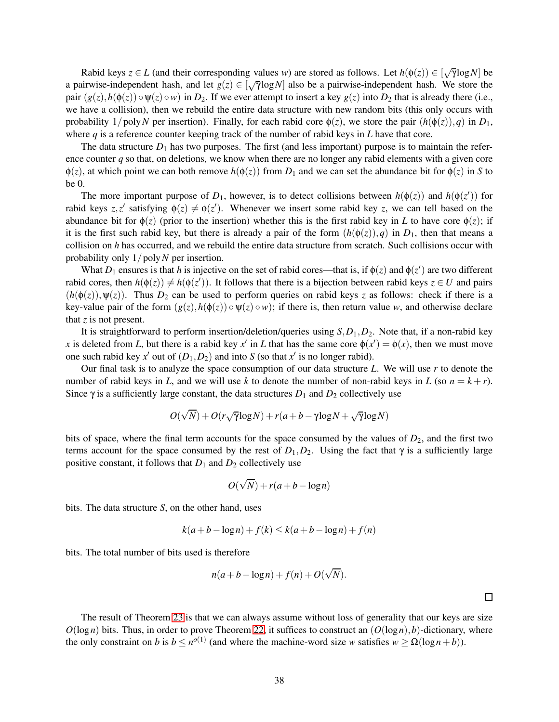Rabid keys  $z \in L$  (and their corresponding values *w*) are stored as follows. Let  $h(\phi(z)) \in [\sqrt{\gamma} \log N]$  be a pairwise-independent hash, and let  $g(z) \in [\sqrt{\gamma} \log N]$  also be a pairwise-independent hash. We store the pair  $(g(z), h(\phi(z)) \circ \psi(z) \circ w)$  in  $D_2$ . If we ever attempt to insert a key  $g(z)$  into  $D_2$  that is already there (i.e., we have a collision), then we rebuild the entire data structure with new random bits (this only occurs with probability  $1/polyN$  per insertion). Finally, for each rabid core  $\phi(z)$ , we store the pair  $(h(\phi(z)), q)$  in  $D_1$ , where  $q$  is a reference counter keeping track of the number of rabid keys in  $L$  have that core.

The data structure  $D_1$  has two purposes. The first (and less important) purpose is to maintain the reference counter *q* so that, on deletions, we know when there are no longer any rabid elements with a given core  $\phi(z)$ , at which point we can both remove  $h(\phi(z))$  from  $D_1$  and we can set the abundance bit for  $\phi(z)$  in *S* to be 0.

The more important purpose of  $D_1$ , however, is to detect collisions between  $h(\phi(z))$  and  $h(\phi(z'))$  for rabid keys *z*,*z'* satisfying  $\phi(z) \neq \phi(z')$ . Whenever we insert some rabid key *z*, we can tell based on the abundance bit for  $\phi(z)$  (prior to the insertion) whether this is the first rabid key in *L* to have core  $\phi(z)$ ; if it is the first such rabid key, but there is already a pair of the form  $(h(\phi(z)), q)$  in  $D_1$ , then that means a collision on *h* has occurred, and we rebuild the entire data structure from scratch. Such collisions occur with probability only 1/poly*N* per insertion.

What  $D_1$  ensures is that h is injective on the set of rabid cores—that is, if  $\phi(z)$  and  $\phi(z')$  are two different rabid cores, then  $h(\phi(z)) \neq h(\phi(z'))$ . It follows that there is a bijection between rabid keys  $z \in U$  and pairs  $(h(\phi(z)), \psi(z))$ . Thus  $D_2$  can be used to perform queries on rabid keys *z* as follows: check if there is a key-value pair of the form  $(g(z), h(\phi(z)) \circ \psi(z) \circ w)$ ; if there is, then return value *w*, and otherwise declare that *z* is not present.

It is straightforward to perform insertion/deletion/queries using *S*,*D*1,*D*2. Note that, if a non-rabid key *x* is deleted from *L*, but there is a rabid key *x*<sup>'</sup> in *L* that has the same core  $\phi(x') = \phi(x)$ , then we must move one such rabid key  $x'$  out of  $(D_1, D_2)$  and into *S* (so that  $x'$  is no longer rabid).

Our final task is to analyze the space consumption of our data structure *L*. We will use *r* to denote the number of rabid keys in *L*, and we will use *k* to denote the number of non-rabid keys in *L* (so  $n = k + r$ ). Since  $\gamma$  is a sufficiently large constant, the data structures  $D_1$  and  $D_2$  collectively use

$$
O(\sqrt{N}) + O(r\sqrt{\gamma}\log N) + r(a+b-\gamma\log N + \sqrt{\gamma}\log N)
$$

bits of space, where the final term accounts for the space consumed by the values of  $D_2$ , and the first two terms account for the space consumed by the rest of  $D_1, D_2$ . Using the fact that  $\gamma$  is a sufficiently large positive constant, it follows that  $D_1$  and  $D_2$  collectively use

$$
O(\sqrt{N}) + r(a+b-\log n)
$$

bits. The data structure *S*, on the other hand, uses

$$
k(a+b-\log n)+f(k) \le k(a+b-\log n)+f(n)
$$

bits. The total number of bits used is therefore

$$
n(a+b-\log n)+f(n)+O(\sqrt{N}).
$$

 $\Box$ 

The result of Theorem [23](#page-37-1) is that we can always assume without loss of generality that our keys are size  $O(\log n)$  bits. Thus, in order to prove Theorem [22,](#page-36-2) it suffices to construct an  $O(\log n)$ , *b*)-dictionary, where the only constraint on *b* is  $b \leq n^{o(1)}$  (and where the machine-word size *w* satisfies  $w \geq \Omega(\log n + b)$ ).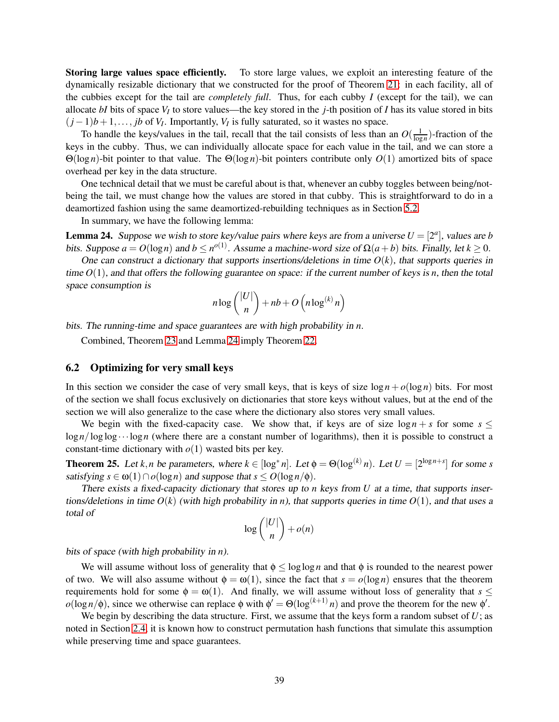Storing large values space efficiently. To store large values, we exploit an interesting feature of the dynamically resizable dictionary that we constructed for the proof of Theorem [21:](#page-35-1) in each facility, all of the cubbies except for the tail are *completely full*. Thus, for each cubby *I* (except for the tail), we can allocate *bI* bits of space *V<sup>I</sup>* to store values—the key stored in the *j*-th position of *I* has its value stored in bits  $(j-1)b+1,\ldots,jb$  of *V<sub>I</sub>*. Importantly, *V<sub>I</sub>* is fully saturated, so it wastes no space.

To handle the keys/values in the tail, recall that the tail consists of less than an  $O(\frac{1}{\log n})$ -fraction of the keys in the cubby. Thus, we can individually allocate space for each value in the tail, and we can store a Θ(log *n*)-bit pointer to that value. The Θ(log *n*)-bit pointers contribute only *O*(1) amortized bits of space overhead per key in the data structure.

One technical detail that we must be careful about is that, whenever an cubby toggles between being/notbeing the tail, we must change how the values are stored in that cubby. This is straightforward to do in a deamortized fashion using the same deamortized-rebuilding techniques as in Section [5.2.](#page-30-0)

In summary, we have the following lemma:

<span id="page-39-1"></span>**Lemma 24.** Suppose we wish to store key/value pairs where keys are from a universe  $U = [2^a]$ , values are *b* bits. Suppose  $a = O(\log n)$  and  $b \leq n^{o(1)}$ . Assume a machine-word size of  $\Omega(a+b)$  bits. Finally, let  $k \geq 0$ .

One can construct a dictionary that supports insertions/deletions in time  $O(k)$ , that supports queries in time  $O(1)$ , and that offers the following guarantee on space: if the current number of keys is *n*, then the total space consumption is

$$
n \log { |U| \choose n} + nb + O\left(n \log^{(k)} n\right)
$$

bits. The running-time and space guarantees are with high probability in *n*.

Combined, Theorem [23](#page-37-1) and Lemma [24](#page-39-1) imply Theorem [22.](#page-36-2)

#### <span id="page-39-0"></span>6.2 Optimizing for very small keys

In this section we consider the case of very small keys, that is keys of size  $\log n + o(\log n)$  bits. For most of the section we shall focus exclusively on dictionaries that store keys without values, but at the end of the section we will also generalize to the case where the dictionary also stores very small values.

We begin with the fixed-capacity case. We show that, if keys are of size  $\log n + s$  for some  $s \leq$  $\log n / \log \log \cdots \log n$  (where there are a constant number of logarithms), then it is possible to construct a constant-time dictionary with  $o(1)$  wasted bits per key.

<span id="page-39-2"></span>**Theorem 25.** Let *k*, *n* be parameters, where  $k \in [\log^* n]$ . Let  $\phi = \Theta(\log^{(k)} n)$ . Let  $U = [2^{\log n + s}]$  for some *s* satisfying  $s \in \omega(1) \cap o(\log n)$  and suppose that  $s \leq O(\log n/\phi)$ .

There exists <sup>a</sup> fixed-capacity dictionary that stores up to *n* keys from *U* at <sup>a</sup> time, that supports insertions/deletions in time  $O(k)$  (with high probability in *n*), that supports queries in time  $O(1)$ , and that uses a total of

$$
\log\binom{|U|}{n} + o(n)
$$

bits of space (with high probability in *n*).

We will assume without loss of generality that  $\phi \le \log \log n$  and that  $\phi$  is rounded to the nearest power of two. We will also assume without  $\phi = \omega(1)$ , since the fact that  $s = o(\log n)$  ensures that the theorem requirements hold for some  $\phi = \omega(1)$ . And finally, we will assume without loss of generality that  $s \leq$  $o(\log n/\phi)$ , since we otherwise can replace  $\phi$  with  $\phi' = \Theta(\log^{(k+1)} n)$  and prove the theorem for the new  $\phi'$ .

We begin by describing the data structure. First, we assume that the keys form a random subset of *U*; as noted in Section [2.4,](#page-7-1) it is known how to construct permutation hash functions that simulate this assumption while preserving time and space guarantees.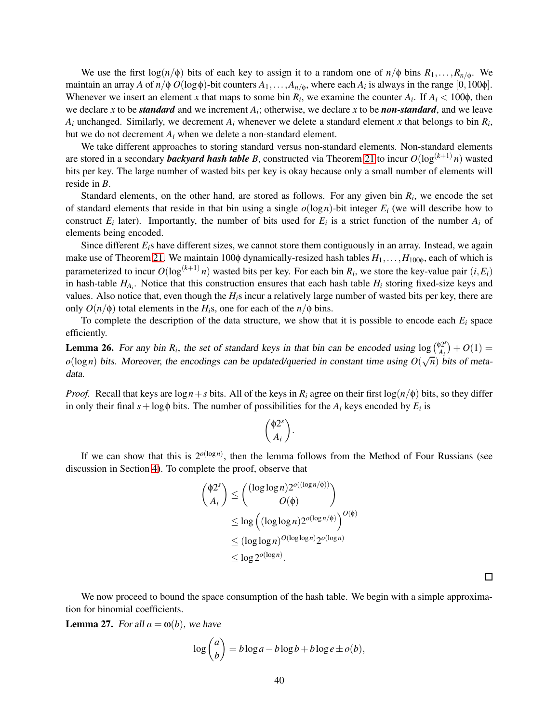We use the first  $log(n/\phi)$  bits of each key to assign it to a random one of  $n/\phi$  bins  $R_1, \ldots, R_{n/\phi}$ . We maintain an array *A* of  $n/\phi$  *O*(log $\phi$ )-bit counters  $A_1, \ldots, A_{n/\phi}$ , where each  $A_i$  is always in the range [0,100 $\phi$ ]. Whenever we insert an element *x* that maps to some bin  $R_i$ , we examine the counter  $A_i$ . If  $A_i < 100\phi$ , then we declare *x* to be *standard* and we increment *A<sup>i</sup>* ; otherwise, we declare *x* to be *non-standard*, and we leave  $A_i$  unchanged. Similarly, we decrement  $A_i$  whenever we delete a standard element *x* that belongs to bin  $R_i$ , but we do not decrement *A<sup>i</sup>* when we delete a non-standard element.

We take different approaches to storing standard versus non-standard elements. Non-standard elements are stored in a secondary *backyard hash table B*, constructed via Theorem [21](#page-35-1) to incur  $O(\log^{(k+1)} n)$  wasted bits per key. The large number of wasted bits per key is okay because only a small number of elements will reside in *B*.

Standard elements, on the other hand, are stored as follows. For any given bin  $R_i$ , we encode the set of standard elements that reside in that bin using a single  $o(\log n)$ -bit integer  $E_i$  (we will describe how to construct  $E_i$  later). Importantly, the number of bits used for  $E_i$  is a strict function of the number  $A_i$  of elements being encoded.

Since different *E*<sub>*i*</sub>s have different sizes, we cannot store them contiguously in an array. Instead, we again make use of Theorem [21.](#page-35-1) We maintain 100 $\phi$  dynamically-resized hash tables  $H_1, \ldots, H_{100\phi}$ , each of which is parameterized to incur  $O(\log^{(k+1)} n)$  wasted bits per key. For each bin  $R_i$ , we store the key-value pair  $(i, E_i)$ in hash-table *HA<sup>i</sup>* . Notice that this construction ensures that each hash table *H<sup>i</sup>* storing fixed-size keys and values. Also notice that, even though the *Hi*s incur a relatively large number of wasted bits per key, there are only  $O(n/\phi)$  total elements in the  $H_i$ s, one for each of the  $n/\phi$  bins.

To complete the description of the data structure, we show that it is possible to encode each  $E_i$  space efficiently.

**Lemma 26.** For any bin  $R_i$ , the set of standard keys in that bin can be encoded using  $\log \left( \frac{\phi 2^s}{A_i} \right)$  $P_{A_i}^{2^s}$  +  $O(1)$  =  $o(\log n)$  bits. Moreover, the encodings can be updated/queried in constant time using  $O(\sqrt{n})$  bits of metadata.

*Proof.* Recall that keys are  $\log n + s$  bits. All of the keys in  $R_i$  agree on their first  $\log(n/\phi)$  bits, so they differ in only their final  $s + \log \phi$  bits. The number of possibilities for the  $A_i$  keys encoded by  $E_i$  is

$$
\binom{\phi 2^s}{A_i}.
$$

If we can show that this is  $2^{o(\log n)}$ , then the lemma follows from the Method of Four Russians (see discussion in Section [4\)](#page-23-0). To complete the proof, observe that

$$
\begin{aligned} \binom{\phi 2^s}{A_i} &\leq \binom{(\log \log n) 2^{o((\log n/\phi))}}{O(\phi)} \\ &\leq \log \left( (\log \log n) 2^{o(\log n/\phi)} \right)^{O(\phi)} \\ &\leq (\log \log n)^{O(\log \log n)} 2^{o(\log n)} \\ &\leq \log 2^{o(\log n)}. \end{aligned}
$$

 $\Box$ 

We now proceed to bound the space consumption of the hash table. We begin with a simple approximation for binomial coefficients.

<span id="page-40-0"></span>**Lemma 27.** For all  $a = \omega(b)$ , we have

$$
\log {a \choose b} = b \log a - b \log b + b \log e \pm o(b),
$$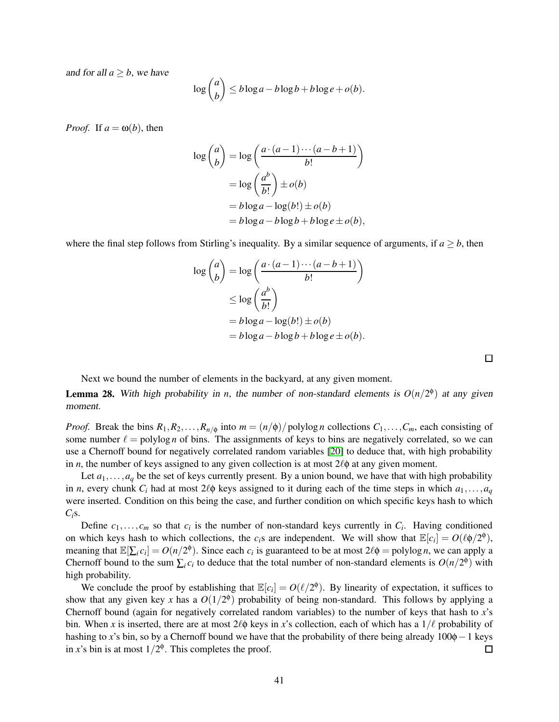and for all  $a \geq b$ , we have

$$
\log {a \choose b} \le b \log a - b \log b + b \log e + o(b).
$$

*Proof.* If  $a = \omega(b)$ , then

$$
\log \binom{a}{b} = \log \left( \frac{a \cdot (a-1) \cdots (a-b+1)}{b!} \right)
$$

$$
= \log \left( \frac{a^b}{b!} \right) \pm o(b)
$$

$$
= b \log a - \log(b!) \pm o(b)
$$

$$
= b \log a - b \log b + b \log e \pm o(b),
$$

where the final step follows from Stirling's inequality. By a similar sequence of arguments, if  $a \geq b$ , then

$$
\log {a \choose b} = \log \left( \frac{a \cdot (a-1) \cdots (a-b+1)}{b!} \right)
$$
  
\n
$$
\leq \log \left( \frac{a^b}{b!} \right)
$$
  
\n
$$
= b \log a - \log(b!) \pm o(b)
$$
  
\n
$$
= b \log a - b \log b + b \log e \pm o(b).
$$

 $\Box$ 

Next we bound the number of elements in the backyard, at any given moment.

<span id="page-41-0"></span>**Lemma 28.** With high probability in *n*, the number of non-standard elements is  $O(n/2^{\phi})$  at any given moment.

*Proof.* Break the bins  $R_1, R_2, \ldots, R_{n/\phi}$  into  $m = (n/\phi)/p$  olylog *n* collections  $C_1, \ldots, C_m$ , each consisting of some number  $\ell =$  polylog *n* of bins. The assignments of keys to bins are negatively correlated, so we can use a Chernoff bound for negatively correlated random variables [\[20\]](#page-47-13) to deduce that, with high probability in *n*, the number of keys assigned to any given collection is at most  $2\ell\phi$  at any given moment.

Let  $a_1, \ldots, a_q$  be the set of keys currently present. By a union bound, we have that with high probability in *n*, every chunk  $C_i$  had at most 2 $\ell \phi$  keys assigned to it during each of the time steps in which  $a_1, \ldots, a_q$ were inserted. Condition on this being the case, and further condition on which specific keys hash to which  $C_i$ s.

Define  $c_1, \ldots, c_m$  so that  $c_i$  is the number of non-standard keys currently in  $C_i$ . Having conditioned on which keys hash to which collections, the  $c_i$ s are independent. We will show that  $\mathbb{E}[c_i] = O(\ell \phi/2^{\phi})$ , meaning that  $\mathbb{E}[\sum_i c_i] = O(n/2^{\phi})$ . Since each  $c_i$  is guaranteed to be at most  $2\ell\phi = \text{polylog } n$ , we can apply a Chernoff bound to the sum  $\sum_i c_i$  to deduce that the total number of non-standard elements is  $O(n/2^{\phi})$  with high probability.

We conclude the proof by establishing that  $\mathbb{E}[c_i] = O(\ell/2^{\phi})$ . By linearity of expectation, it suffices to show that any given key x has a  $O(1/2^{\phi})$  probability of being non-standard. This follows by applying a Chernoff bound (again for negatively correlated random variables) to the number of keys that hash to *x*'s bin. When *x* is inserted, there are at most  $2\ell\phi$  keys in *x*'s collection, each of which has a  $1/\ell$  probability of hashing to *x*'s bin, so by a Chernoff bound we have that the probability of there being already 100φ−1 keys in *x*'s bin is at most  $1/2^{\phi}$ . This completes the proof. in x's bin is at most  $1/2^{\phi}$ . This completes the proof.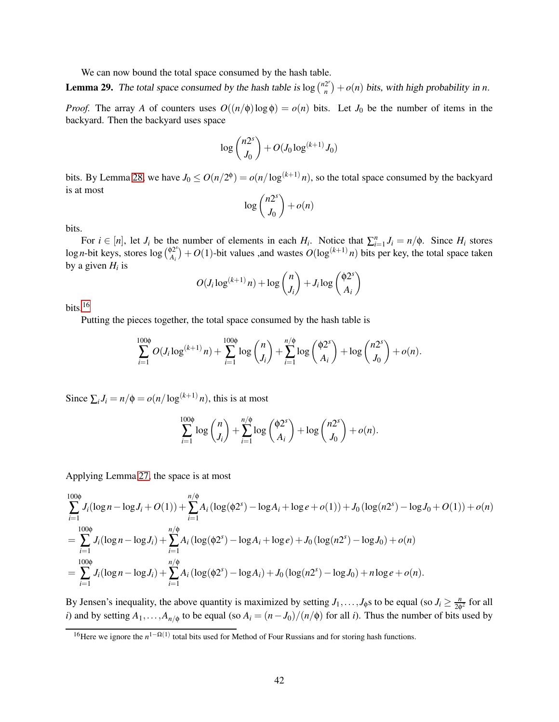We can now bound the total space consumed by the hash table.

**Lemma 29.** The total space consumed by the hash table is  $\log \binom{n2r}{n}$  $\binom{2^r}{n}$  + *o*(*n*) bits, with high probability in *n*.

*Proof.* The array *A* of counters uses  $O((n/\phi) \log \phi) = o(n)$  bits. Let  $J_0$  be the number of items in the backyard. Then the backyard uses space

$$
\log {n2^s \choose J_0} + O(J_0 \log^{(k+1)} J_0)
$$

bits. By Lemma [28,](#page-41-0) we have  $J_0 \le O(n/2^{\phi}) = o(n/\log^{(k+1)} n)$ , so the total space consumed by the backyard is at most

$$
\log\binom{n2^s}{J_0} + o(n)
$$

bits.

For  $i \in [n]$ , let  $J_i$  be the number of elements in each  $H_i$ . Notice that  $\sum_{i=1}^n J_i = n/\phi$ . Since  $H_i$  stores  $\log n$ -bit keys, stores  $\log {^{(\phi2^s)}_A}$  $\mathcal{P}_{A_i}^{(2^s)}$  + *O*(1)-bit values ,and wastes *O*(log<sup>(*k*+1)</sup> *n*) bits per key, the total space taken by a given *H<sup>i</sup>* is

$$
O(J_i \log^{(k+1)} n) + \log {n \choose J_i} + J_i \log {(\phi 2^s) \choose A_i}
$$

bits. $16$ 

Putting the pieces together, the total space consumed by the hash table is

$$
\sum_{i=1}^{100\phi} O(J_i \log^{(k+1)} n) + \sum_{i=1}^{100\phi} \log {n \choose J_i} + \sum_{i=1}^{n/\phi} \log {(\phi 2^s) \choose A_i} + \log {n2^s \choose J_0} + o(n).
$$

Since  $\sum_i J_i = n/\phi = o(n/\log^{(k+1)} n)$ , this is at most

$$
\sum_{i=1}^{100\phi} \log {n \choose J_i} + \sum_{i=1}^{n/\phi} \log {(\phi 2^s) \choose A_i} + \log {n2^s \choose J_0} + o(n).
$$

Applying Lemma [27,](#page-40-0) the space is at most

$$
\sum_{i=1}^{100\phi} J_i(\log n - \log J_i + O(1)) + \sum_{i=1}^{n/\phi} A_i(\log(\phi 2^s) - \log A_i + \log e + o(1)) + J_0(\log(n2^s) - \log J_0 + O(1)) + o(n)
$$
  
= 
$$
\sum_{i=1}^{100\phi} J_i(\log n - \log J_i) + \sum_{i=1}^{n/\phi} A_i(\log(\phi 2^s) - \log A_i + \log e) + J_0(\log(n2^s) - \log J_0) + o(n)
$$
  
= 
$$
\sum_{i=1}^{100\phi} J_i(\log n - \log J_i) + \sum_{i=1}^{n/\phi} A_i(\log(\phi 2^s) - \log A_i) + J_0(\log(n2^s) - \log J_0) + n \log e + o(n).
$$

By Jensen's inequality, the above quantity is maximized by setting  $J_1, \ldots, J_\phi$  to be equal (so  $J_i \ge \frac{n}{2\phi}$  $\frac{n}{2\phi^2}$  for all *i*) and by setting  $A_1, \ldots, A_{n/\phi}$  to be equal (so  $A_i = (n - J_0)/(n/\phi)$  for all *i*). Thus the number of bits used by

<span id="page-42-0"></span><sup>&</sup>lt;sup>16</sup>Here we ignore the  $n^{1-\Omega(1)}$  total bits used for Method of Four Russians and for storing hash functions.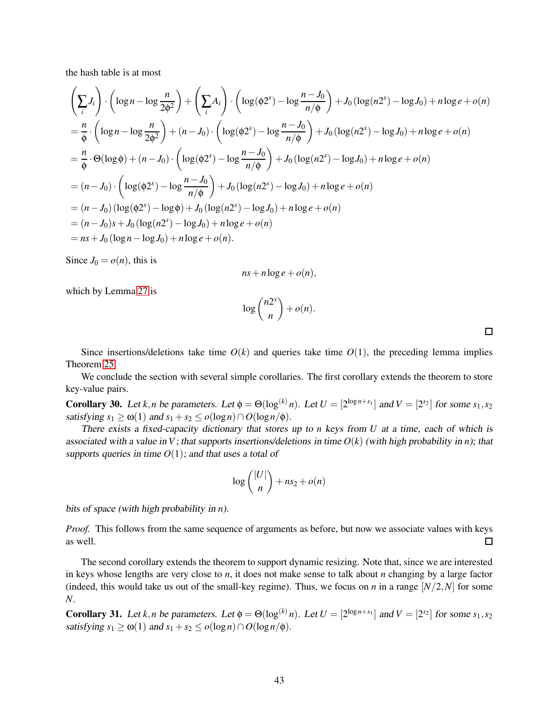the hash table is at most

$$
\left(\sum_{i} J_{i}\right) \cdot \left(\log n - \log \frac{n}{2\phi^{2}}\right) + \left(\sum_{i} A_{i}\right) \cdot \left(\log(\phi 2^{s}) - \log \frac{n - J_{0}}{n/\phi}\right) + J_{0}\left(\log(n2^{s}) - \log J_{0}\right) + n \log e + o(n)
$$
\n
$$
= \frac{n}{\phi} \cdot \left(\log n - \log \frac{n}{2\phi^{2}}\right) + (n - J_{0}) \cdot \left(\log(\phi 2^{s}) - \log \frac{n - J_{0}}{n/\phi}\right) + J_{0}\left(\log(n2^{s}) - \log J_{0}\right) + n \log e + o(n)
$$
\n
$$
= \frac{n}{\phi} \cdot \Theta(\log \phi) + (n - J_{0}) \cdot \left(\log(\phi 2^{s}) - \log \frac{n - J_{0}}{n/\phi}\right) + J_{0}\left(\log(n2^{s}) - \log J_{0}\right) + n \log e + o(n)
$$
\n
$$
= (n - J_{0}) \cdot \left(\log(\phi 2^{s}) - \log \frac{n - J_{0}}{n/\phi}\right) + J_{0}\left(\log(n2^{s}) - \log J_{0}\right) + n \log e + o(n)
$$
\n
$$
= (n - J_{0}) \left(\log(\phi 2^{s}) - \log \phi\right) + J_{0}\left(\log(n2^{s}) - \log J_{0}\right) + n \log e + o(n)
$$
\n
$$
= (n - J_{0})s + J_{0}\left(\log(n2^{s}) - \log J_{0}\right) + n \log e + o(n)
$$
\n
$$
= ns + J_{0}\left(\log n - \log J_{0}\right) + n \log e + o(n).
$$

Since  $J_0 = o(n)$ , this is

$$
ns + n \log e + o(n),
$$

which by Lemma [27](#page-40-0) is

$$
\log\binom{n2^s}{n} + o(n).
$$

 $\Box$ 

Since insertions/deletions take time  $O(k)$  and queries take time  $O(1)$ , the preceding lemma implies Theorem [25.](#page-39-2)

We conclude the section with several simple corollaries. The first corollary extends the theorem to store key-value pairs.

Corollary 30. Let *k*,*n* be parameters. Let  $\phi = \Theta(\log^{(k)} n)$ . Let  $U = [2^{\log n + s_1}]$  and  $V = [2^{s_2}]$  for some  $s_1, s_2$ satisfying  $s_1 > \omega(1)$  and  $s_1 + s_2 \leq o(\log n) \cap O(\log n/\phi)$ .

There exists <sup>a</sup> fixed-capacity dictionary that stores up to *n* keys from *U* at <sup>a</sup> time, each of which is associated with a value in *V*; that supports insertions/deletions in time  $O(k)$  (with high probability in *n*); that supports queries in time  $O(1)$ ; and that uses a total of

$$
\log\binom{|U|}{n} + ns_2 + o(n)
$$

bits of space (with high probability in *n*).

*Proof.* This follows from the same sequence of arguments as before, but now we associate values with keys as well.  $\Box$ 

The second corollary extends the theorem to support dynamic resizing. Note that, since we are interested in keys whose lengths are very close to *n*, it does not make sense to talk about *n* changing by a large factor (indeed, this would take us out of the small-key regime). Thus, we focus on *n* in a range  $[N/2, N]$  for some *N*.

Corollary 31. Let *k*,*n* be parameters. Let  $\phi = \Theta(\log^{(k)} n)$ . Let  $U = [2^{\log n + s_1}]$  and  $V = [2^{s_2}]$  for some  $s_1, s_2$ satisfying  $s_1 \ge \omega(1)$  and  $s_1 + s_2 \le o(\log n) \cap O(\log n/\phi)$ .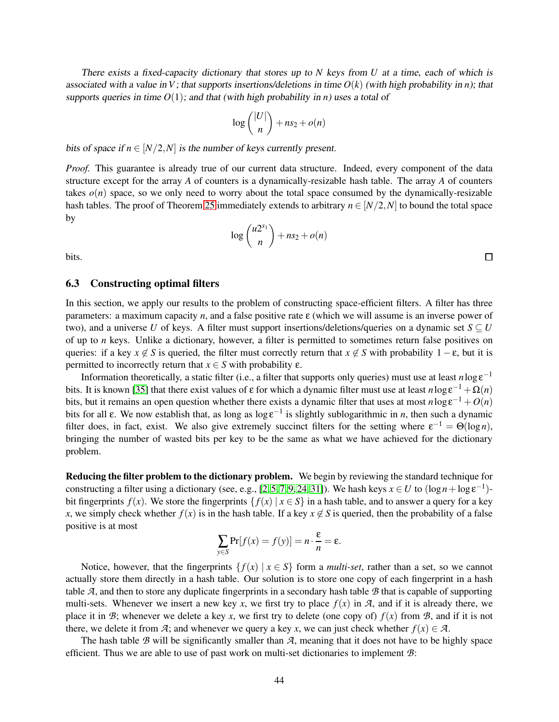There exists <sup>a</sup> fixed-capacity dictionary that stores up to *N* keys from *U* at <sup>a</sup> time, each of which is associated with a value in *V*; that supports insertions/deletions in time  $O(k)$  (with high probability in *n*); that supports queries in time  $O(1)$ ; and that (with high probability in *n*) uses a total of

$$
\log\binom{|U|}{n} + ns_2 + o(n)
$$

bits of space if  $n \in [N/2, N]$  is the number of keys currently present.

*Proof.* This guarantee is already true of our current data structure. Indeed, every component of the data structure except for the array *A* of counters is a dynamically-resizable hash table. The array *A* of counters takes  $o(n)$  space, so we only need to worry about the total space consumed by the dynamically-resizable hash tables. The proof of Theorem [25](#page-39-2) immediately extends to arbitrary  $n \in [N/2,N]$  to bound the total space by

$$
\log\binom{u2^{s_1}}{n} + ns_2 + o(n)
$$

<span id="page-44-0"></span>bits.

#### 6.3 Constructing optimal filters

In this section, we apply our results to the problem of constructing space-efficient filters. A filter has three parameters: a maximum capacity *n*, and a false positive rate ε (which we will assume is an inverse power of two), and a universe *U* of keys. A filter must support insertions/deletions/queries on a dynamic set  $S \subseteq U$ of up to *n* keys. Unlike a dictionary, however, a filter is permitted to sometimes return false positives on queries: if a key  $x \notin S$  is queried, the filter must correctly return that  $x \notin S$  with probability  $1 - \varepsilon$ , but it is permitted to incorrectly return that  $x \in S$  with probability  $\varepsilon$ .

Information theoretically, a static filter (i.e., a filter that supports only queries) must use at least  $n \log \epsilon^{-1}$ bits. It is known [\[35\]](#page-48-6) that there exist values of  $\varepsilon$  for which a dynamic filter must use at least  $n\log \varepsilon^{-1} + \Omega(n)$ bits, but it remains an open question whether there exists a dynamic filter that uses at most  $n \log \epsilon^{-1} + O(n)$ bits for all  $\varepsilon$ . We now establish that, as long as log  $\varepsilon^{-1}$  is slightly sublogarithmic in *n*, then such a dynamic filter does, in fact, exist. We also give extremely succinct filters for the setting where  $\varepsilon^{-1} = \Theta(\log n)$ , bringing the number of wasted bits per key to be the same as what we have achieved for the dictionary problem.

Reducing the filter problem to the dictionary problem. We begin by reviewing the standard technique for constructing a filter using a dictionary (see, e.g., [\[2,](#page-46-1)5,7,[9,](#page-46-5)24,31]). We hash keys  $x \in U$  to  $(\log n + \log \varepsilon^{-1})$ bit fingerprints  $f(x)$ . We store the fingerprints  $\{f(x) | x \in S\}$  in a hash table, and to answer a query for a key *x*, we simply check whether  $f(x)$  is in the hash table. If a key  $x \notin S$  is queried, then the probability of a false positive is at most

$$
\sum_{y \in S} \Pr[f(x) = f(y)] = n \cdot \frac{\varepsilon}{n} = \varepsilon.
$$

Notice, however, that the fingerprints  $\{f(x) | x \in S\}$  form a *multi-set*, rather than a set, so we cannot actually store them directly in a hash table. Our solution is to store one copy of each fingerprint in a hash table *A*, and then to store any duplicate fingerprints in a secondary hash table *B* that is capable of supporting multi-sets. Whenever we insert a new key *x*, we first try to place  $f(x)$  in  $\mathcal{A}$ , and if it is already there, we place it in *B*; whenever we delete a key *x*, we first try to delete (one copy of)  $f(x)$  from *B*, and if it is not there, we delete it from *A*; and whenever we query a key *x*, we can just check whether  $f(x) \in \mathcal{A}$ .

The hash table *B* will be significantly smaller than *A*, meaning that it does not have to be highly space efficient. Thus we are able to use of past work on multi-set dictionaries to implement *B*:

 $\Box$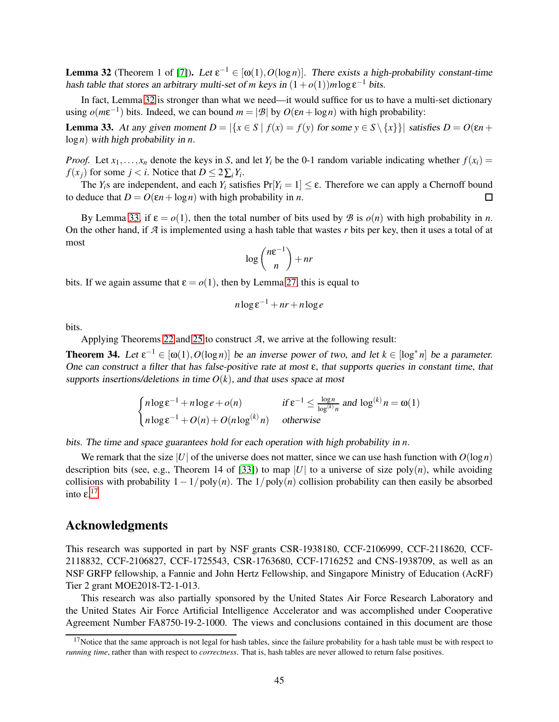<span id="page-45-0"></span>**Lemma 32** (Theorem 1 of [\[7\]](#page-46-7)). Let  $\varepsilon^{-1} \in [\omega(1), O(\log n)]$ . There exists a high-probability constant-time hash table that stores an arbitrary multi-set of *m* keys in  $(1+o(1))m\log \varepsilon^{-1}$  bits.

In fact, Lemma [32](#page-45-0) is stronger than what we need—it would suffice for us to have a multi-set dictionary using  $o(m\varepsilon^{-1})$  bits. Indeed, we can bound  $m = |\mathcal{B}|$  by  $O(\varepsilon n + \log n)$  with high probability:

<span id="page-45-1"></span>**Lemma 33.** At any given moment  $D = |\{x \in S \mid f(x) = f(y) \text{ for some } y \in S \setminus \{x\}\}|$  satisfies  $D = O(\varepsilon n + \varepsilon n)$ log*n*) with high probability in *n*.

*Proof.* Let  $x_1, \ldots, x_n$  denote the keys in *S*, and let  $Y_i$  be the 0-1 random variable indicating whether  $f(x_i) =$ *f*(*x*<sub>*j*</sub>) for some *j* < *i*. Notice that  $D \le 2\sum_i Y_i$ .

The *Y*<sub>*i*</sub>s are independent, and each *Y*<sub>*i*</sub> satisfies  $Pr[Y_i = 1] \le \varepsilon$ . Therefore we can apply a Chernoff bound leduce that  $D = O(\varepsilon n + \log n)$  with high probability in *n*. to deduce that  $D = O(\varepsilon n + \log n)$  with high probability in *n*.

By Lemma [33,](#page-45-1) if  $\varepsilon = o(1)$ , then the total number of bits used by *B* is  $o(n)$  with high probability in *n*. On the other hand, if *A* is implemented using a hash table that wastes *r* bits per key, then it uses a total of at most

$$
\log\binom{n\varepsilon^{-1}}{n} + nr
$$

bits. If we again assume that  $\varepsilon = o(1)$ , then by Lemma [27,](#page-40-0) this is equal to

$$
n \log \varepsilon^{-1} + nr + n \log e
$$

bits.

Applying Theorems [22](#page-36-2) and [25](#page-39-2) to construct *A*, we arrive at the following result:

**Theorem 34.** Let  $\varepsilon^{-1} \in [\omega(1), O(\log n)]$  be an inverse power of two, and let  $k \in [\log^* n]$  be a parameter. One can construct <sup>a</sup> filter that has false-positive rate at most ε, that supports queries in constant time, that supports insertions/deletions in time  $O(k)$ , and that uses space at most

$$
\begin{cases} n\log \varepsilon^{-1} + n\log e + o(n) & \text{if } \varepsilon^{-1} \le \frac{\log n}{\log^{(k)} n} \text{ and } \log^{(k)} n = \omega(1) \\ n\log \varepsilon^{-1} + O(n) + O(n\log^{(k)} n) & \text{otherwise} \end{cases}
$$

bits. The time and space guarantees hold for each operation with high probability in *n*.

We remark that the size |*U*| of the universe does not matter, since we can use hash function with  $O(\log n)$ description bits (see, e.g., Theorem 14 of [\[33\]](#page-48-13)) to map |*U*| to a universe of size poly $(n)$ , while avoiding collisions with probability  $1 - 1/poly(n)$ . The  $1/poly(n)$  collision probability can then easily be absorbed into  $\varepsilon$ <sup>[17](#page-45-2)</sup>

## Acknowledgments

This research was supported in part by NSF grants CSR-1938180, CCF-2106999, CCF-2118620, CCF-2118832, CCF-2106827, CCF-1725543, CSR-1763680, CCF-1716252 and CNS-1938709, as well as an NSF GRFP fellowship, a Fannie and John Hertz Fellowship, and Singapore Ministry of Education (AcRF) Tier 2 grant MOE2018-T2-1-013.

This research was also partially sponsored by the United States Air Force Research Laboratory and the United States Air Force Artificial Intelligence Accelerator and was accomplished under Cooperative Agreement Number FA8750-19-2-1000. The views and conclusions contained in this document are those

<span id="page-45-2"></span> $17$ Notice that the same approach is not legal for hash tables, since the failure probability for a hash table must be with respect to *running time*, rather than with respect to *correctness*. That is, hash tables are never allowed to return false positives.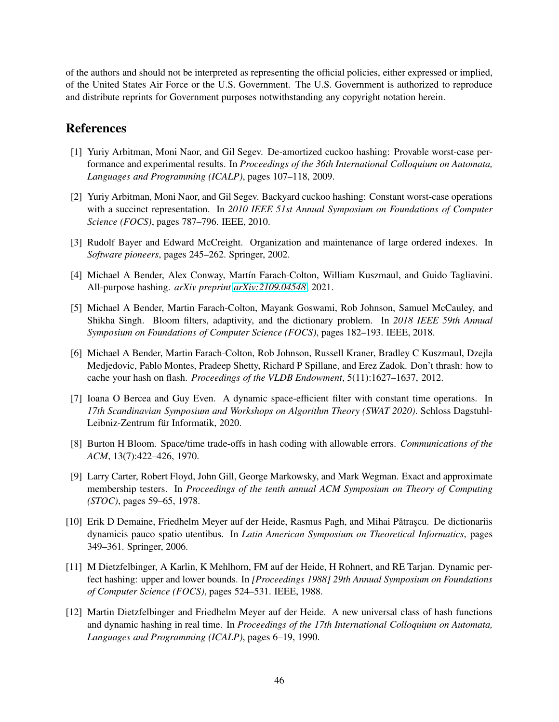of the authors and should not be interpreted as representing the official policies, either expressed or implied, of the United States Air Force or the U.S. Government. The U.S. Government is authorized to reproduce and distribute reprints for Government purposes notwithstanding any copyright notation herein.

## <span id="page-46-0"></span>References

- [1] Yuriy Arbitman, Moni Naor, and Gil Segev. De-amortized cuckoo hashing: Provable worst-case performance and experimental results. In *Proceedings of the 36th International Colloquium on Automata, Languages and Programming (ICALP)*, pages 107–118, 2009.
- <span id="page-46-1"></span>[2] Yuriy Arbitman, Moni Naor, and Gil Segev. Backyard cuckoo hashing: Constant worst-case operations with a succinct representation. In *2010 IEEE 51st Annual Symposium on Foundations of Computer Science (FOCS)*, pages 787–796. IEEE, 2010.
- <span id="page-46-11"></span><span id="page-46-2"></span>[3] Rudolf Bayer and Edward McCreight. Organization and maintenance of large ordered indexes. In *Software pioneers*, pages 245–262. Springer, 2002.
- <span id="page-46-6"></span>[4] Michael A Bender, Alex Conway, Martín Farach-Colton, William Kuszmaul, and Guido Tagliavini. All-purpose hashing. *arXiv preprint [arXiv:2109.04548](http://arxiv.org/abs/2109.04548)*, 2021.
- [5] Michael A Bender, Martin Farach-Colton, Mayank Goswami, Rob Johnson, Samuel McCauley, and Shikha Singh. Bloom filters, adaptivity, and the dictionary problem. In *2018 IEEE 59th Annual Symposium on Foundations of Computer Science (FOCS)*, pages 182–193. IEEE, 2018.
- <span id="page-46-8"></span>[6] Michael A Bender, Martin Farach-Colton, Rob Johnson, Russell Kraner, Bradley C Kuszmaul, Dzejla Medjedovic, Pablo Montes, Pradeep Shetty, Richard P Spillane, and Erez Zadok. Don't thrash: how to cache your hash on flash. *Proceedings of the VLDB Endowment*, 5(11):1627–1637, 2012.
- <span id="page-46-7"></span>[7] Ioana O Bercea and Guy Even. A dynamic space-efficient filter with constant time operations. In *17th Scandinavian Symposium and Workshops on Algorithm Theory (SWAT 2020)*. Schloss Dagstuhl-Leibniz-Zentrum für Informatik, 2020.
- <span id="page-46-9"></span><span id="page-46-5"></span>[8] Burton H Bloom. Space/time trade-offs in hash coding with allowable errors. *Communications of the ACM*, 13(7):422–426, 1970.
- [9] Larry Carter, Robert Floyd, John Gill, George Markowsky, and Mark Wegman. Exact and approximate membership testers. In *Proceedings of the tenth annual ACM Symposium on Theory of Computing (STOC)*, pages 59–65, 1978.
- <span id="page-46-3"></span>[10] Erik D Demaine, Friedhelm Meyer auf der Heide, Rasmus Pagh, and Mihai Pătrașcu. De dictionariis dynamicis pauco spatio utentibus. In *Latin American Symposium on Theoretical Informatics*, pages 349–361. Springer, 2006.
- <span id="page-46-10"></span>[11] M Dietzfelbinger, A Karlin, K Mehlhorn, FM auf der Heide, H Rohnert, and RE Tarjan. Dynamic perfect hashing: upper and lower bounds. In *[Proceedings 1988] 29th Annual Symposium on Foundations of Computer Science (FOCS)*, pages 524–531. IEEE, 1988.
- <span id="page-46-4"></span>[12] Martin Dietzfelbinger and Friedhelm Meyer auf der Heide. A new universal class of hash functions and dynamic hashing in real time. In *Proceedings of the 17th International Colloquium on Automata, Languages and Programming (ICALP)*, pages 6–19, 1990.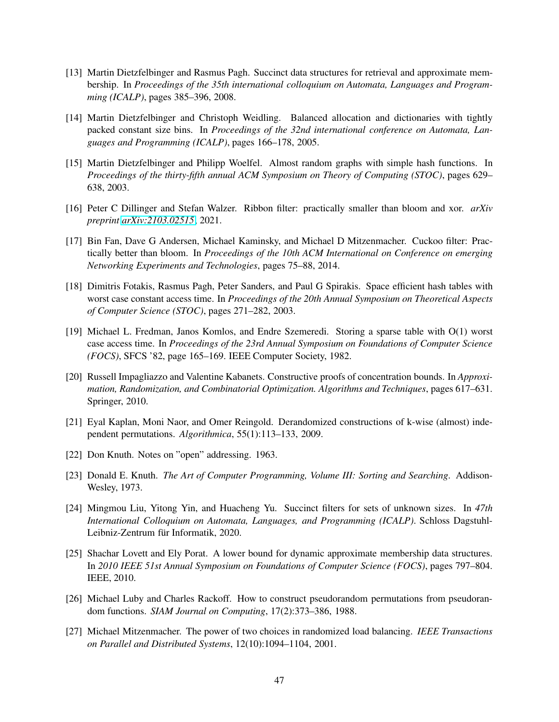- <span id="page-47-5"></span>[13] Martin Dietzfelbinger and Rasmus Pagh. Succinct data structures for retrieval and approximate membership. In *Proceedings of the 35th international colloquium on Automata, Languages and Programming (ICALP)*, pages 385–396, 2008.
- <span id="page-47-6"></span>[14] Martin Dietzfelbinger and Christoph Weidling. Balanced allocation and dictionaries with tightly packed constant size bins. In *Proceedings of the 32nd international conference on Automata, Languages and Programming (ICALP)*, pages 166–178, 2005.
- <span id="page-47-11"></span>[15] Martin Dietzfelbinger and Philipp Woelfel. Almost random graphs with simple hash functions. In *Proceedings of the thirty-fifth annual ACM Symposium on Theory of Computing (STOC)*, pages 629– 638, 2003.
- <span id="page-47-9"></span><span id="page-47-8"></span>[16] Peter C Dillinger and Stefan Walzer. Ribbon filter: practically smaller than bloom and xor. *arXiv preprint [arXiv:2103.02515](http://arxiv.org/abs/2103.02515)*, 2021.
- [17] Bin Fan, Dave G Andersen, Michael Kaminsky, and Michael D Mitzenmacher. Cuckoo filter: Practically better than bloom. In *Proceedings of the 10th ACM International on Conference on emerging Networking Experiments and Technologies*, pages 75–88, 2014.
- <span id="page-47-1"></span>[18] Dimitris Fotakis, Rasmus Pagh, Peter Sanders, and Paul G Spirakis. Space efficient hash tables with worst case constant access time. In *Proceedings of the 20th Annual Symposium on Theoretical Aspects of Computer Science (STOC)*, pages 271–282, 2003.
- <span id="page-47-2"></span>[19] Michael L. Fredman, Janos Komlos, and Endre Szemeredi. Storing a sparse table with O(1) worst case access time. In *Proceedings of the 23rd Annual Symposium on Foundations of Computer Science (FOCS)*, SFCS '82, page 165–169. IEEE Computer Society, 1982.
- <span id="page-47-13"></span>[20] Russell Impagliazzo and Valentine Kabanets. Constructive proofs of concentration bounds. In *Approximation, Randomization, and Combinatorial Optimization. Algorithms and Techniques*, pages 617–631. Springer, 2010.
- <span id="page-47-14"></span>[21] Eyal Kaplan, Moni Naor, and Omer Reingold. Derandomized constructions of k-wise (almost) independent permutations. *Algorithmica*, 55(1):113–133, 2009.
- <span id="page-47-3"></span><span id="page-47-0"></span>[22] Don Knuth. Notes on "open" addressing. 1963.
- <span id="page-47-4"></span>[23] Donald E. Knuth. *The Art of Computer Programming, Volume III: Sorting and Searching*. Addison-Wesley, 1973.
- [24] Mingmou Liu, Yitong Yin, and Huacheng Yu. Succinct filters for sets of unknown sizes. In *47th International Colloquium on Automata, Languages, and Programming (ICALP)*. Schloss Dagstuhl-Leibniz-Zentrum für Informatik, 2020.
- <span id="page-47-10"></span>[25] Shachar Lovett and Ely Porat. A lower bound for dynamic approximate membership data structures. In *2010 IEEE 51st Annual Symposium on Foundations of Computer Science (FOCS)*, pages 797–804. IEEE, 2010.
- <span id="page-47-12"></span>[26] Michael Luby and Charles Rackoff. How to construct pseudorandom permutations from pseudorandom functions. *SIAM Journal on Computing*, 17(2):373–386, 1988.
- <span id="page-47-7"></span>[27] Michael Mitzenmacher. The power of two choices in randomized load balancing. *IEEE Transactions on Parallel and Distributed Systems*, 12(10):1094–1104, 2001.